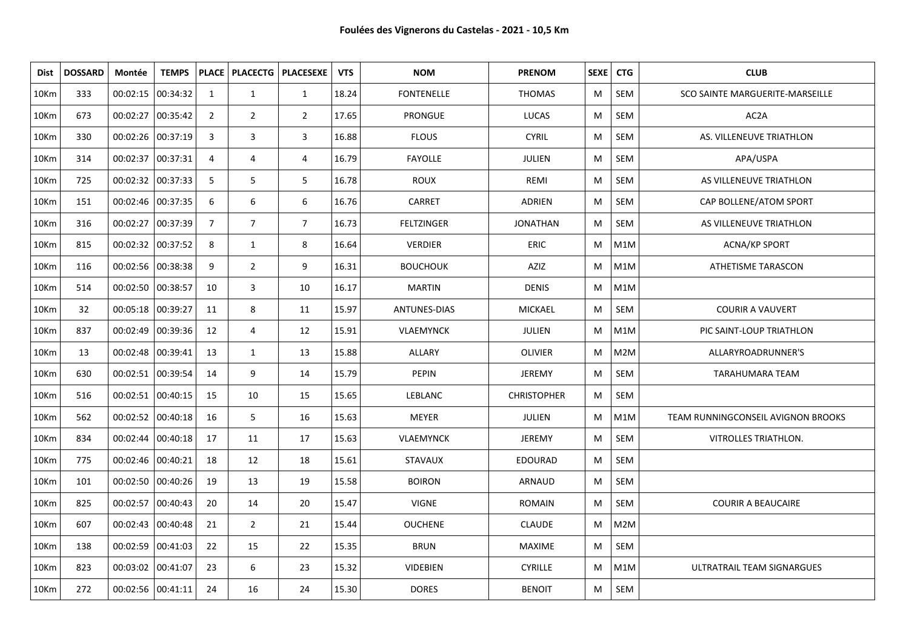| Dist | <b>DOSSARD</b> | Montée                | <b>TEMPS</b>        |                |                | PLACE   PLACECTG   PLACESEXE | <b>VTS</b> | <b>NOM</b>          | <b>PRENOM</b>      | SEXE <sup>1</sup> | <b>CTG</b> | <b>CLUB</b>                               |
|------|----------------|-----------------------|---------------------|----------------|----------------|------------------------------|------------|---------------------|--------------------|-------------------|------------|-------------------------------------------|
| 10Km | 333            | 00:02:15 00:34:32     |                     | 1              | $\mathbf{1}$   | $\mathbf{1}$                 | 18.24      | <b>FONTENELLE</b>   | <b>THOMAS</b>      | M                 | <b>SEM</b> | SCO SAINTE MARGUERITE-MARSEILLE           |
| 10Km | 673            | 00:02:27              | 00:35:42            | $\overline{2}$ | $\overline{2}$ | $\overline{2}$               | 17.65      | <b>PRONGUE</b>      | LUCAS              | M                 | SEM        | AC2A                                      |
| 10Km | 330            | 00:02:26 00:37:19     |                     | 3              | 3              | 3                            | 16.88      | <b>FLOUS</b>        | <b>CYRIL</b>       | M                 | <b>SEM</b> | AS. VILLENEUVE TRIATHLON                  |
| 10Km | 314            | 00:02:37              | 00:37:31            | $\overline{4}$ | $\overline{4}$ | 4                            | 16.79      | <b>FAYOLLE</b>      | <b>JULIEN</b>      | M                 | <b>SEM</b> | APA/USPA                                  |
| 10Km | 725            | 00:02:32 00:37:33     |                     | 5              | 5              | 5                            | 16.78      | <b>ROUX</b>         | REMI               | M                 | SEM        | AS VILLENEUVE TRIATHLON                   |
| 10Km | 151            | 00:02:46 00:37:35     |                     | 6              | 6              | 6                            | 16.76      | CARRET              | ADRIEN             | M                 | SEM        | CAP BOLLENE/ATOM SPORT                    |
| 10Km | 316            | 00:02:27              | 00:37:39            | $\overline{7}$ | $\overline{7}$ | $\overline{7}$               | 16.73      | <b>FELTZINGER</b>   | <b>JONATHAN</b>    | M                 | SEM        | AS VILLENEUVE TRIATHLON                   |
| 10Km | 815            | 00:02:32 00:37:52     |                     | 8              | $\mathbf{1}$   | 8                            | 16.64      | <b>VERDIER</b>      | <b>ERIC</b>        | M                 | M1M        | <b>ACNA/KP SPORT</b>                      |
| 10Km | 116            | 00:02:56 00:38:38     |                     | 9              | $\overline{2}$ | 9                            | 16.31      | <b>BOUCHOUK</b>     | AZIZ               | M                 | M1M        | ATHETISME TARASCON                        |
| 10Km | 514            | 00:02:50 00:38:57     |                     | 10             | $\overline{3}$ | 10                           | 16.17      | <b>MARTIN</b>       | <b>DENIS</b>       | M                 | M1M        |                                           |
| 10Km | 32             | 00:05:18 00:39:27     |                     | 11             | 8              | $11\,$                       | 15.97      | <b>ANTUNES-DIAS</b> | MICKAEL            | M                 | SEM        | <b>COURIR A VAUVERT</b>                   |
| 10Km | 837            |                       | 00:02:49 00:39:36   | 12             | $\overline{4}$ | 12                           | 15.91      | <b>VLAEMYNCK</b>    | JULIEN             | M                 | M1M        | PIC SAINT-LOUP TRIATHLON                  |
| 10Km | 13             | 00:02:48 00:39:41     |                     | 13             | $\mathbf{1}$   | 13                           | 15.88      | <b>ALLARY</b>       | <b>OLIVIER</b>     | M                 | M2M        | ALLARYROADRUNNER'S                        |
| 10Km | 630            | 00:02:51 00:39:54     |                     | 14             | 9              | 14                           | 15.79      | <b>PEPIN</b>        | <b>JEREMY</b>      | M                 | SEM        | TARAHUMARA TEAM                           |
| 10Km | 516            | 00:02:51 00:40:15     |                     | 15             | 10             | 15                           | 15.65      | <b>LEBLANC</b>      | <b>CHRISTOPHER</b> | M                 | <b>SEM</b> |                                           |
| 10Km | 562            |                       | $00:02:52$ 00:40:18 | 16             | 5              | 16                           | 15.63      | <b>MEYER</b>        | JULIEN             | M                 | M1M        | <b>TEAM RUNNINGCONSEIL AVIGNON BROOKS</b> |
| 10Km | 834            | $00:02:44$   00:40:18 |                     | 17             | 11             | 17                           | 15.63      | <b>VLAEMYNCK</b>    | <b>JEREMY</b>      | M                 | SEM        | <b>VITROLLES TRIATHLON.</b>               |
| 10Km | 775            | 00:02:46 00:40:21     |                     | 18             | 12             | 18                           | 15.61      | <b>STAVAUX</b>      | <b>EDOURAD</b>     | M                 | SEM        |                                           |
| 10Km | 101            | 00:02:50 00:40:26     |                     | 19             | 13             | 19                           | 15.58      | <b>BOIRON</b>       | ARNAUD             | M                 | SEM        |                                           |
| 10Km | 825            | 00:02:57 00:40:43     |                     | 20             | 14             | 20                           | 15.47      | <b>VIGNE</b>        | <b>ROMAIN</b>      | M                 | SEM        | <b>COURIR A BEAUCAIRE</b>                 |
| 10Km | 607            | $00:02:43$ 00:40:48   |                     | 21             | $\overline{2}$ | 21                           | 15.44      | <b>OUCHENE</b>      | <b>CLAUDE</b>      | M                 | M2M        |                                           |
| 10Km | 138            | 00:02:59 00:41:03     |                     | 22             | 15             | 22                           | 15.35      | <b>BRUN</b>         | <b>MAXIME</b>      | M                 | SEM        |                                           |
| 10Km | 823            | 00:03:02 00:41:07     |                     | 23             | 6              | 23                           | 15.32      | <b>VIDEBIEN</b>     | <b>CYRILLE</b>     | M                 | M1M        | ULTRATRAIL TEAM SIGNARGUES                |
| 10Km | 272            | 00:02:56 00:41:11     |                     | 24             | 16             | 24                           | 15.30      | <b>DORES</b>        | <b>BENOIT</b>      | M                 | <b>SEM</b> |                                           |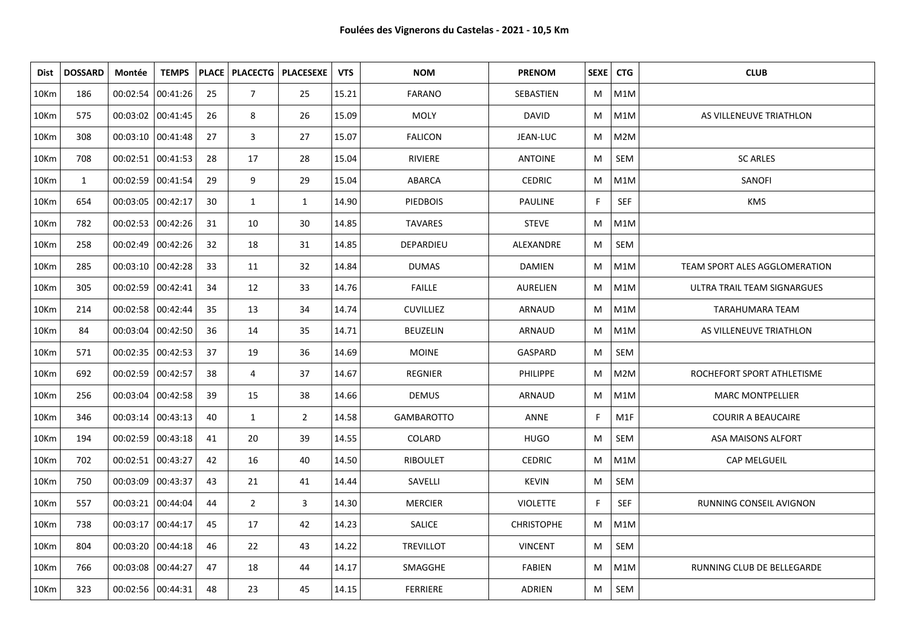| Dist             | <b>DOSSARD</b> | Montée              | <b>TEMPS</b>        |    |                | PLACE   PLACECTG   PLACESEXE | <b>VTS</b> | <b>NOM</b>        | <b>PRENOM</b>     | SEXE   CTG |            | <b>CLUB</b>                   |
|------------------|----------------|---------------------|---------------------|----|----------------|------------------------------|------------|-------------------|-------------------|------------|------------|-------------------------------|
| 10 <sub>Km</sub> | 186            | 00:02:54 00:41:26   |                     | 25 | $\overline{7}$ | 25                           | 15.21      | <b>FARANO</b>     | <b>SEBASTIEN</b>  | M          | M1M        |                               |
| 10Km             | 575            | 00:03:02 00:41:45   |                     | 26 | 8              | 26                           | 15.09      | <b>MOLY</b>       | <b>DAVID</b>      | M          | M1M        | AS VILLENEUVE TRIATHLON       |
| 10Km             | 308            |                     | $00:03:10$ 00:41:48 | 27 | 3              | 27                           | 15.07      | <b>FALICON</b>    | JEAN-LUC          | M          | M2M        |                               |
| 10Km             | 708            | 00:02:51 00:41:53   |                     | 28 | 17             | 28                           | 15.04      | <b>RIVIERE</b>    | <b>ANTOINE</b>    | M          | SEM        | <b>SC ARLES</b>               |
| 10Km             | $\mathbf{1}$   | 00:02:59 00:41:54   |                     | 29 | 9              | 29                           | 15.04      | ABARCA            | <b>CEDRIC</b>     | M          | M1M        | SANOFI                        |
| 10Km             | 654            | 00:03:05 00:42:17   |                     | 30 | $\mathbf{1}$   | $\mathbf{1}$                 | 14.90      | <b>PIEDBOIS</b>   | <b>PAULINE</b>    | F          | <b>SEF</b> | <b>KMS</b>                    |
| 10Km             | 782            |                     | 00:02:53 00:42:26   | 31 | 10             | 30                           | 14.85      | <b>TAVARES</b>    | <b>STEVE</b>      | M          | M1M        |                               |
| 10Km             | 258            | 00:02:49 00:42:26   |                     | 32 | 18             | 31                           | 14.85      | DEPARDIEU         | ALEXANDRE         | M          | SEM        |                               |
| 10Km             | 285            | 00:03:10 00:42:28   |                     | 33 | 11             | 32                           | 14.84      | <b>DUMAS</b>      | <b>DAMIEN</b>     | М          | M1M        | TEAM SPORT ALES AGGLOMERATION |
| 10Km             | 305            | 00:02:59 00:42:41   |                     | 34 | 12             | 33                           | 14.76      | <b>FAILLE</b>     | <b>AURELIEN</b>   | М          | M1M        | ULTRA TRAIL TEAM SIGNARGUES   |
| 10Km             | 214            | 00:02:58 00:42:44   |                     | 35 | 13             | 34                           | 14.74      | <b>CUVILLIEZ</b>  | ARNAUD            | M          | M1M        | <b>TARAHUMARA TEAM</b>        |
| 10Km             | 84             |                     | 00:03:04   00:42:50 | 36 | 14             | 35                           | 14.71      | <b>BEUZELIN</b>   | ARNAUD            | M          | M1M        | AS VILLENEUVE TRIATHLON       |
| 10Km             | 571            | 00:02:35   00:42:53 |                     | 37 | 19             | 36                           | 14.69      | <b>MOINE</b>      | GASPARD           | M          | SEM        |                               |
| 10Km             | 692            | 00:02:59 00:42:57   |                     | 38 | $\overline{4}$ | 37                           | 14.67      | <b>REGNIER</b>    | <b>PHILIPPE</b>   | M          | M2M        | ROCHEFORT SPORT ATHLETISME    |
| 10Km             | 256            | 00:03:04   00:42:58 |                     | 39 | 15             | 38                           | 14.66      | <b>DEMUS</b>      | ARNAUD            | M          | M1M        | <b>MARC MONTPELLIER</b>       |
| 10Km             | 346            | 00:03:14   00:43:13 |                     | 40 | $\mathbf{1}$   | $\overline{2}$               | 14.58      | <b>GAMBAROTTO</b> | ANNE              | F.         | M1F        | <b>COURIR A BEAUCAIRE</b>     |
| 10Km             | 194            | 00:02:59 00:43:18   |                     | 41 | 20             | 39                           | 14.55      | COLARD            | <b>HUGO</b>       | M          | SEM        | ASA MAISONS ALFORT            |
| 10Km             | 702            | 00:02:51 00:43:27   |                     | 42 | 16             | 40                           | 14.50      | <b>RIBOULET</b>   | <b>CEDRIC</b>     | M          | M1M        | CAP MELGUEIL                  |
| 10Km             | 750            | 00:03:09 00:43:37   |                     | 43 | 21             | 41                           | 14.44      | SAVELLI           | <b>KEVIN</b>      | M          | SEM        |                               |
| 10Km             | 557            | 00:03:21 00:44:04   |                     | 44 | $\overline{2}$ | 3                            | 14.30      | <b>MERCIER</b>    | <b>VIOLETTE</b>   | F          | <b>SEF</b> | RUNNING CONSEIL AVIGNON       |
| 10Km             | 738            | 00:03:17   00:44:17 |                     | 45 | 17             | 42                           | 14.23      | <b>SALICE</b>     | <b>CHRISTOPHE</b> | M          | M1M        |                               |
| 10Km             | 804            |                     | $00:03:20$ 00:44:18 | 46 | 22             | 43                           | 14.22      | <b>TREVILLOT</b>  | <b>VINCENT</b>    | M          | SEM        |                               |
| 10Km             | 766            | 00:03:08 00:44:27   |                     | 47 | 18             | 44                           | 14.17      | SMAGGHE           | <b>FABIEN</b>     | M          | M1M        | RUNNING CLUB DE BELLEGARDE    |
| 10Km             | 323            | 00:02:56   00:44:31 |                     | 48 | 23             | 45                           | 14.15      | <b>FERRIERE</b>   | ADRIEN            | M          | SEM        |                               |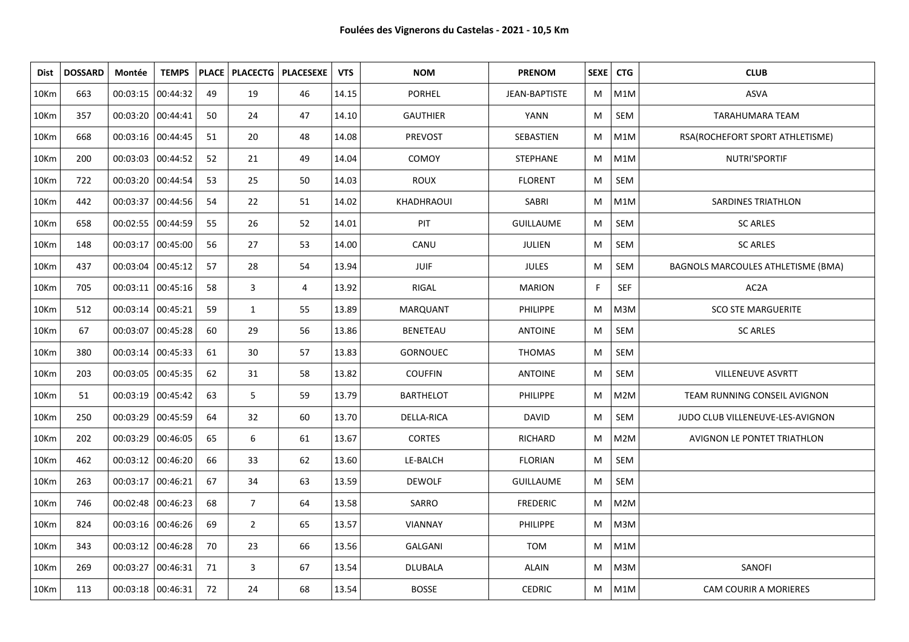| Dist | <b>DOSSARD</b> | Montée              | <b>TEMPS</b> |    |                | PLACE   PLACECTG   PLACESEXE | <b>VTS</b> | <b>NOM</b>        | <b>PRENOM</b>    | SEXE <sup>1</sup> | <b>CTG</b> | <b>CLUB</b>                        |
|------|----------------|---------------------|--------------|----|----------------|------------------------------|------------|-------------------|------------------|-------------------|------------|------------------------------------|
| 10Km | 663            | 00:03:15 00:44:32   |              | 49 | 19             | 46                           | 14.15      | <b>PORHEL</b>     | JEAN-BAPTISTE    | M                 | M1M        | <b>ASVA</b>                        |
| 10Km | 357            | 00:03:20 00:44:41   |              | 50 | 24             | 47                           | 14.10      | <b>GAUTHIER</b>   | <b>YANN</b>      | M                 | SEM        | <b>TARAHUMARA TEAM</b>             |
| 10Km | 668            | 00:03:16 00:44:45   |              | 51 | 20             | 48                           | 14.08      | PREVOST           | SEBASTIEN        | M                 | M1M        | RSA(ROCHEFORT SPORT ATHLETISME)    |
| 10Km | 200            | 00:03:03 00:44:52   |              | 52 | 21             | 49                           | 14.04      | COMOY             | <b>STEPHANE</b>  | M                 | M1M        | NUTRI'SPORTIF                      |
| 10Km | 722            | 00:03:20 00:44:54   |              | 53 | 25             | 50                           | 14.03      | <b>ROUX</b>       | <b>FLORENT</b>   | M                 | SEM        |                                    |
| 10Km | 442            | 00:03:37 00:44:56   |              | 54 | 22             | 51                           | 14.02      | KHADHRAOUI        | SABRI            | M                 | M1M        | <b>SARDINES TRIATHLON</b>          |
| 10Km | 658            | 00:02:55 00:44:59   |              | 55 | 26             | 52                           | 14.01      | PIT               | <b>GUILLAUME</b> | М                 | SEM        | <b>SC ARLES</b>                    |
| 10Km | 148            | 00:03:17   00:45:00 |              | 56 | 27             | 53                           | 14.00      | CANU              | JULIEN           | M                 | SEM        | <b>SC ARLES</b>                    |
| 10Km | 437            | 00:03:04 00:45:12   |              | 57 | 28             | 54                           | 13.94      | JUIF              | <b>JULES</b>     | М                 | SEM        | BAGNOLS MARCOULES ATHLETISME (BMA) |
| 10Km | 705            | 00:03:11 00:45:16   |              | 58 | 3              | 4                            | 13.92      | RIGAL             | <b>MARION</b>    | F.                | <b>SEF</b> | AC2A                               |
| 10Km | 512            | 00:03:14 00:45:21   |              | 59 | $\mathbf{1}$   | 55                           | 13.89      | <b>MARQUANT</b>   | <b>PHILIPPE</b>  | M                 | M3M        | <b>SCO STE MARGUERITE</b>          |
| 10Km | 67             | 00:03:07 00:45:28   |              | 60 | 29             | 56                           | 13.86      | <b>BENETEAU</b>   | <b>ANTOINE</b>   | M                 | SEM        | <b>SC ARLES</b>                    |
| 10Km | 380            | 00:03:14   00:45:33 |              | 61 | 30             | 57                           | 13.83      | <b>GORNOUEC</b>   | <b>THOMAS</b>    | M                 | SEM        |                                    |
| 10Km | 203            | 00:03:05 00:45:35   |              | 62 | 31             | 58                           | 13.82      | <b>COUFFIN</b>    | <b>ANTOINE</b>   | M                 | SEM        | <b>VILLENEUVE ASVRTT</b>           |
| 10Km | 51             | 00:03:19 00:45:42   |              | 63 | 5              | 59                           | 13.79      | <b>BARTHELOT</b>  | PHILIPPE         | M                 | M2M        | TEAM RUNNING CONSEIL AVIGNON       |
| 10Km | 250            | 00:03:29 00:45:59   |              | 64 | 32             | 60                           | 13.70      | <b>DELLA-RICA</b> | <b>DAVID</b>     | M                 | SEM        | JUDO CLUB VILLENEUVE-LES-AVIGNON   |
| 10Km | 202            | 00:03:29 00:46:05   |              | 65 | 6              | 61                           | 13.67      | <b>CORTES</b>     | RICHARD          | M                 | M2M        | AVIGNON LE PONTET TRIATHLON        |
| 10Km | 462            | 00:03:12 00:46:20   |              | 66 | 33             | 62                           | 13.60      | LE-BALCH          | <b>FLORIAN</b>   | M                 | SEM        |                                    |
| 10Km | 263            | 00:03:17 00:46:21   |              | 67 | 34             | 63                           | 13.59      | <b>DEWOLF</b>     | <b>GUILLAUME</b> | M                 | SEM        |                                    |
| 10Km | 746            | 00:02:48 00:46:23   |              | 68 | $\overline{7}$ | 64                           | 13.58      | SARRO             | <b>FREDERIC</b>  | M                 | M2M        |                                    |
| 10Km | 824            | 00:03:16 00:46:26   |              | 69 | $\overline{2}$ | 65                           | 13.57      | VIANNAY           | <b>PHILIPPE</b>  | M                 | M3M        |                                    |
| 10Km | 343            | 00:03:12 00:46:28   |              | 70 | 23             | 66                           | 13.56      | GALGANI           | TOM              | M                 | M1M        |                                    |
| 10Km | 269            | 00:03:27            | 00:46:31     | 71 | 3              | 67                           | 13.54      | <b>DLUBALA</b>    | <b>ALAIN</b>     | M                 | M3M        | SANOFI                             |
| 10Km | 113            | 00:03:18   00:46:31 |              | 72 | 24             | 68                           | 13.54      | <b>BOSSE</b>      | <b>CEDRIC</b>    | M                 | M1M        | CAM COURIR A MORIERES              |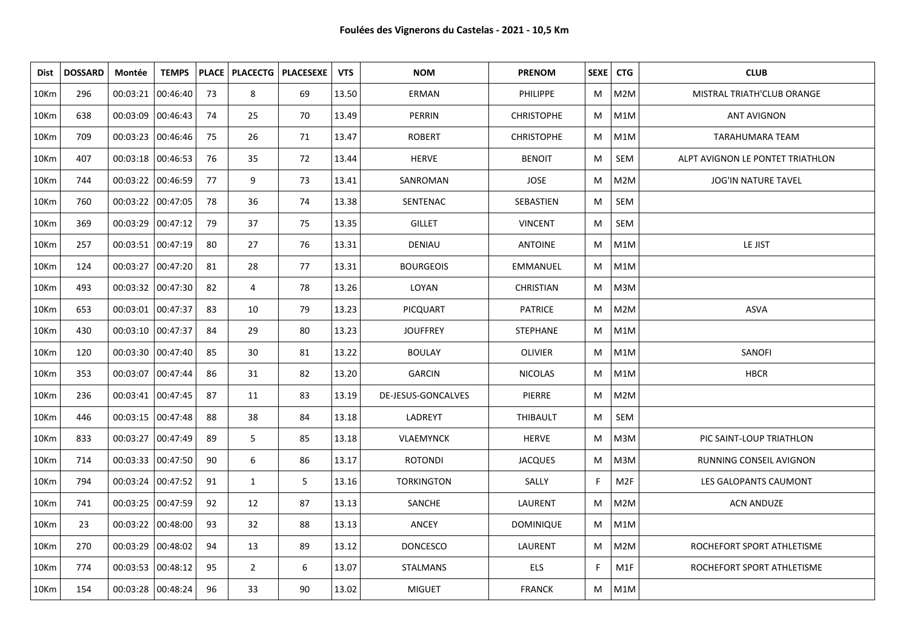| Dist             | <b>DOSSARD</b> | Montée              | <b>TEMPS</b> |    | <b>PLACE   PLACECTG  </b> | <b>PLACESEXE</b> | <b>VTS</b> | <b>NOM</b>         | <b>PRENOM</b>     | SEXE   CTG |            | <b>CLUB</b>                      |
|------------------|----------------|---------------------|--------------|----|---------------------------|------------------|------------|--------------------|-------------------|------------|------------|----------------------------------|
| 10 <sub>Km</sub> | 296            | 00:03:21            | 00:46:40     | 73 | 8                         | 69               | 13.50      | ERMAN              | <b>PHILIPPE</b>   | M          | M2M        | MISTRAL TRIATH'CLUB ORANGE       |
| 10Km             | 638            | 00:03:09 00:46:43   |              | 74 | 25                        | 70               | 13.49      | PERRIN             | <b>CHRISTOPHE</b> | M          | M1M        | <b>ANT AVIGNON</b>               |
| 10Km             | 709            | 00:03:23 00:46:46   |              | 75 | 26                        | 71               | 13.47      | <b>ROBERT</b>      | <b>CHRISTOPHE</b> | M          | M1M        | TARAHUMARA TEAM                  |
| 10Km             | 407            | 00:03:18 00:46:53   |              | 76 | 35                        | 72               | 13.44      | <b>HERVE</b>       | <b>BENOIT</b>     | M          | <b>SEM</b> | ALPT AVIGNON LE PONTET TRIATHLON |
| 10Km             | 744            | 00:03:22 00:46:59   |              | 77 | 9                         | 73               | 13.41      | SANROMAN           | <b>JOSE</b>       | M          | M2M        | <b>JOG'IN NATURE TAVEL</b>       |
| 10Km             | 760            | 00:03:22   00:47:05 |              | 78 | 36                        | 74               | 13.38      | SENTENAC           | SEBASTIEN         | M          | SEM        |                                  |
| 10Km             | 369            | 00:03:29 00:47:12   |              | 79 | 37                        | 75               | 13.35      | <b>GILLET</b>      | <b>VINCENT</b>    | M          | SEM        |                                  |
| 10Km             | 257            | 00:03:51 00:47:19   |              | 80 | 27                        | 76               | 13.31      | DENIAU             | <b>ANTOINE</b>    | M          | M1M        | LE JIST                          |
| 10Km             | 124            | 00:03:27            | 00:47:20     | 81 | 28                        | 77               | 13.31      | <b>BOURGEOIS</b>   | EMMANUEL          | M          | M1M        |                                  |
| 10Km             | 493            | 00:03:32 00:47:30   |              | 82 | 4                         | 78               | 13.26      | LOYAN              | <b>CHRISTIAN</b>  | M          | M3M        |                                  |
| 10Km             | 653            | 00:03:01 00:47:37   |              | 83 | 10                        | 79               | 13.23      | <b>PICQUART</b>    | <b>PATRICE</b>    | M          | M2M        | <b>ASVA</b>                      |
| 10Km             | 430            | 00:03:10 00:47:37   |              | 84 | 29                        | 80               | 13.23      | <b>JOUFFREY</b>    | <b>STEPHANE</b>   | M          | M1M        |                                  |
| 10Km             | 120            | 00:03:30 00:47:40   |              | 85 | 30                        | 81               | 13.22      | <b>BOULAY</b>      | <b>OLIVIER</b>    | M          | M1M        | SANOFI                           |
| 10Km             | 353            | 00:03:07 00:47:44   |              | 86 | 31                        | 82               | 13.20      | <b>GARCIN</b>      | <b>NICOLAS</b>    | M          | M1M        | <b>HBCR</b>                      |
| 10Km             | 236            | 00:03:41 00:47:45   |              | 87 | 11                        | 83               | 13.19      | DE-JESUS-GONCALVES | PIERRE            | M          | M2M        |                                  |
| 10Km             | 446            | 00:03:15 00:47:48   |              | 88 | 38                        | 84               | 13.18      | LADREYT            | THIBAULT          | M          | SEM        |                                  |
| 10Km             | 833            | 00:03:27            | 00:47:49     | 89 | 5                         | 85               | 13.18      | <b>VLAEMYNCK</b>   | <b>HERVE</b>      | M          | M3M        | PIC SAINT-LOUP TRIATHLON         |
| 10Km             | 714            | 00:03:33  00:47:50  |              | 90 | 6                         | 86               | 13.17      | ROTONDI            | <b>JACQUES</b>    | M          | M3M        | RUNNING CONSEIL AVIGNON          |
| 10Km             | 794            | 00:03:24   00:47:52 |              | 91 | $\mathbf{1}$              | 5                | 13.16      | <b>TORKINGTON</b>  | SALLY             | F          | M2F        | LES GALOPANTS CAUMONT            |
| 10Km             | 741            | 00:03:25 00:47:59   |              | 92 | 12                        | 87               | 13.13      | SANCHE             | LAURENT           | M          | M2M        | <b>ACN ANDUZE</b>                |
| 10Km             | 23             | 00:03:22 00:48:00   |              | 93 | 32                        | 88               | 13.13      | ANCEY              | <b>DOMINIQUE</b>  | M          | M1M        |                                  |
| 10Km             | 270            | 00:03:29 00:48:02   |              | 94 | 13                        | 89               | 13.12      | <b>DONCESCO</b>    | LAURENT           | M          | M2M        | ROCHEFORT SPORT ATHLETISME       |
| 10Km             | 774            | 00:03:53 00:48:12   |              | 95 | $\overline{2}$            | 6                | 13.07      | <b>STALMANS</b>    | <b>ELS</b>        | F          | M1F        | ROCHEFORT SPORT ATHLETISME       |
| 10Km             | 154            | 00:03:28 00:48:24   |              | 96 | 33                        | 90               | 13.02      | <b>MIGUET</b>      | <b>FRANCK</b>     | M          | M1M        |                                  |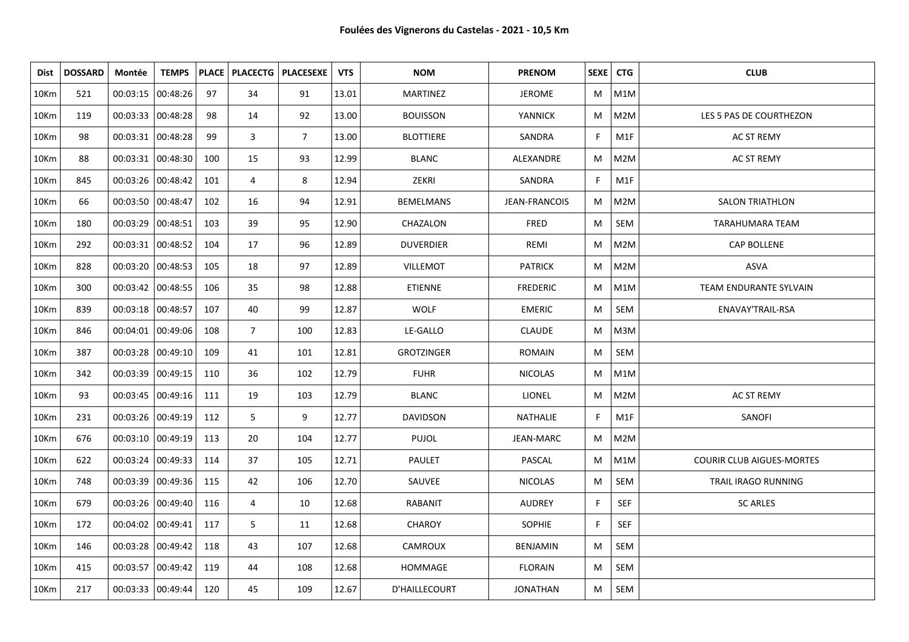| Dist | <b>DOSSARD</b> | Montée              | <b>TEMPS</b> |     |                | PLACE   PLACECTG   PLACESEXE | <b>VTS</b> | <b>NOM</b>        | <b>PRENOM</b>        | SEXE   CTG |            | <b>CLUB</b>                      |
|------|----------------|---------------------|--------------|-----|----------------|------------------------------|------------|-------------------|----------------------|------------|------------|----------------------------------|
| 10Km | 521            | 00:03:15 00:48:26   |              | 97  | 34             | 91                           | 13.01      | MARTINEZ          | <b>JEROME</b>        | M          | M1M        |                                  |
| 10Km | 119            | 00:03:33 00:48:28   |              | 98  | 14             | 92                           | 13.00      | <b>BOUISSON</b>   | YANNICK              | M          | M2M        | LES 5 PAS DE COURTHEZON          |
| 10Km | 98             | 00:03:31 00:48:28   |              | 99  | 3              | $\overline{7}$               | 13.00      | <b>BLOTTIERE</b>  | SANDRA               | F          | M1F        | AC ST REMY                       |
| 10Km | 88             | 00:03:31 00:48:30   |              | 100 | 15             | 93                           | 12.99      | <b>BLANC</b>      | ALEXANDRE            | М          | M2M        | AC ST REMY                       |
| 10Km | 845            | 00:03:26 00:48:42   |              | 101 | 4              | 8                            | 12.94      | ZEKRI             | SANDRA               | F.         | M1F        |                                  |
| 10Km | 66             | 00:03:50 00:48:47   |              | 102 | 16             | 94                           | 12.91      | <b>BEMELMANS</b>  | <b>JEAN-FRANCOIS</b> | M          | M2M        | <b>SALON TRIATHLON</b>           |
| 10Km | 180            | 00:03:29 00:48:51   |              | 103 | 39             | 95                           | 12.90      | CHAZALON          | FRED                 | M          | SEM        | TARAHUMARA TEAM                  |
| 10Km | 292            | 00:03:31 00:48:52   |              | 104 | 17             | 96                           | 12.89      | <b>DUVERDIER</b>  | REMI                 | M          | M2M        | CAP BOLLENE                      |
| 10Km | 828            | 00:03:20 00:48:53   |              | 105 | 18             | 97                           | 12.89      | <b>VILLEMOT</b>   | <b>PATRICK</b>       | M          | M2M        | ASVA                             |
| 10Km | 300            | 00:03:42 00:48:55   |              | 106 | 35             | 98                           | 12.88      | <b>ETIENNE</b>    | <b>FREDERIC</b>      | M          | M1M        | TEAM ENDURANTE SYLVAIN           |
| 10Km | 839            | 00:03:18 00:48:57   |              | 107 | 40             | 99                           | 12.87      | <b>WOLF</b>       | <b>EMERIC</b>        | M          | SEM        | ENAVAY'TRAIL-RSA                 |
| 10Km | 846            | 00:04:01 00:49:06   |              | 108 | $\overline{7}$ | 100                          | 12.83      | LE-GALLO          | CLAUDE               | M          | M3M        |                                  |
| 10Km | 387            | 00:03:28 00:49:10   |              | 109 | 41             | 101                          | 12.81      | <b>GROTZINGER</b> | <b>ROMAIN</b>        | M          | SEM        |                                  |
| 10Km | 342            | 00:03:39 00:49:15   |              | 110 | 36             | 102                          | 12.79      | <b>FUHR</b>       | <b>NICOLAS</b>       | M          | M1M        |                                  |
| 10Km | 93             | 00:03:45 00:49:16   |              | 111 | 19             | 103                          | 12.79      | <b>BLANC</b>      | <b>LIONEL</b>        | M          | M2M        | <b>AC ST REMY</b>                |
| 10Km | 231            | 00:03:26 00:49:19   |              | 112 | 5              | 9                            | 12.77      | <b>DAVIDSON</b>   | NATHALIE             | F.         | M1F        | SANOFI                           |
| 10Km | 676            | $00:03:10$ 00:49:19 |              | 113 | 20             | 104                          | 12.77      | <b>PUJOL</b>      | JEAN-MARC            | M          | M2M        |                                  |
| 10Km | 622            | $00:03:24$ 00:49:33 |              | 114 | 37             | 105                          | 12.71      | PAULET            | PASCAL               | M          | M1M        | <b>COURIR CLUB AIGUES-MORTES</b> |
| 10Km | 748            | 00:03:39            | 00:49:36     | 115 | 42             | 106                          | 12.70      | SAUVEE            | <b>NICOLAS</b>       | M          | SEM        | TRAIL IRAGO RUNNING              |
| 10Km | 679            | 00:03:26 00:49:40   |              | 116 | 4              | 10                           | 12.68      | <b>RABANIT</b>    | <b>AUDREY</b>        | F.         | <b>SEF</b> | <b>SC ARLES</b>                  |
| 10Km | 172            | 00:04:02 00:49:41   |              | 117 | 5              | 11                           | 12.68      | <b>CHAROY</b>     | <b>SOPHIE</b>        | F.         | SEF        |                                  |
| 10Km | 146            | 00:03:28 00:49:42   |              | 118 | 43             | 107                          | 12.68      | CAMROUX           | BENJAMIN             | M          | SEM        |                                  |
| 10Km | 415            | 00:03:57 00:49:42   |              | 119 | 44             | 108                          | 12.68      | <b>HOMMAGE</b>    | <b>FLORAIN</b>       | M          | SEM        |                                  |
| 10Km | 217            | 00:03:33 00:49:44   |              | 120 | 45             | 109                          | 12.67      | D'HAILLECOURT     | <b>JONATHAN</b>      | M          | SEM        |                                  |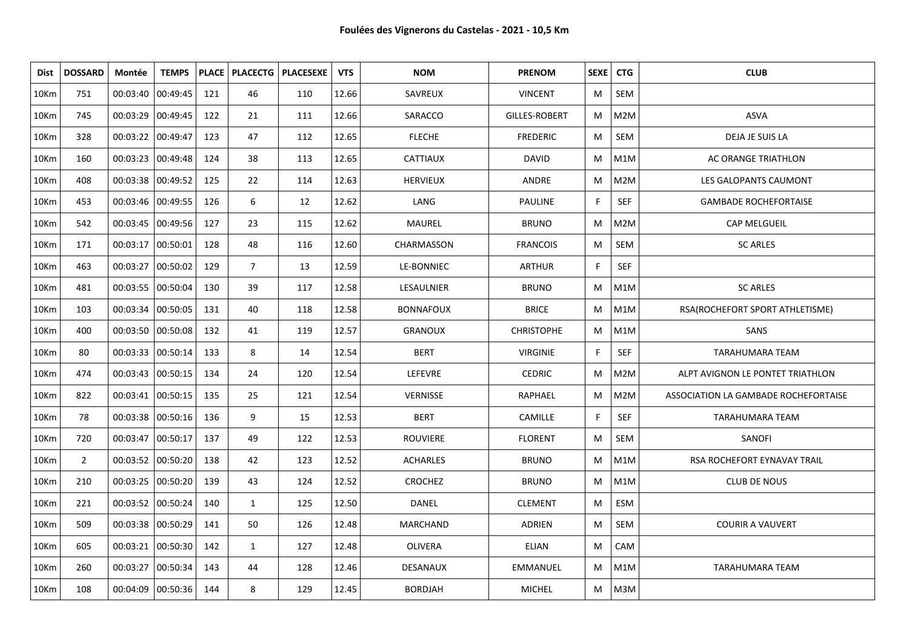| Dist | <b>DOSSARD</b> | Montée              | <b>TEMPS</b> |     |                | PLACE   PLACECTG   PLACESEXE | <b>VTS</b> | <b>NOM</b>       | <b>PRENOM</b>        | SEXE   CTG |            | <b>CLUB</b>                          |
|------|----------------|---------------------|--------------|-----|----------------|------------------------------|------------|------------------|----------------------|------------|------------|--------------------------------------|
| 10Km | 751            | 00:03:40 00:49:45   |              | 121 | 46             | 110                          | 12.66      | SAVREUX          | <b>VINCENT</b>       | M          | SEM        |                                      |
| 10Km | 745            | 00:03:29 00:49:45   |              | 122 | 21             | 111                          | 12.66      | SARACCO          | <b>GILLES-ROBERT</b> | M          | M2M        | <b>ASVA</b>                          |
| 10Km | 328            | 00:03:22 00:49:47   |              | 123 | 47             | 112                          | 12.65      | <b>FLECHE</b>    | <b>FREDERIC</b>      | M          | SEM        | DEJA JE SUIS LA                      |
| 10Km | 160            | 00:03:23 00:49:48   |              | 124 | 38             | 113                          | 12.65      | <b>CATTIAUX</b>  | <b>DAVID</b>         | M          | M1M        | AC ORANGE TRIATHLON                  |
| 10Km | 408            | 00:03:38 00:49:52   |              | 125 | 22             | 114                          | 12.63      | <b>HERVIEUX</b>  | ANDRE                | M          | M2M        | LES GALOPANTS CAUMONT                |
| 10Km | 453            | 00:03:46 00:49:55   |              | 126 | 6              | 12                           | 12.62      | LANG             | <b>PAULINE</b>       | F          | SEF        | <b>GAMBADE ROCHEFORTAISE</b>         |
| 10Km | 542            | 00:03:45            | 00:49:56     | 127 | 23             | 115                          | 12.62      | MAUREL           | <b>BRUNO</b>         | M          | M2M        | CAP MELGUEIL                         |
| 10Km | 171            | 00:03:17 00:50:01   |              | 128 | 48             | 116                          | 12.60      | CHARMASSON       | <b>FRANCOIS</b>      | M          | SEM        | <b>SC ARLES</b>                      |
| 10Km | 463            | 00:03:27            | 00:50:02     | 129 | $\overline{7}$ | 13                           | 12.59      | LE-BONNIEC       | <b>ARTHUR</b>        | F          | SEF        |                                      |
| 10Km | 481            | 00:03:55  00:50:04  |              | 130 | 39             | 117                          | 12.58      | LESAULNIER       | <b>BRUNO</b>         | M          | M1M        | <b>SC ARLES</b>                      |
| 10Km | 103            | 00:03:34   00:50:05 |              | 131 | 40             | 118                          | 12.58      | <b>BONNAFOUX</b> | <b>BRICE</b>         | M          | M1M        | RSA(ROCHEFORT SPORT ATHLETISME)      |
| 10Km | 400            | 00:03:50 00:50:08   |              | 132 | 41             | 119                          | 12.57      | <b>GRANOUX</b>   | <b>CHRISTOPHE</b>    | M          | M1M        | SANS                                 |
| 10Km | 80             | 00:03:33 00:50:14   |              | 133 | 8              | 14                           | 12.54      | <b>BERT</b>      | <b>VIRGINIE</b>      | F          | <b>SEF</b> | TARAHUMARA TEAM                      |
| 10Km | 474            | 00:03:43  00:50:15  |              | 134 | 24             | 120                          | 12.54      | LEFEVRE          | <b>CEDRIC</b>        | M          | M2M        | ALPT AVIGNON LE PONTET TRIATHLON     |
| 10Km | 822            | 00:03:41 00:50:15   |              | 135 | 25             | 121                          | 12.54      | <b>VERNISSE</b>  | <b>RAPHAEL</b>       | M          | M2M        | ASSOCIATION LA GAMBADE ROCHEFORTAISE |
| 10Km | 78             | 00:03:38 00:50:16   |              | 136 | 9              | 15                           | 12.53      | <b>BERT</b>      | CAMILLE              | F.         | <b>SEF</b> | TARAHUMARA TEAM                      |
| 10Km | 720            | 00:03:47            | 00:50:17     | 137 | 49             | 122                          | 12.53      | <b>ROUVIERE</b>  | <b>FLORENT</b>       | M          | SEM        | SANOFI                               |
| 10Km | $\overline{2}$ | 00:03:52   00:50:20 |              | 138 | 42             | 123                          | 12.52      | <b>ACHARLES</b>  | <b>BRUNO</b>         | M          | M1M        | <b>RSA ROCHEFORT EYNAVAY TRAIL</b>   |
| 10Km | 210            | 00:03:25            | 00:50:20     | 139 | 43             | 124                          | 12.52      | <b>CROCHEZ</b>   | <b>BRUNO</b>         | M          | M1M        | <b>CLUB DE NOUS</b>                  |
| 10Km | 221            | 00:03:52 00:50:24   |              | 140 | $\mathbf{1}$   | 125                          | 12.50      | <b>DANEL</b>     | <b>CLEMENT</b>       | M          | ESM        |                                      |
| 10Km | 509            | 00:03:38 00:50:29   |              | 141 | 50             | 126                          | 12.48      | MARCHAND         | ADRIEN               | M          | SEM        | <b>COURIR A VAUVERT</b>              |
| 10Km | 605            | $00:03:21$ 00:50:30 |              | 142 | $\mathbf{1}$   | 127                          | 12.48      | OLIVERA          | <b>ELIAN</b>         | M          | CAM        |                                      |
| 10Km | 260            | 00:03:27            | 00:50:34     | 143 | 44             | 128                          | 12.46      | DESANAUX         | <b>EMMANUEL</b>      | M          | M1M        | TARAHUMARA TEAM                      |
| 10Km | 108            | $00:04:09$ 00:50:36 |              | 144 | 8              | 129                          | 12.45      | <b>BORDJAH</b>   | <b>MICHEL</b>        | M          | M3M        |                                      |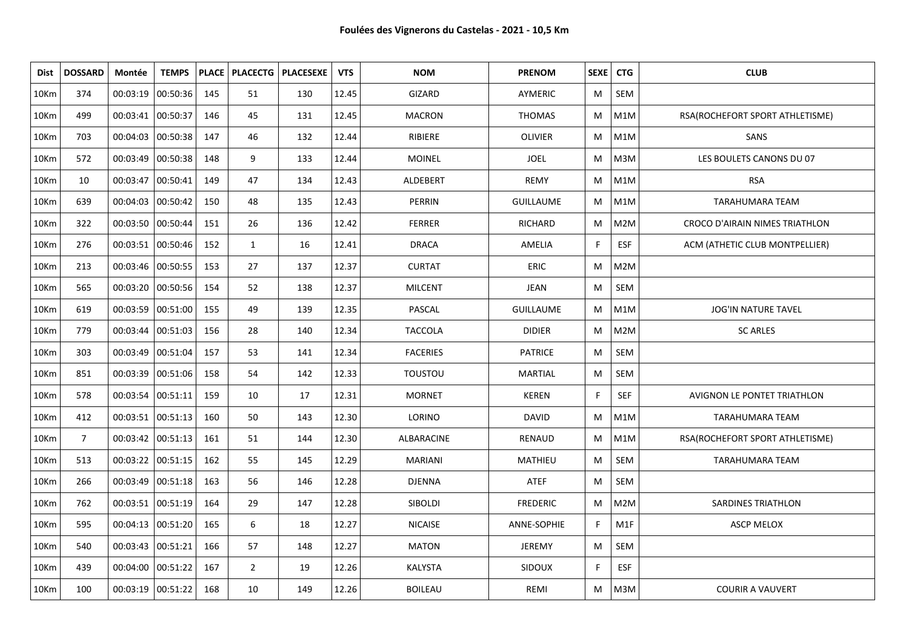| Dist             | <b>DOSSARD</b> | Montée              | <b>TEMPS</b> |     |                | PLACE   PLACECTG   PLACESEXE | <b>VTS</b> | <b>NOM</b>      | <b>PRENOM</b>    |    | SEXE   CTG       | <b>CLUB</b>                     |
|------------------|----------------|---------------------|--------------|-----|----------------|------------------------------|------------|-----------------|------------------|----|------------------|---------------------------------|
| 10Km             | 374            | 00:03:19            | 00:50:36     | 145 | 51             | 130                          | 12.45      | GIZARD          | AYMERIC          | М  | SEM              |                                 |
| 10Km             | 499            | 00:03:41 00:50:37   |              | 146 | 45             | 131                          | 12.45      | <b>MACRON</b>   | <b>THOMAS</b>    | M  | M1M              | RSA(ROCHEFORT SPORT ATHLETISME) |
| 10Km             | 703            | 00:04:03            | 00:50:38     | 147 | 46             | 132                          | 12.44      | RIBIERE         | <b>OLIVIER</b>   | M  | M1M              | SANS                            |
| 10Km             | 572            | 00:03:49 00:50:38   |              | 148 | 9              | 133                          | 12.44      | <b>MOINEL</b>   | <b>JOEL</b>      | М  | M3M              | LES BOULETS CANONS DU 07        |
| 10Km             | 10             | 00:03:47            | 00:50:41     | 149 | 47             | 134                          | 12.43      | ALDEBERT        | <b>REMY</b>      | M  | M1M              | <b>RSA</b>                      |
| 10 <sub>Km</sub> | 639            | 00:04:03            | 00:50:42     | 150 | 48             | 135                          | 12.43      | <b>PERRIN</b>   | <b>GUILLAUME</b> | M  | M1M              | <b>TARAHUMARA TEAM</b>          |
| 10Km             | 322            | 00:03:50            | 00:50:44     | 151 | 26             | 136                          | 12.42      | <b>FERRER</b>   | <b>RICHARD</b>   | М  | M2M              | CROCO D'AIRAIN NIMES TRIATHLON  |
| 10Km             | 276            | 00:03:51 00:50:46   |              | 152 | $\mathbf{1}$   | 16                           | 12.41      | <b>DRACA</b>    | AMELIA           | F. | ESF              | ACM (ATHETIC CLUB MONTPELLIER)  |
| 10Km             | 213            | 00:03:46            | 00:50:55     | 153 | 27             | 137                          | 12.37      | <b>CURTAT</b>   | <b>ERIC</b>      | М  | M2M              |                                 |
| 10Km             | 565            | 00:03:20 00:50:56   |              | 154 | 52             | 138                          | 12.37      | <b>MILCENT</b>  | JEAN             | М  | SEM              |                                 |
| 10Km             | 619            | 00:03:59            | 00:51:00     | 155 | 49             | 139                          | 12.35      | PASCAL          | <b>GUILLAUME</b> | M  | M1M              | <b>JOG'IN NATURE TAVEL</b>      |
| 10Km             | 779            | $00:03:44$ 00:51:03 |              | 156 | 28             | 140                          | 12.34      | <b>TACCOLA</b>  | <b>DIDIER</b>    | м  | M2M              | <b>SC ARLES</b>                 |
| 10Km             | 303            | 00:03:49            | 00:51:04     | 157 | 53             | 141                          | 12.34      | <b>FACERIES</b> | <b>PATRICE</b>   | М  | SEM              |                                 |
| 10Km             | 851            | 00:03:39 00:51:06   |              | 158 | 54             | 142                          | 12.33      | <b>TOUSTOU</b>  | <b>MARTIAL</b>   | M  | SEM              |                                 |
| 10 <sub>Km</sub> | 578            | 00:03:54 00:51:11   |              | 159 | 10             | 17                           | 12.31      | <b>MORNET</b>   | <b>KEREN</b>     | F. | <b>SEF</b>       | AVIGNON LE PONTET TRIATHLON     |
| 10Km             | 412            | 00:03:51 00:51:13   |              | 160 | 50             | 143                          | 12.30      | LORINO          | <b>DAVID</b>     | M  | M1M              | TARAHUMARA TEAM                 |
| 10Km             | $\overline{7}$ | $00:03:42$ 00:51:13 |              | 161 | 51             | 144                          | 12.30      | ALBARACINE      | RENAUD           | M  | M1M              | RSA(ROCHEFORT SPORT ATHLETISME) |
| 10Km             | 513            | 00:03:22 00:51:15   |              | 162 | 55             | 145                          | 12.29      | <b>MARIANI</b>  | <b>MATHIEU</b>   | М  | <b>SEM</b>       | <b>TARAHUMARA TEAM</b>          |
| 10Km             | 266            | 00:03:49            | 00:51:18     | 163 | 56             | 146                          | 12.28      | <b>DJENNA</b>   | ATEF             | М  | SEM              |                                 |
| 10Km             | 762            | 00:03:51 00:51:19   |              | 164 | 29             | 147                          | 12.28      | SIBOLDI         | <b>FREDERIC</b>  | M  | M2M              | <b>SARDINES TRIATHLON</b>       |
| 10Km             | 595            | 00:04:13 00:51:20   |              | 165 | 6              | 18                           | 12.27      | <b>NICAISE</b>  | ANNE-SOPHIE      | F. | M <sub>1</sub> F | <b>ASCP MELOX</b>               |
| 10Km             | 540            | 00:03:43  00:51:21  |              | 166 | 57             | 148                          | 12.27      | <b>MATON</b>    | <b>JEREMY</b>    | М  | SEM              |                                 |
| 10Km             | 439            | 00:04:00            | 00:51:22     | 167 | $\overline{2}$ | 19                           | 12.26      | KALYSTA         | <b>SIDOUX</b>    | F. | <b>ESF</b>       |                                 |
| 10Km             | 100            | 00:03:19 00:51:22   |              | 168 | 10             | 149                          | 12.26      | <b>BOILEAU</b>  | REMI             | M  | M3M              | <b>COURIR A VAUVERT</b>         |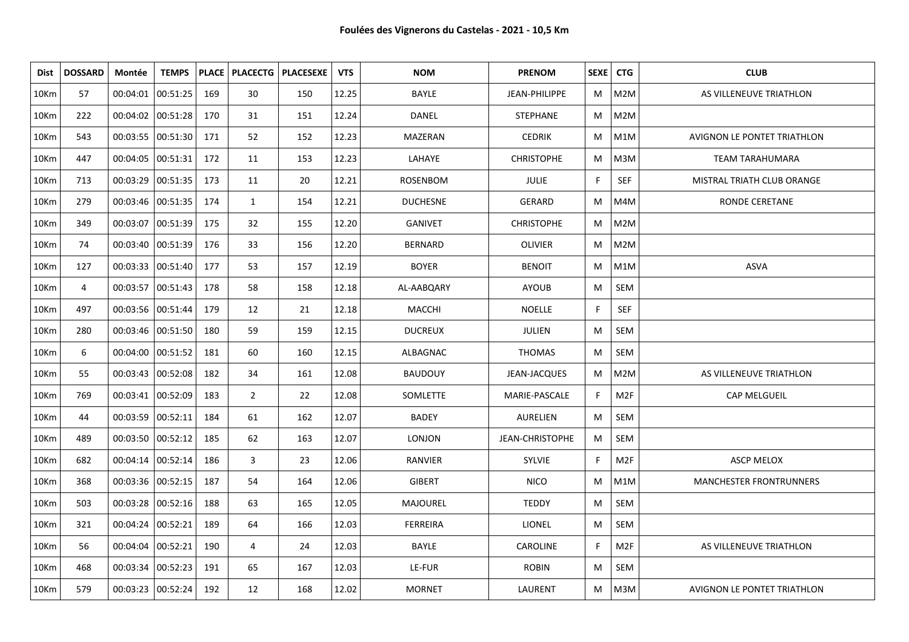| Dist | <b>DOSSARD</b> | Montée              | <b>TEMPS</b>      |     |                | PLACE   PLACECTG   PLACESEXE | <b>VTS</b> | <b>NOM</b>      | <b>PRENOM</b>          | SEXE <sup>1</sup> | <b>CTG</b>      | <b>CLUB</b>                    |
|------|----------------|---------------------|-------------------|-----|----------------|------------------------------|------------|-----------------|------------------------|-------------------|-----------------|--------------------------------|
| 10Km | 57             | 00:04:01 00:51:25   |                   | 169 | 30             | 150                          | 12.25      | BAYLE           | JEAN-PHILIPPE          | M                 | M2M             | AS VILLENEUVE TRIATHLON        |
| 10Km | 222            | 00:04:02 00:51:28   |                   | 170 | 31             | 151                          | 12.24      | DANEL           | <b>STEPHANE</b>        | M                 | M2M             |                                |
| 10Km | 543            | 00:03:55 00:51:30   |                   | 171 | 52             | 152                          | 12.23      | MAZERAN         | <b>CEDRIK</b>          | M                 | M1M             | AVIGNON LE PONTET TRIATHLON    |
| 10Km | 447            | 00:04:05 00:51:31   |                   | 172 | 11             | 153                          | 12.23      | LAHAYE          | <b>CHRISTOPHE</b>      | M                 | M3M             | <b>TEAM TARAHUMARA</b>         |
| 10Km | 713            | 00:03:29 00:51:35   |                   | 173 | 11             | 20                           | 12.21      | <b>ROSENBOM</b> | <b>JULIE</b>           | F.                | <b>SEF</b>      | MISTRAL TRIATH CLUB ORANGE     |
| 10Km | 279            | 00:03:46 00:51:35   |                   | 174 | $\mathbf{1}$   | 154                          | 12.21      | <b>DUCHESNE</b> | GERARD                 | M                 | M4M             | RONDE CERETANE                 |
| 10Km | 349            | 00:03:07            | 00:51:39          | 175 | 32             | 155                          | 12.20      | <b>GANIVET</b>  | <b>CHRISTOPHE</b>      | M                 | M2M             |                                |
| 10Km | 74             | 00:03:40 00:51:39   |                   | 176 | 33             | 156                          | 12.20      | <b>BERNARD</b>  | OLIVIER                | M                 | M2M             |                                |
| 10Km | 127            | 00:03:33 00:51:40   |                   | 177 | 53             | 157                          | 12.19      | <b>BOYER</b>    | <b>BENOIT</b>          | M                 | M1M             | <b>ASVA</b>                    |
| 10Km | 4              | 00:03:57 00:51:43   |                   | 178 | 58             | 158                          | 12.18      | AL-AABQARY      | <b>AYOUB</b>           | M                 | SEM             |                                |
| 10Km | 497            | 00:03:56 00:51:44   |                   | 179 | 12             | 21                           | 12.18      | MACCHI          | <b>NOELLE</b>          | F                 | <b>SEF</b>      |                                |
| 10Km | 280            |                     | 00:03:46 00:51:50 | 180 | 59             | 159                          | 12.15      | <b>DUCREUX</b>  | JULIEN                 | M                 | SEM             |                                |
| 10Km | 6              | 00:04:00 00:51:52   |                   | 181 | 60             | 160                          | 12.15      | ALBAGNAC        | <b>THOMAS</b>          | M                 | SEM             |                                |
| 10Km | 55             | 00:03:43 00:52:08   |                   | 182 | 34             | 161                          | 12.08      | <b>BAUDOUY</b>  | JEAN-JACQUES           | M                 | M2M             | AS VILLENEUVE TRIATHLON        |
| 10Km | 769            | 00:03:41   00:52:09 |                   | 183 | $\overline{2}$ | 22                           | 12.08      | SOMLETTE        | MARIE-PASCALE          | F                 | M <sub>2F</sub> | CAP MELGUEIL                   |
| 10Km | 44             | 00:03:59 00:52:11   |                   | 184 | 61             | 162                          | 12.07      | <b>BADEY</b>    | AURELIEN               | M                 | SEM             |                                |
| 10Km | 489            | 00:03:50 00:52:12   |                   | 185 | 62             | 163                          | 12.07      | <b>LONJON</b>   | <b>JEAN-CHRISTOPHE</b> | M                 | SEM             |                                |
| 10Km | 682            | 00:04:14 00:52:14   |                   | 186 | 3              | 23                           | 12.06      | <b>RANVIER</b>  | <b>SYLVIE</b>          | F                 | M <sub>2F</sub> | <b>ASCP MELOX</b>              |
| 10Km | 368            | 00:03:36 00:52:15   |                   | 187 | 54             | 164                          | 12.06      | <b>GIBERT</b>   | <b>NICO</b>            | M                 | M1M             | <b>MANCHESTER FRONTRUNNERS</b> |
| 10Km | 503            | 00:03:28 00:52:16   |                   | 188 | 63             | 165                          | 12.05      | MAJOUREL        | <b>TEDDY</b>           | M                 | SEM             |                                |
| 10Km | 321            | 00:04:24 00:52:21   |                   | 189 | 64             | 166                          | 12.03      | <b>FERREIRA</b> | <b>LIONEL</b>          | M                 | SEM             |                                |
| 10Km | 56             | 00:04:04 00:52:21   |                   | 190 | 4              | 24                           | 12.03      | BAYLE           | CAROLINE               | F.                | M <sub>2F</sub> | AS VILLENEUVE TRIATHLON        |
| 10Km | 468            | 00:03:34 00:52:23   |                   | 191 | 65             | 167                          | 12.03      | LE-FUR          | <b>ROBIN</b>           | M                 | SEM             |                                |
| 10Km | 579            | 00:03:23 00:52:24   |                   | 192 | 12             | 168                          | 12.02      | <b>MORNET</b>   | LAURENT                | M                 | M3M             | AVIGNON LE PONTET TRIATHLON    |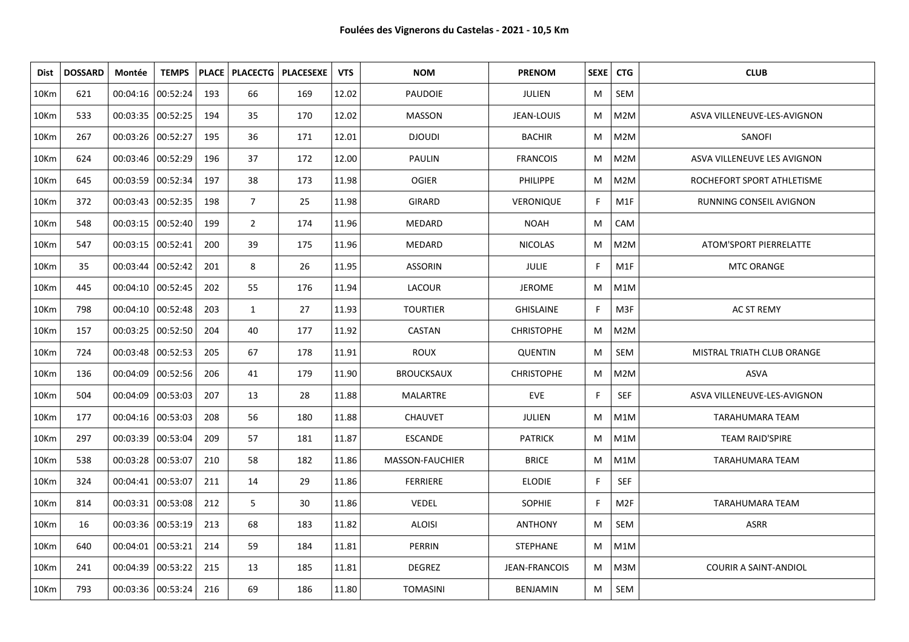| Dist             | <b>DOSSARD</b> | Montée              | <b>TEMPS</b> |     |                | PLACE   PLACECTG   PLACESEXE | <b>VTS</b> | <b>NOM</b>        | <b>PRENOM</b>     | SEXE CTG |                  | <b>CLUB</b>                  |
|------------------|----------------|---------------------|--------------|-----|----------------|------------------------------|------------|-------------------|-------------------|----------|------------------|------------------------------|
| 10Km             | 621            | 00:04:16 00:52:24   |              | 193 | 66             | 169                          | 12.02      | <b>PAUDOIE</b>    | <b>JULIEN</b>     | M        | SEM              |                              |
| 10Km             | 533            | 00:03:35 00:52:25   |              | 194 | 35             | 170                          | 12.02      | <b>MASSON</b>     | JEAN-LOUIS        | M        | M2M              | ASVA VILLENEUVE-LES-AVIGNON  |
| 10Km             | 267            | 00:03:26 00:52:27   |              | 195 | 36             | 171                          | 12.01      | <b>DJOUDI</b>     | <b>BACHIR</b>     | M        | M2M              | SANOFI                       |
| 10Km             | 624            | 00:03:46 00:52:29   |              | 196 | 37             | 172                          | 12.00      | <b>PAULIN</b>     | <b>FRANCOIS</b>   | M        | M2M              | ASVA VILLENEUVE LES AVIGNON  |
| 10Km             | 645            | 00:03:59 00:52:34   |              | 197 | 38             | 173                          | 11.98      | <b>OGIER</b>      | <b>PHILIPPE</b>   | M        | M2M              | ROCHEFORT SPORT ATHLETISME   |
| 10Km             | 372            | 00:03:43 00:52:35   |              | 198 | $\overline{7}$ | 25                           | 11.98      | <b>GIRARD</b>     | VERONIQUE         | F.       | M1F              | RUNNING CONSEIL AVIGNON      |
| 10Km             | 548            | 00:03:15   00:52:40 |              | 199 | $\overline{2}$ | 174                          | 11.96      | <b>MEDARD</b>     | <b>NOAH</b>       | M        | CAM              |                              |
| 10Km             | 547            | 00:03:15 00:52:41   |              | 200 | 39             | 175                          | 11.96      | MEDARD            | <b>NICOLAS</b>    | M        | M2M              | ATOM'SPORT PIERRELATTE       |
| 10Km             | 35             | 00:03:44   00:52:42 |              | 201 | 8              | 26                           | 11.95      | <b>ASSORIN</b>    | JULIE             | F.       | M1F              | <b>MTC ORANGE</b>            |
| 10Km             | 445            | 00:04:10 00:52:45   |              | 202 | 55             | 176                          | 11.94      | LACOUR            | <b>JEROME</b>     | M        | M1M              |                              |
| 10Km             | 798            | 00:04:10 00:52:48   |              | 203 | $\mathbf{1}$   | 27                           | 11.93      | <b>TOURTIER</b>   | <b>GHISLAINE</b>  | F.       | M3F              | <b>AC ST REMY</b>            |
| 10Km             | 157            | 00:03:25 00:52:50   |              | 204 | 40             | 177                          | 11.92      | CASTAN            | <b>CHRISTOPHE</b> | M        | M2M              |                              |
| 10 <sub>Km</sub> | 724            | 00:03:48   00:52:53 |              | 205 | 67             | 178                          | 11.91      | <b>ROUX</b>       | <b>QUENTIN</b>    | M        | SEM              | MISTRAL TRIATH CLUB ORANGE   |
| 10Km             | 136            | 00:04:09 00:52:56   |              | 206 | 41             | 179                          | 11.90      | <b>BROUCKSAUX</b> | <b>CHRISTOPHE</b> | M        | M2M              | ASVA                         |
| 10 <sub>Km</sub> | 504            | 00:04:09  00:53:03  |              | 207 | 13             | 28                           | 11.88      | MALARTRE          | <b>EVE</b>        | F.       | <b>SEF</b>       | ASVA VILLENEUVE-LES-AVIGNON  |
| 10Km             | 177            | 00:04:16 00:53:03   |              | 208 | 56             | 180                          | 11.88      | <b>CHAUVET</b>    | <b>JULIEN</b>     | M        | M <sub>1</sub> M | TARAHUMARA TEAM              |
| 10Km             | 297            | 00:03:39 00:53:04   |              | 209 | 57             | 181                          | 11.87      | <b>ESCANDE</b>    | <b>PATRICK</b>    | M        | M <sub>1</sub> M | <b>TEAM RAID'SPIRE</b>       |
| 10 <sub>Km</sub> | 538            | 00:03:28 00:53:07   |              | 210 | 58             | 182                          | 11.86      | MASSON-FAUCHIER   | <b>BRICE</b>      | M        | M <sub>1</sub> M | TARAHUMARA TEAM              |
| 10Km             | 324            | 00:04:41 00:53:07   |              | 211 | 14             | 29                           | 11.86      | <b>FERRIERE</b>   | <b>ELODIE</b>     | F.       | SEF              |                              |
| 10Km             | 814            | 00:03:31   00:53:08 |              | 212 | 5              | 30                           | 11.86      | <b>VEDEL</b>      | <b>SOPHIE</b>     | F.       | M <sub>2F</sub>  | TARAHUMARA TEAM              |
| 10Km             | 16             | 00:03:36 00:53:19   |              | 213 | 68             | 183                          | 11.82      | <b>ALOISI</b>     | <b>ANTHONY</b>    | M        | SEM              | <b>ASRR</b>                  |
| 10Km             | 640            | 00:04:01 00:53:21   |              | 214 | 59             | 184                          | 11.81      | PERRIN            | <b>STEPHANE</b>   | M        | M <sub>1</sub> M |                              |
| 10Km             | 241            | 00:04:39 00:53:22   |              | 215 | 13             | 185                          | 11.81      | <b>DEGREZ</b>     | JEAN-FRANCOIS     | M        | M3M              | <b>COURIR A SAINT-ANDIOL</b> |
| 10Km             | 793            | 00:03:36 00:53:24   |              | 216 | 69             | 186                          | 11.80      | <b>TOMASINI</b>   | <b>BENJAMIN</b>   | M        | SEM              |                              |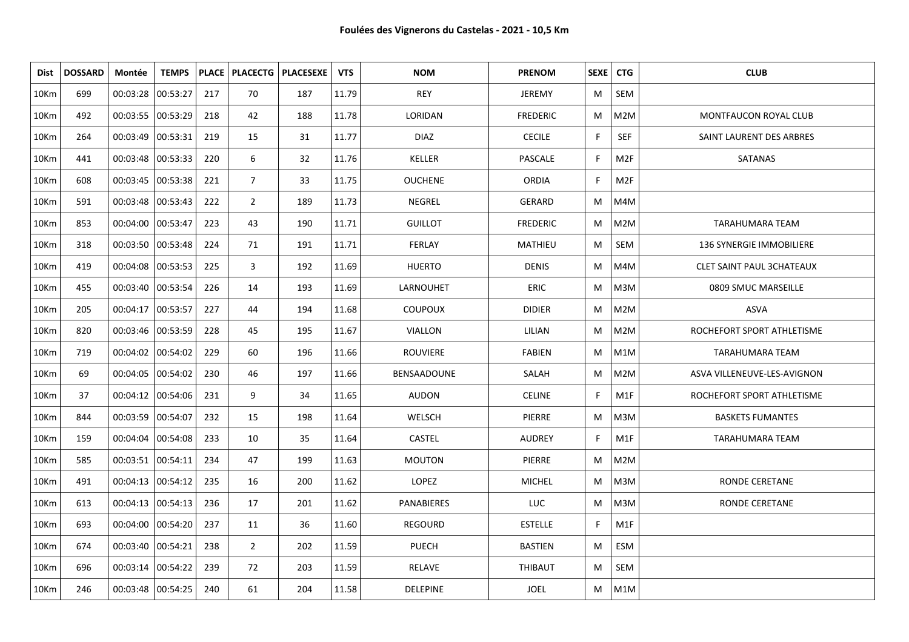| Dist             | <b>DOSSARD</b> | Montée              | <b>TEMPS</b> |     |                | PLACE   PLACECTG   PLACESEXE | <b>VTS</b> | <b>NOM</b>        | <b>PRENOM</b>   | SEXE   CTG |                 | <b>CLUB</b>                 |
|------------------|----------------|---------------------|--------------|-----|----------------|------------------------------|------------|-------------------|-----------------|------------|-----------------|-----------------------------|
| 10 <sub>Km</sub> | 699            | 00:03:28 00:53:27   |              | 217 | 70             | 187                          | 11.79      | <b>REY</b>        | <b>JEREMY</b>   | M          | SEM             |                             |
| 10Km             | 492            | 00:03:55 00:53:29   |              | 218 | 42             | 188                          | 11.78      | LORIDAN           | <b>FREDERIC</b> | M          | M2M             | MONTFAUCON ROYAL CLUB       |
| 10Km             | 264            | 00:03:49 00:53:31   |              | 219 | 15             | 31                           | 11.77      | <b>DIAZ</b>       | <b>CECILE</b>   | F.         | SEF             | SAINT LAURENT DES ARBRES    |
| 10Km             | 441            | 00:03:48 00:53:33   |              | 220 | 6              | 32                           | 11.76      | <b>KELLER</b>     | PASCALE         | F          | M <sub>2F</sub> | SATANAS                     |
| 10Km             | 608            | 00:03:45 00:53:38   |              | 221 | $\overline{7}$ | 33                           | 11.75      | <b>OUCHENE</b>    | <b>ORDIA</b>    | F          | M <sub>2F</sub> |                             |
| 10Km             | 591            | 00:03:48 00:53:43   |              | 222 | $\overline{2}$ | 189                          | 11.73      | NEGREL            | GERARD          | M          | M4M             |                             |
| 10Km             | 853            | 00:04:00 00:53:47   |              | 223 | 43             | 190                          | 11.71      | <b>GUILLOT</b>    | <b>FREDERIC</b> | M          | M2M             | <b>TARAHUMARA TEAM</b>      |
| 10Km             | 318            | 00:03:50 00:53:48   |              | 224 | 71             | 191                          | 11.71      | <b>FERLAY</b>     | MATHIEU         | M          | SEM             | 136 SYNERGIE IMMOBILIERE    |
| 10Km             | 419            | 00:04:08 00:53:53   |              | 225 | 3              | 192                          | 11.69      | <b>HUERTO</b>     | <b>DENIS</b>    | M          | M4M             | CLET SAINT PAUL 3CHATEAUX   |
| 10Km             | 455            | 00:03:40 00:53:54   |              | 226 | 14             | 193                          | 11.69      | LARNOUHET         | <b>ERIC</b>     | M          | M3M             | 0809 SMUC MARSEILLE         |
| 10Km             | 205            | 00:04:17 00:53:57   |              | 227 | 44             | 194                          | 11.68      | <b>COUPOUX</b>    | <b>DIDIER</b>   | M          | M2M             | <b>ASVA</b>                 |
| 10Km             | 820            | 00:03:46 00:53:59   |              | 228 | 45             | 195                          | 11.67      | VIALLON           | LILIAN          | M          | M2M             | ROCHEFORT SPORT ATHLETISME  |
| 10Km             | 719            | 00:04:02 00:54:02   |              | 229 | 60             | 196                          | 11.66      | <b>ROUVIERE</b>   | <b>FABIEN</b>   | M          | M1M             | TARAHUMARA TEAM             |
| 10Km             | 69             | 00:04:05 00:54:02   |              | 230 | 46             | 197                          | 11.66      | BENSAADOUNE       | SALAH           | M          | M2M             | ASVA VILLENEUVE-LES-AVIGNON |
| 10Km             | 37             | 00:04:12 00:54:06   |              | 231 | 9              | 34                           | 11.65      | <b>AUDON</b>      | <b>CELINE</b>   | F.         | M1F             | ROCHEFORT SPORT ATHLETISME  |
| 10Km             | 844            | 00:03:59 00:54:07   |              | 232 | 15             | 198                          | 11.64      | WELSCH            | PIERRE          | M          | M3M             | <b>BASKETS FUMANTES</b>     |
| 10Km             | 159            | 00:04:04 00:54:08   |              | 233 | 10             | 35                           | 11.64      | <b>CASTEL</b>     | <b>AUDREY</b>   | F.         | M1F             | TARAHUMARA TEAM             |
| 10Km             | 585            | 00:03:51 00:54:11   |              | 234 | 47             | 199                          | 11.63      | <b>MOUTON</b>     | PIERRE          | M          | M2M             |                             |
| 10Km             | 491            | 00:04:13 00:54:12   |              | 235 | 16             | 200                          | 11.62      | <b>LOPEZ</b>      | <b>MICHEL</b>   | M          | M3M             | <b>RONDE CERETANE</b>       |
| 10Km             | 613            | $00:04:13$ 00:54:13 |              | 236 | 17             | 201                          | 11.62      | <b>PANABIERES</b> | <b>LUC</b>      | M          | M3M             | RONDE CERETANE              |
| 10Km             | 693            | 00:04:00 00:54:20   |              | 237 | 11             | 36                           | 11.60      | REGOURD           | <b>ESTELLE</b>  | F.         | M1F             |                             |
| 10Km             | 674            | 00:03:40 00:54:21   |              | 238 | $\overline{2}$ | 202                          | 11.59      | PUECH             | <b>BASTIEN</b>  | M          | ESM             |                             |
| 10Km             | 696            | 00:03:14 00:54:22   |              | 239 | 72             | 203                          | 11.59      | <b>RELAVE</b>     | <b>THIBAUT</b>  | M          | SEM             |                             |
| 10Km             | 246            | 00:03:48 00:54:25   |              | 240 | 61             | 204                          | 11.58      | DELEPINE          | <b>JOEL</b>     | M          | M1M             |                             |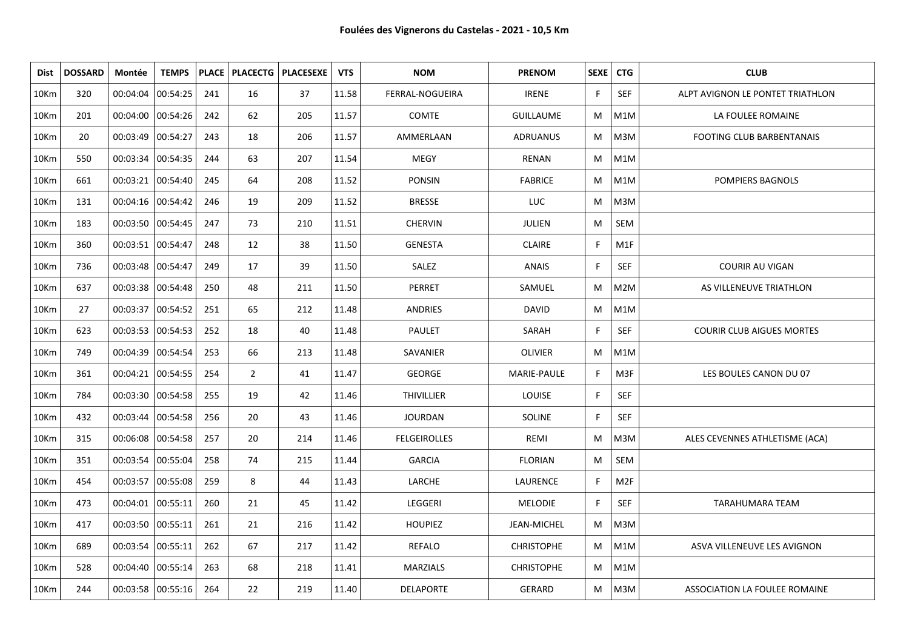| <b>Dist</b>      | <b>DOSSARD</b> | Montée              | <b>TEMPS</b>        |     | <b>PLACE   PLACECTG  </b> | <b>PLACESEXE</b> | <b>VTS</b> | <b>NOM</b>          | <b>PRENOM</b>     | SEXE | <b>CTG</b>       | <b>CLUB</b>                      |
|------------------|----------------|---------------------|---------------------|-----|---------------------------|------------------|------------|---------------------|-------------------|------|------------------|----------------------------------|
| 10Km             | 320            | 00:04:04            | 00:54:25            | 241 | 16                        | 37               | 11.58      | FERRAL-NOGUEIRA     | <b>IRENE</b>      | F    | <b>SEF</b>       | ALPT AVIGNON LE PONTET TRIATHLON |
| 10Km             | 201            | 00:04:00 00:54:26   |                     | 242 | 62                        | 205              | 11.57      | <b>COMTE</b>        | <b>GUILLAUME</b>  | M    | M1M              | LA FOULEE ROMAINE                |
| 10Km             | 20             | 00:03:49            | 00:54:27            | 243 | 18                        | 206              | 11.57      | AMMERLAAN           | <b>ADRUANUS</b>   | M    | M3M              | <b>FOOTING CLUB BARBENTANAIS</b> |
| 10Km             | 550            | 00:03:34   00:54:35 |                     | 244 | 63                        | 207              | 11.54      | <b>MEGY</b>         | <b>RENAN</b>      | M    | M1M              |                                  |
| 10Km             | 661            | 00:03:21            | 00:54:40            | 245 | 64                        | 208              | 11.52      | <b>PONSIN</b>       | <b>FABRICE</b>    | М    | M1M              | POMPIERS BAGNOLS                 |
| 10Km             | 131            | 00:04:16 00:54:42   |                     | 246 | 19                        | 209              | 11.52      | <b>BRESSE</b>       | <b>LUC</b>        | М    | M3M              |                                  |
| 10 <sub>Km</sub> | 183            | 00:03:50 00:54:45   |                     | 247 | 73                        | 210              | 11.51      | <b>CHERVIN</b>      | JULIEN            | M    | SEM              |                                  |
| 10Km             | 360            | 00:03:51 00:54:47   |                     | 248 | 12                        | 38               | 11.50      | <b>GENESTA</b>      | <b>CLAIRE</b>     | F    | M1F              |                                  |
| 10Km             | 736            | 00:03:48            | 00:54:47            | 249 | 17                        | 39               | 11.50      | SALEZ               | <b>ANAIS</b>      | E    | <b>SEF</b>       | <b>COURIR AU VIGAN</b>           |
| 10Km             | 637            | 00:03:38 00:54:48   |                     | 250 | 48                        | 211              | 11.50      | PERRET              | SAMUEL            | M    | M2M              | AS VILLENEUVE TRIATHLON          |
| 10Km             | 27             | 00:03:37            | 00:54:52            | 251 | 65                        | 212              | 11.48      | <b>ANDRIES</b>      | <b>DAVID</b>      | M    | M1M              |                                  |
| 10Km             | 623            | 00:03:53 00:54:53   |                     | 252 | 18                        | 40               | 11.48      | <b>PAULET</b>       | SARAH             | E    | <b>SEF</b>       | <b>COURIR CLUB AIGUES MORTES</b> |
| 10Km             | 749            | 00:04:39            | 00:54:54            | 253 | 66                        | 213              | 11.48      | SAVANIER            | <b>OLIVIER</b>    | M    | M1M              |                                  |
| 10Km             | 361            | 00:04:21 00:54:55   |                     | 254 | $\overline{2}$            | 41               | 11.47      | <b>GEORGE</b>       | MARIE-PAULE       | F    | M3F              | LES BOULES CANON DU 07           |
| 10Km             | 784            | 00:03:30            | 00:54:58            | 255 | 19                        | 42               | 11.46      | <b>THIVILLIER</b>   | LOUISE            | F    | <b>SEF</b>       |                                  |
| 10Km             | 432            |                     | 00:03:44   00:54:58 | 256 | 20                        | 43               | 11.46      | <b>JOURDAN</b>      | SOLINE            | E    | <b>SEF</b>       |                                  |
| 10Km             | 315            | 00:06:08            | 00:54:58            | 257 | 20                        | 214              | 11.46      | <b>FELGEIROLLES</b> | REMI              | M    | M3M              | ALES CEVENNES ATHLETISME (ACA)   |
| 10Km             | 351            | 00:03:54   00:55:04 |                     | 258 | 74                        | 215              | 11.44      | <b>GARCIA</b>       | <b>FLORIAN</b>    | M    | SEM              |                                  |
| 10Km             | 454            | 00:03:57            | 00:55:08            | 259 | 8                         | 44               | 11.43      | LARCHE              | LAURENCE          | F    | M <sub>2F</sub>  |                                  |
| 10Km             | 473            | 00:04:01 00:55:11   |                     | 260 | 21                        | 45               | 11.42      | LEGGERI             | <b>MELODIE</b>    | F    | <b>SEF</b>       | TARAHUMARA TEAM                  |
| 10Km             | 417            | 00:03:50            | 00:55:11            | 261 | 21                        | 216              | 11.42      | <b>HOUPIEZ</b>      | JEAN-MICHEL       | M    | M3M              |                                  |
| 10Km             | 689            | 00:03:54 00:55:11   |                     | 262 | 67                        | 217              | 11.42      | REFALO              | <b>CHRISTOPHE</b> | M    | M <sub>1</sub> M | ASVA VILLENEUVE LES AVIGNON      |
| 10Km             | 528            | 00:04:40            | 00:55:14            | 263 | 68                        | 218              | 11.41      | <b>MARZIALS</b>     | <b>CHRISTOPHE</b> | M    | M1M              |                                  |
| 10 <sub>Km</sub> | 244            |                     | 00:03:58   00:55:16 | 264 | 22                        | 219              | 11.40      | <b>DELAPORTE</b>    | GERARD            | M    | M3M              | ASSOCIATION LA FOULEE ROMAINE    |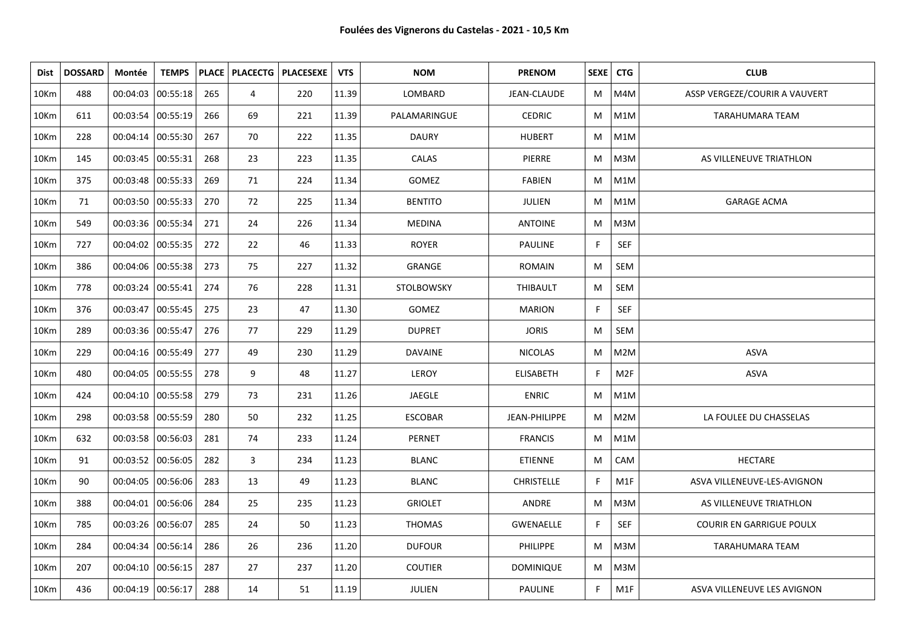| Dist             | <b>DOSSARD</b> | Montée              | <b>TEMPS</b> |     |    | <b>PLACE   PLACECTG   PLACESEXE</b> | <b>VTS</b> | <b>NOM</b>        | <b>PRENOM</b>      | SEXE <sup>1</sup> | <b>CTG</b>       | <b>CLUB</b>                     |
|------------------|----------------|---------------------|--------------|-----|----|-------------------------------------|------------|-------------------|--------------------|-------------------|------------------|---------------------------------|
| 10Km             | 488            | 00:04:03            | 00:55:18     | 265 | 4  | 220                                 | 11.39      | LOMBARD           | <b>JEAN-CLAUDE</b> | M                 | M4M              | ASSP VERGEZE/COURIR A VAUVERT   |
| 10 <sub>Km</sub> | 611            | 00:03:54 00:55:19   |              | 266 | 69 | 221                                 | 11.39      | PALAMARINGUE      | <b>CEDRIC</b>      | M                 | M1M              | TARAHUMARA TEAM                 |
| 10Km             | 228            | 00:04:14 00:55:30   |              | 267 | 70 | 222                                 | 11.35      | <b>DAURY</b>      | <b>HUBERT</b>      | M                 | M1M              |                                 |
| 10Km             | 145            | 00:03:45   00:55:31 |              | 268 | 23 | 223                                 | 11.35      | CALAS             | PIERRE             | M                 | M3M              | AS VILLENEUVE TRIATHLON         |
| 10Km             | 375            | 00:03:48            | 00:55:33     | 269 | 71 | 224                                 | 11.34      | GOMEZ             | <b>FABIEN</b>      | M                 | M1M              |                                 |
| 10Km             | 71             | 00:03:50 00:55:33   |              | 270 | 72 | 225                                 | 11.34      | <b>BENTITO</b>    | JULIEN             | M                 | M1M              | <b>GARAGE ACMA</b>              |
| 10Km             | 549            | 00:03:36 00:55:34   |              | 271 | 24 | 226                                 | 11.34      | <b>MEDINA</b>     | <b>ANTOINE</b>     | M                 | M3M              |                                 |
| 10Km             | 727            | 00:04:02 00:55:35   |              | 272 | 22 | 46                                  | 11.33      | <b>ROYER</b>      | <b>PAULINE</b>     | F.                | <b>SEF</b>       |                                 |
| 10Km             | 386            | 00:04:06            | 00:55:38     | 273 | 75 | 227                                 | 11.32      | GRANGE            | <b>ROMAIN</b>      | M                 | SEM              |                                 |
| 10Km             | 778            | 00:03:24   00:55:41 |              | 274 | 76 | 228                                 | 11.31      | <b>STOLBOWSKY</b> | THIBAULT           | M                 | SEM              |                                 |
| 10Km             | 376            | 00:03:47            | 00:55:45     | 275 | 23 | 47                                  | 11.30      | <b>GOMEZ</b>      | <b>MARION</b>      | F.                | SEF              |                                 |
| 10Km             | 289            | 00:03:36 00:55:47   |              | 276 | 77 | 229                                 | 11.29      | <b>DUPRET</b>     | <b>JORIS</b>       | M                 | SEM              |                                 |
| 10Km             | 229            | 00:04:16 00:55:49   |              | 277 | 49 | 230                                 | 11.29      | <b>DAVAINE</b>    | <b>NICOLAS</b>     | M                 | M2M              | <b>ASVA</b>                     |
| 10Km             | 480            | 00:04:05 00:55:55   |              | 278 | 9  | 48                                  | 11.27      | LEROY             | <b>ELISABETH</b>   | F.                | M <sub>2F</sub>  | ASVA                            |
| 10Km             | 424            | 00:04:10 00:55:58   |              | 279 | 73 | 231                                 | 11.26      | JAEGLE            | <b>ENRIC</b>       | M                 | M1M              |                                 |
| 10Km             | 298            | 00:03:58   00:55:59 |              | 280 | 50 | 232                                 | 11.25      | <b>ESCOBAR</b>    | JEAN-PHILIPPE      | М                 | M <sub>2</sub> M | LA FOULEE DU CHASSELAS          |
| 10Km             | 632            | 00:03:58 00:56:03   |              | 281 | 74 | 233                                 | 11.24      | PERNET            | <b>FRANCIS</b>     | M                 | M1M              |                                 |
| 10Km             | 91             | 00:03:52   00:56:05 |              | 282 | 3  | 234                                 | 11.23      | <b>BLANC</b>      | <b>ETIENNE</b>     | M                 | CAM              | <b>HECTARE</b>                  |
| 10Km             | 90             | 00:04:05            | 00:56:06     | 283 | 13 | 49                                  | 11.23      | <b>BLANC</b>      | <b>CHRISTELLE</b>  | F.                | M1F              | ASVA VILLENEUVE-LES-AVIGNON     |
| 10Km             | 388            | 00:04:01   00:56:06 |              | 284 | 25 | 235                                 | 11.23      | <b>GRIOLET</b>    | ANDRE              | M                 | M3M              | AS VILLENEUVE TRIATHLON         |
| 10Km             | 785            | 00:03:26 00:56:07   |              | 285 | 24 | 50                                  | 11.23      | <b>THOMAS</b>     | <b>GWENAELLE</b>   | F.                | <b>SEF</b>       | <b>COURIR EN GARRIGUE POULX</b> |
| 10Km             | 284            | 00:04:34 00:56:14   |              | 286 | 26 | 236                                 | 11.20      | <b>DUFOUR</b>     | <b>PHILIPPE</b>    | M                 | M3M              | TARAHUMARA TEAM                 |
| 10Km             | 207            | 00:04:10 00:56:15   |              | 287 | 27 | 237                                 | 11.20      | <b>COUTIER</b>    | <b>DOMINIQUE</b>   | M                 | M3M              |                                 |
| 10Km             | 436            | 00:04:19 00:56:17   |              | 288 | 14 | 51                                  | 11.19      | JULIEN            | <b>PAULINE</b>     | F.                | M1F              | ASVA VILLENEUVE LES AVIGNON     |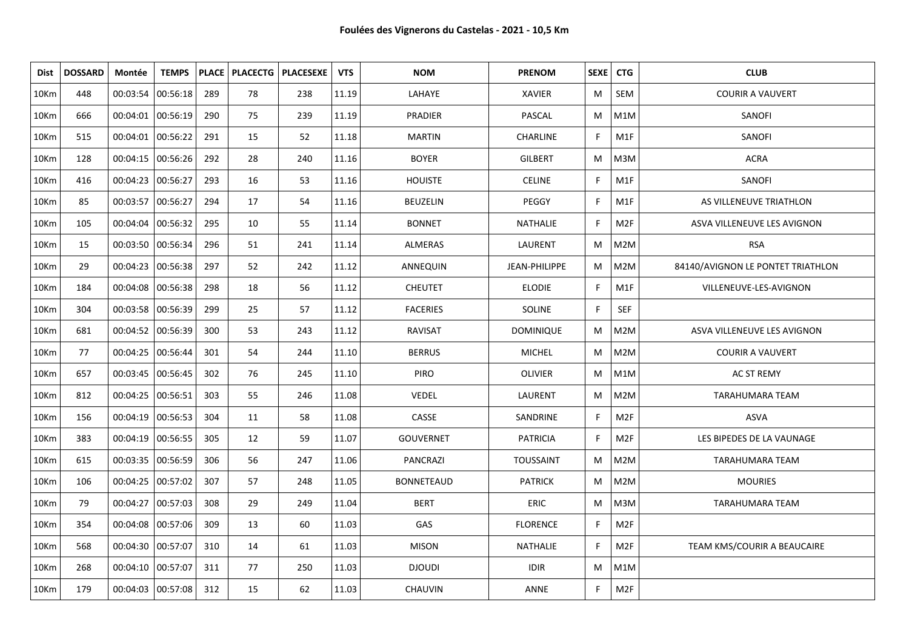| <b>Dist</b>      | <b>DOSSARD</b> | Montée            | <b>TEMPS</b> |     |    | PLACE   PLACECTG   PLACESEXE | <b>VTS</b> | <b>NOM</b>        | <b>PRENOM</b>    | SEXE | <b>CTG</b>      | <b>CLUB</b>                       |
|------------------|----------------|-------------------|--------------|-----|----|------------------------------|------------|-------------------|------------------|------|-----------------|-----------------------------------|
| 10Km             | 448            | 00:03:54 00:56:18 |              | 289 | 78 | 238                          | 11.19      | LAHAYE            | <b>XAVIER</b>    | M    | SEM             | <b>COURIR A VAUVERT</b>           |
| 10Km             | 666            | 00:04:01 00:56:19 |              | 290 | 75 | 239                          | 11.19      | <b>PRADIER</b>    | PASCAL           | M    | M1M             | SANOFI                            |
| 10Km             | 515            | 00:04:01 00:56:22 |              | 291 | 15 | 52                           | 11.18      | <b>MARTIN</b>     | CHARLINE         | F    | M1F             | SANOFI                            |
| 10Km             | 128            | 00:04:15 00:56:26 |              | 292 | 28 | 240                          | 11.16      | <b>BOYER</b>      | <b>GILBERT</b>   | M    | M3M             | <b>ACRA</b>                       |
| 10Km             | 416            | 00:04:23 00:56:27 |              | 293 | 16 | 53                           | 11.16      | <b>HOUISTE</b>    | <b>CELINE</b>    | F    | M1F             | SANOFI                            |
| 10Km             | 85             | 00:03:57 00:56:27 |              | 294 | 17 | 54                           | 11.16      | <b>BEUZELIN</b>   | PEGGY            | F    | M1F             | AS VILLENEUVE TRIATHLON           |
| 10Km             | 105            | 00:04:04 00:56:32 |              | 295 | 10 | 55                           | 11.14      | <b>BONNET</b>     | NATHALIE         | F    | M <sub>2F</sub> | ASVA VILLENEUVE LES AVIGNON       |
| 10Km             | 15             | 00:03:50 00:56:34 |              | 296 | 51 | 241                          | 11.14      | ALMERAS           | LAURENT          | M    | M2M             | <b>RSA</b>                        |
| 10 <sub>Km</sub> | 29             | 00:04:23 00:56:38 |              | 297 | 52 | 242                          | 11.12      | ANNEQUIN          | JEAN-PHILIPPE    | M    | M2M             | 84140/AVIGNON LE PONTET TRIATHLON |
| 10Km             | 184            | 00:04:08 00:56:38 |              | 298 | 18 | 56                           | 11.12      | <b>CHEUTET</b>    | <b>ELODIE</b>    | F    | M1F             | VILLENEUVE-LES-AVIGNON            |
| 10Km             | 304            | 00:03:58 00:56:39 |              | 299 | 25 | 57                           | 11.12      | <b>FACERIES</b>   | <b>SOLINE</b>    | F    | SEF             |                                   |
| 10Km             | 681            | 00:04:52 00:56:39 |              | 300 | 53 | 243                          | 11.12      | <b>RAVISAT</b>    | <b>DOMINIQUE</b> | M    | M2M             | ASVA VILLENEUVE LES AVIGNON       |
| 10Km             | 77             | 00:04:25 00:56:44 |              | 301 | 54 | 244                          | 11.10      | <b>BERRUS</b>     | MICHEL           | M    | M2M             | <b>COURIR A VAUVERT</b>           |
| 10Km             | 657            | 00:03:45 00:56:45 |              | 302 | 76 | 245                          | 11.10      | <b>PIRO</b>       | <b>OLIVIER</b>   | M    | M1M             | <b>AC ST REMY</b>                 |
| 10Km             | 812            | 00:04:25 00:56:51 |              | 303 | 55 | 246                          | 11.08      | VEDEL             | LAURENT          | M    | M2M             | TARAHUMARA TEAM                   |
| 10Km             | 156            | 00:04:19 00:56:53 |              | 304 | 11 | 58                           | 11.08      | CASSE             | SANDRINE         | F    | M2F             | <b>ASVA</b>                       |
| 10Km             | 383            | 00:04:19 00:56:55 |              | 305 | 12 | 59                           | 11.07      | <b>GOUVERNET</b>  | <b>PATRICIA</b>  | F    | M2F             | LES BIPEDES DE LA VAUNAGE         |
| 10Km             | 615            | 00:03:35 00:56:59 |              | 306 | 56 | 247                          | 11.06      | PANCRAZI          | <b>TOUSSAINT</b> | M    | M2M             | <b>TARAHUMARA TEAM</b>            |
| 10Km             | 106            | 00:04:25 00:57:02 |              | 307 | 57 | 248                          | 11.05      | <b>BONNETEAUD</b> | <b>PATRICK</b>   | M    | M2M             | <b>MOURIES</b>                    |
| 10Km             | 79             | 00:04:27 00:57:03 |              | 308 | 29 | 249                          | 11.04      | <b>BERT</b>       | <b>ERIC</b>      | M    | M3M             | <b>TARAHUMARA TEAM</b>            |
| 10Km             | 354            | 00:04:08 00:57:06 |              | 309 | 13 | 60                           | 11.03      | GAS               | <b>FLORENCE</b>  | F    | M <sub>2F</sub> |                                   |
| 10Km             | 568            | 00:04:30 00:57:07 |              | 310 | 14 | 61                           | 11.03      | <b>MISON</b>      | NATHALIE         | F    | M <sub>2F</sub> | TEAM KMS/COURIR A BEAUCAIRE       |
| 10Km             | 268            | 00:04:10 00:57:07 |              | 311 | 77 | 250                          | 11.03      | <b>DJOUDI</b>     | <b>IDIR</b>      | M    | M1M             |                                   |
| 10Km             | 179            | 00:04:03 00:57:08 |              | 312 | 15 | 62                           | 11.03      | CHAUVIN           | ANNE             | F    | M <sub>2F</sub> |                                   |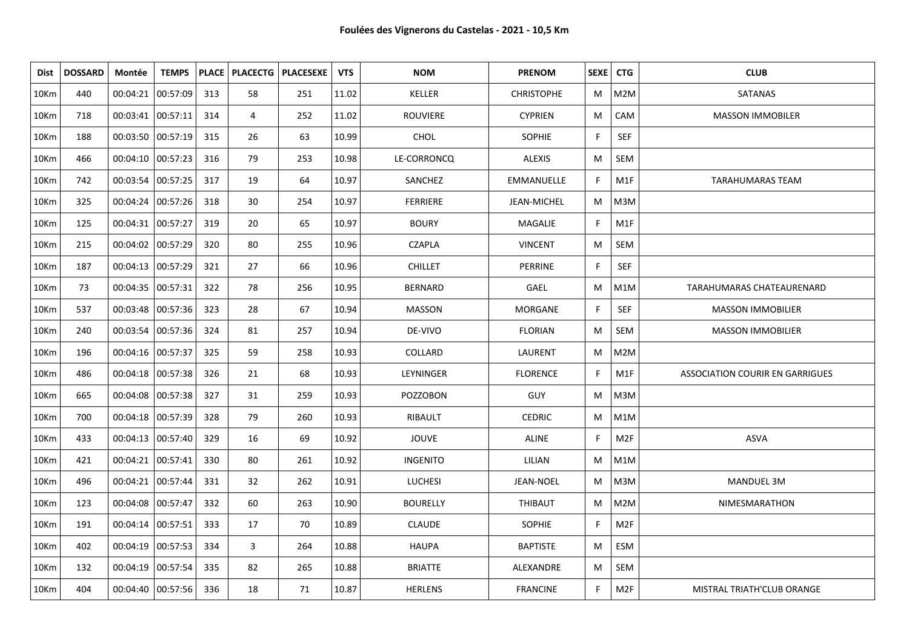| Dist | <b>DOSSARD</b> | Montée              | <b>TEMPS</b>        |     |    | PLACE   PLACECTG   PLACESEXE | <b>VTS</b> | <b>NOM</b>      | <b>PRENOM</b>     | SEXE   CTG   |                  | <b>CLUB</b>                            |
|------|----------------|---------------------|---------------------|-----|----|------------------------------|------------|-----------------|-------------------|--------------|------------------|----------------------------------------|
| 10Km | 440            | 00:04:21            | 00:57:09            | 313 | 58 | 251                          | 11.02      | KELLER          | <b>CHRISTOPHE</b> | M            | M2M              | SATANAS                                |
| 10Km | 718            | 00:03:41 00:57:11   |                     | 314 | 4  | 252                          | 11.02      | <b>ROUVIERE</b> | <b>CYPRIEN</b>    | M            | CAM              | <b>MASSON IMMOBILER</b>                |
| 10Km | 188            | 00:03:50 00:57:19   |                     | 315 | 26 | 63                           | 10.99      | CHOL            | <b>SOPHIE</b>     | F            | SEF              |                                        |
| 10Km | 466            | 00:04:10 00:57:23   |                     | 316 | 79 | 253                          | 10.98      | LE-CORRONCQ     | <b>ALEXIS</b>     | M            | SEM              |                                        |
| 10Km | 742            | 00:03:54 00:57:25   |                     | 317 | 19 | 64                           | 10.97      | SANCHEZ         | <b>EMMANUELLE</b> | F            | M1F              | <b>TARAHUMARAS TEAM</b>                |
| 10Km | 325            | 00:04:24 00:57:26   |                     | 318 | 30 | 254                          | 10.97      | <b>FERRIERE</b> | JEAN-MICHEL       | M            | M3M              |                                        |
| 10Km | 125            | 00:04:31 00:57:27   |                     | 319 | 20 | 65                           | 10.97      | <b>BOURY</b>    | MAGALIE           | F            | M1F              |                                        |
| 10Km | 215            | 00:04:02 00:57:29   |                     | 320 | 80 | 255                          | 10.96      | <b>CZAPLA</b>   | <b>VINCENT</b>    | M            | SEM              |                                        |
| 10Km | 187            | 00:04:13 00:57:29   |                     | 321 | 27 | 66                           | 10.96      | <b>CHILLET</b>  | PERRINE           | F            | SEF              |                                        |
| 10Km | 73             | 00:04:35 00:57:31   |                     | 322 | 78 | 256                          | 10.95      | <b>BERNARD</b>  | <b>GAEL</b>       | M            | M1M              | TARAHUMARAS CHATEAURENARD              |
| 10Km | 537            |                     | 00:03:48 00:57:36   | 323 | 28 | 67                           | 10.94      | <b>MASSON</b>   | MORGANE           | F            | <b>SEF</b>       | <b>MASSON IMMOBILIER</b>               |
| 10Km | 240            |                     | 00:03:54 00:57:36   | 324 | 81 | 257                          | 10.94      | DE-VIVO         | <b>FLORIAN</b>    | M            | SEM              | <b>MASSON IMMOBILIER</b>               |
| 10Km | 196            | 00:04:16 00:57:37   |                     | 325 | 59 | 258                          | 10.93      | COLLARD         | LAURENT           | M            | M <sub>2</sub> M |                                        |
| 10Km | 486            | 00:04:18 00:57:38   |                     | 326 | 21 | 68                           | 10.93      | LEYNINGER       | <b>FLORENCE</b>   | F            | M1F              | <b>ASSOCIATION COURIR EN GARRIGUES</b> |
| 10Km | 665            | 00:04:08 00:57:38   |                     | 327 | 31 | 259                          | 10.93      | <b>POZZOBON</b> | <b>GUY</b>        | M            | M3M              |                                        |
| 10Km | 700            | 00:04:18 00:57:39   |                     | 328 | 79 | 260                          | 10.93      | RIBAULT         | <b>CEDRIC</b>     | M            | M1M              |                                        |
| 10Km | 433            | 00:04:13 00:57:40   |                     | 329 | 16 | 69                           | 10.92      | <b>JOUVE</b>    | ALINE             | F            | M <sub>2F</sub>  | <b>ASVA</b>                            |
| 10Km | 421            | 00:04:21   00:57:41 |                     | 330 | 80 | 261                          | 10.92      | <b>INGENITO</b> | LILIAN            | M            | M1M              |                                        |
| 10Km | 496            | 00:04:21 00:57:44   |                     | 331 | 32 | 262                          | 10.91      | <b>LUCHESI</b>  | JEAN-NOEL         | M            | M3M              | MANDUEL 3M                             |
| 10Km | 123            | 00:04:08  00:57:47  |                     | 332 | 60 | 263                          | 10.90      | <b>BOURELLY</b> | THIBAUT           | М            | M2M              | NIMESMARATHON                          |
| 10Km | 191            | 00:04:14 00:57:51   |                     | 333 | 17 | 70                           | 10.89      | <b>CLAUDE</b>   | <b>SOPHIE</b>     | $\mathsf{F}$ | M <sub>2F</sub>  |                                        |
| 10Km | 402            | 00:04:19 00:57:53   |                     | 334 | 3  | 264                          | 10.88      | <b>HAUPA</b>    | <b>BAPTISTE</b>   | M            | ESM              |                                        |
| 10Km | 132            | 00:04:19 00:57:54   |                     | 335 | 82 | 265                          | 10.88      | <b>BRIATTE</b>  | ALEXANDRE         | M            | SEM              |                                        |
| 10Km | 404            |                     | 00:04:40   00:57:56 | 336 | 18 | 71                           | 10.87      | <b>HERLENS</b>  | <b>FRANCINE</b>   | F            | M <sub>2F</sub>  | MISTRAL TRIATH'CLUB ORANGE             |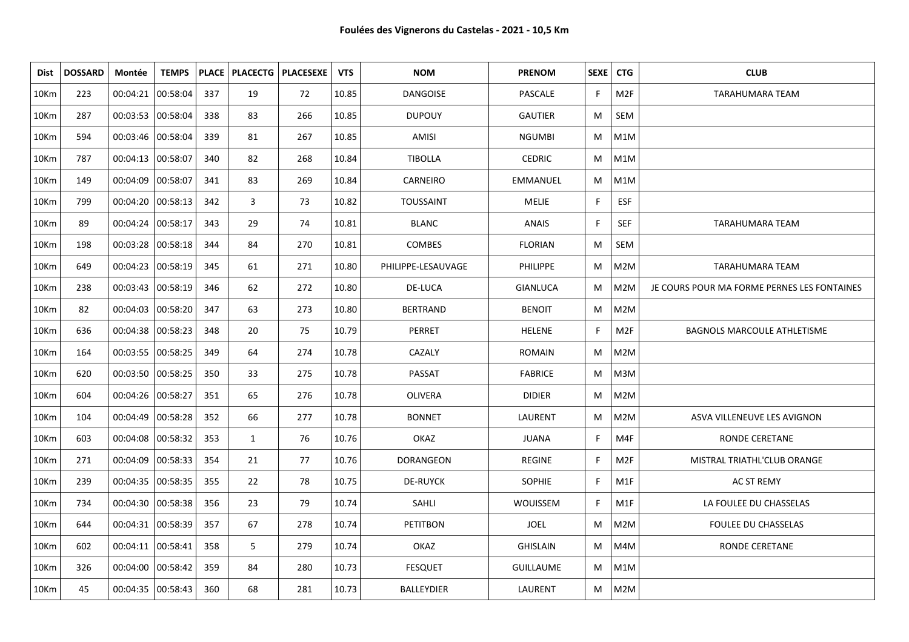| Dist | <b>DOSSARD</b> | Montée              | <b>TEMPS</b>      |     | <b>PLACE   PLACECTG  </b> | <b>PLACESEXE</b> | <b>VTS</b> | <b>NOM</b>         | <b>PRENOM</b>    | SEXE   CTG   |                 | <b>CLUB</b>                                 |
|------|----------------|---------------------|-------------------|-----|---------------------------|------------------|------------|--------------------|------------------|--------------|-----------------|---------------------------------------------|
| 10Km | 223            | 00:04:21 00:58:04   |                   | 337 | 19                        | 72               | 10.85      | <b>DANGOISE</b>    | PASCALE          | F            | M2F             | <b>TARAHUMARA TEAM</b>                      |
| 10Km | 287            | 00:03:53  00:58:04  |                   | 338 | 83                        | 266              | 10.85      | <b>DUPOUY</b>      | <b>GAUTIER</b>   | M            | <b>SEM</b>      |                                             |
| 10Km | 594            | 00:03:46 00:58:04   |                   | 339 | 81                        | 267              | 10.85      | AMISI              | <b>NGUMBI</b>    | M            | M1M             |                                             |
| 10Km | 787            | 00:04:13  00:58:07  |                   | 340 | 82                        | 268              | 10.84      | <b>TIBOLLA</b>     | <b>CEDRIC</b>    | M            | M1M             |                                             |
| 10Km | 149            | 00:04:09 00:58:07   |                   | 341 | 83                        | 269              | 10.84      | CARNEIRO           | EMMANUEL         | M            | M1M             |                                             |
| 10Km | 799            | 00:04:20 00:58:13   |                   | 342 | 3                         | 73               | 10.82      | <b>TOUSSAINT</b>   | <b>MELIE</b>     | F            | <b>ESF</b>      |                                             |
| 10Km | 89             | 00:04:24   00:58:17 |                   | 343 | 29                        | 74               | 10.81      | <b>BLANC</b>       | <b>ANAIS</b>     | $\mathsf{F}$ | <b>SEF</b>      | <b>TARAHUMARA TEAM</b>                      |
| 10Km | 198            | 00:03:28 00:58:18   |                   | 344 | 84                        | 270              | 10.81      | <b>COMBES</b>      | <b>FLORIAN</b>   | M            | SEM             |                                             |
| 10Km | 649            | 00:04:23 00:58:19   |                   | 345 | 61                        | 271              | 10.80      | PHILIPPE-LESAUVAGE | <b>PHILIPPE</b>  | M            | M2M             | <b>TARAHUMARA TEAM</b>                      |
| 10Km | 238            | 00:03:43 00:58:19   |                   | 346 | 62                        | 272              | 10.80      | DE-LUCA            | <b>GIANLUCA</b>  | M            | M2M             | JE COURS POUR MA FORME PERNES LES FONTAINES |
| 10Km | 82             |                     | 00:04:03 00:58:20 | 347 | 63                        | 273              | 10.80      | <b>BERTRAND</b>    | <b>BENOIT</b>    | M            | M2M             |                                             |
| 10Km | 636            |                     | 00:04:38 00:58:23 | 348 | 20                        | 75               | 10.79      | PERRET             | <b>HELENE</b>    | F            | M <sub>2F</sub> | <b>BAGNOLS MARCOULE ATHLETISME</b>          |
| 10Km | 164            | 00:03:55 00:58:25   |                   | 349 | 64                        | 274              | 10.78      | CAZALY             | <b>ROMAIN</b>    | M            | M2M             |                                             |
| 10Km | 620            | 00:03:50 00:58:25   |                   | 350 | 33                        | 275              | 10.78      | PASSAT             | <b>FABRICE</b>   | M            | M3M             |                                             |
| 10Km | 604            | 00:04:26 00:58:27   |                   | 351 | 65                        | 276              | 10.78      | <b>OLIVERA</b>     | <b>DIDIER</b>    | M            | M2M             |                                             |
| 10Km | 104            | 00:04:49 00:58:28   |                   | 352 | 66                        | 277              | 10.78      | <b>BONNET</b>      | LAURENT          | M            | M2M             | ASVA VILLENEUVE LES AVIGNON                 |
| 10Km | 603            | 00:04:08 00:58:32   |                   | 353 | $\mathbf{1}$              | 76               | 10.76      | OKAZ               | <b>JUANA</b>     | F            | M4F             | RONDE CERETANE                              |
| 10Km | 271            |                     | 00:04:09 00:58:33 | 354 | 21                        | 77               | 10.76      | <b>DORANGEON</b>   | <b>REGINE</b>    | F            | M <sub>2F</sub> | MISTRAL TRIATHL'CLUB ORANGE                 |
| 10Km | 239            |                     | 00:04:35 00:58:35 | 355 | 22                        | 78               | 10.75      | <b>DE-RUYCK</b>    | SOPHIE           | F            | M1F             | AC ST REMY                                  |
| 10Km | 734            |                     | 00:04:30 00:58:38 | 356 | 23                        | 79               | 10.74      | SAHLI              | WOUISSEM         | F            | M1F             | LA FOULEE DU CHASSELAS                      |
| 10Km | 644            | 00:04:31 00:58:39   |                   | 357 | 67                        | 278              | 10.74      | <b>PETITBON</b>    | <b>JOEL</b>      | M            | M2M             | <b>FOULEE DU CHASSELAS</b>                  |
| 10Km | 602            | 00:04:11 00:58:41   |                   | 358 | 5                         | 279              | 10.74      | OKAZ               | <b>GHISLAIN</b>  | M            | M4M             | RONDE CERETANE                              |
| 10Km | 326            | 00:04:00 00:58:42   |                   | 359 | 84                        | 280              | 10.73      | <b>FESQUET</b>     | <b>GUILLAUME</b> | M            | M1M             |                                             |
| 10Km | 45             |                     | 00:04:35 00:58:43 | 360 | 68                        | 281              | 10.73      | <b>BALLEYDIER</b>  | LAURENT          | М            | M2M             |                                             |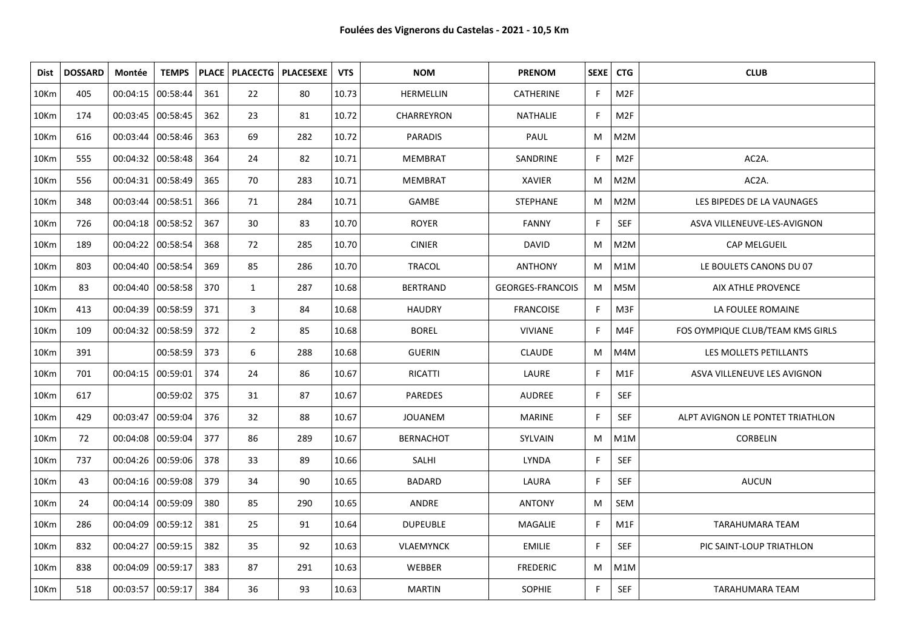| Dist             | <b>DOSSARD</b> | Montée              | <b>TEMPS</b> |     |                | PLACE   PLACECTG   PLACESEXE | <b>VTS</b> | <b>NOM</b>       | <b>PRENOM</b>           |    | SEXE   CTG       | <b>CLUB</b>                      |
|------------------|----------------|---------------------|--------------|-----|----------------|------------------------------|------------|------------------|-------------------------|----|------------------|----------------------------------|
| 10Km             | 405            | 00:04:15            | 00:58:44     | 361 | 22             | 80                           | 10.73      | HERMELLIN        | CATHERINE               | F. | M <sub>2F</sub>  |                                  |
| 10Km             | 174            | 00:03:45 00:58:45   |              | 362 | 23             | 81                           | 10.72      | CHARREYRON       | NATHALIE                | F. | M <sub>2F</sub>  |                                  |
| 10Km             | 616            | 00:03:44            | 00:58:46     | 363 | 69             | 282                          | 10.72      | <b>PARADIS</b>   | PAUL                    | M  | M2M              |                                  |
| 10Km             | 555            | 00:04:32 00:58:48   |              | 364 | 24             | 82                           | 10.71      | MEMBRAT          | SANDRINE                | F. | M <sub>2F</sub>  | AC2A.                            |
| 10Km             | 556            | 00:04:31 00:58:49   |              | 365 | 70             | 283                          | 10.71      | <b>MEMBRAT</b>   | XAVIER                  | M  | M2M              | AC2A.                            |
| 10Km             | 348            | 00:03:44 00:58:51   |              | 366 | 71             | 284                          | 10.71      | GAMBE            | <b>STEPHANE</b>         | M  | M2M              | LES BIPEDES DE LA VAUNAGES       |
| 10Km             | 726            | 00:04:18 00:58:52   |              | 367 | 30             | 83                           | 10.70      | <b>ROYER</b>     | <b>FANNY</b>            | F. | SEF              | ASVA VILLENEUVE-LES-AVIGNON      |
| 10Km             | 189            | 00:04:22 00:58:54   |              | 368 | 72             | 285                          | 10.70      | <b>CINIER</b>    | <b>DAVID</b>            | M  | M <sub>2</sub> M | CAP MELGUEIL                     |
| 10Km             | 803            | 00:04:40 00:58:54   |              | 369 | 85             | 286                          | 10.70      | <b>TRACOL</b>    | <b>ANTHONY</b>          | M  | M1M              | LE BOULETS CANONS DU 07          |
| 10Km             | 83             | 00:04:40 00:58:58   |              | 370 | $\mathbf{1}$   | 287                          | 10.68      | <b>BERTRAND</b>  | <b>GEORGES-FRANCOIS</b> | M  | M5M              | <b>AIX ATHLE PROVENCE</b>        |
| 10 <sub>Km</sub> | 413            | 00:04:39            | 00:58:59     | 371 | 3              | 84                           | 10.68      | <b>HAUDRY</b>    | <b>FRANCOISE</b>        | F. | M3F              | LA FOULEE ROMAINE                |
| 10Km             | 109            | 00:04:32 00:58:59   |              | 372 | $\overline{2}$ | 85                           | 10.68      | <b>BOREL</b>     | <b>VIVIANE</b>          | F. | M4F              | FOS OYMPIQUE CLUB/TEAM KMS GIRLS |
| 10Km             | 391            |                     | 00:58:59     | 373 | 6              | 288                          | 10.68      | <b>GUERIN</b>    | <b>CLAUDE</b>           | M  | M4M              | LES MOLLETS PETILLANTS           |
| 10Km             | 701            | 00:04:15  00:59:01  |              | 374 | 24             | 86                           | 10.67      | RICATTI          | LAURE                   | F  | M1F              | ASVA VILLENEUVE LES AVIGNON      |
| 10Km             | 617            |                     | 00:59:02     | 375 | 31             | 87                           | 10.67      | <b>PAREDES</b>   | <b>AUDREE</b>           | F. | <b>SEF</b>       |                                  |
| 10Km             | 429            | 00:03:47            | 00:59:04     | 376 | 32             | 88                           | 10.67      | <b>JOUANEM</b>   | <b>MARINE</b>           | F. | <b>SEF</b>       | ALPT AVIGNON LE PONTET TRIATHLON |
| 10Km             | 72             | 00:04:08            | 00:59:04     | 377 | 86             | 289                          | 10.67      | <b>BERNACHOT</b> | SYLVAIN                 | M  | M1M              | <b>CORBELIN</b>                  |
| 10Km             | 737            | 00:04:26   00:59:06 |              | 378 | 33             | 89                           | 10.66      | SALHI            | LYNDA                   | F. | <b>SEF</b>       |                                  |
| 10 <sub>Km</sub> | 43             | 00:04:16 00:59:08   |              | 379 | 34             | 90                           | 10.65      | <b>BADARD</b>    | LAURA                   | F. | <b>SEF</b>       | <b>AUCUN</b>                     |
| 10Km             | 24             | 00:04:14   00:59:09 |              | 380 | 85             | 290                          | 10.65      | ANDRE            | <b>ANTONY</b>           | М  | SEM              |                                  |
| 10Km             | 286            | 00:04:09 00:59:12   |              | 381 | 25             | 91                           | 10.64      | <b>DUPEUBLE</b>  | MAGALIE                 | F  | M1F              | TARAHUMARA TEAM                  |
| 10Km             | 832            | 00:04:27 00:59:15   |              | 382 | 35             | 92                           | 10.63      | <b>VLAEMYNCK</b> | <b>EMILIE</b>           | F. | <b>SEF</b>       | PIC SAINT-LOUP TRIATHLON         |
| 10Km             | 838            | 00:04:09            | 00:59:17     | 383 | 87             | 291                          | 10.63      | WEBBER           | <b>FREDERIC</b>         | M  | M1M              |                                  |
| 10Km             | 518            | 00:03:57 00:59:17   |              | 384 | 36             | 93                           | 10.63      | <b>MARTIN</b>    | SOPHIE                  | F. | <b>SEF</b>       | TARAHUMARA TEAM                  |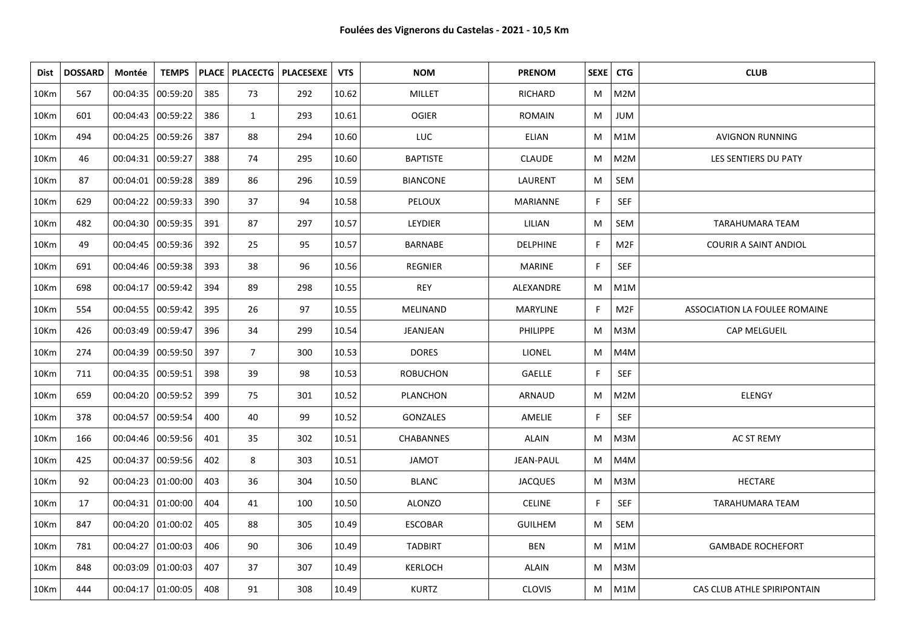| Dist | <b>DOSSARD</b> | Montée              | <b>TEMPS</b> |     |                | PLACE   PLACECTG   PLACESEXE | <b>VTS</b> | <b>NOM</b>       | <b>PRENOM</b>    | SEXE   CTG |                 | <b>CLUB</b>                   |
|------|----------------|---------------------|--------------|-----|----------------|------------------------------|------------|------------------|------------------|------------|-----------------|-------------------------------|
| 10Km | 567            | 00:04:35            | 00:59:20     | 385 | 73             | 292                          | 10.62      | <b>MILLET</b>    | RICHARD          | M          | M2M             |                               |
| 10Km | 601            | 00:04:43 00:59:22   |              | 386 | $\mathbf{1}$   | 293                          | 10.61      | <b>OGIER</b>     | <b>ROMAIN</b>    | M          | JUM             |                               |
| 10Km | 494            | 00:04:25            | 00:59:26     | 387 | 88             | 294                          | 10.60      | <b>LUC</b>       | <b>ELIAN</b>     | M          | M1M             | <b>AVIGNON RUNNING</b>        |
| 10Km | 46             | 00:04:31 00:59:27   |              | 388 | 74             | 295                          | 10.60      | <b>BAPTISTE</b>  | <b>CLAUDE</b>    | М          | M2M             | LES SENTIERS DU PATY          |
| 10Km | 87             | 00:04:01 00:59:28   |              | 389 | 86             | 296                          | 10.59      | <b>BIANCONE</b>  | LAURENT          | M          | SEM             |                               |
| 10Km | 629            | 00:04:22 00:59:33   |              | 390 | 37             | 94                           | 10.58      | <b>PELOUX</b>    | MARIANNE         | F          | <b>SEF</b>      |                               |
| 10Km | 482            | 00:04:30 00:59:35   |              | 391 | 87             | 297                          | 10.57      | LEYDIER          | LILIAN           | M          | SEM             | <b>TARAHUMARA TEAM</b>        |
| 10Km | 49             | 00:04:45 00:59:36   |              | 392 | 25             | 95                           | 10.57      | <b>BARNABE</b>   | <b>DELPHINE</b>  | F          | M2F             | <b>COURIR A SAINT ANDIOL</b>  |
| 10Km | 691            | 00:04:46 00:59:38   |              | 393 | 38             | 96                           | 10.56      | <b>REGNIER</b>   | <b>MARINE</b>    | F          | <b>SEF</b>      |                               |
| 10Km | 698            | 00:04:17 00:59:42   |              | 394 | 89             | 298                          | 10.55      | <b>REY</b>       | ALEXANDRE        | M          | M1M             |                               |
| 10Km | 554            | 00:04:55 00:59:42   |              | 395 | 26             | 97                           | 10.55      | <b>MELINAND</b>  | MARYLINE         | F          | M <sub>2F</sub> | ASSOCIATION LA FOULEE ROMAINE |
| 10Km | 426            | 00:03:49 00:59:47   |              | 396 | 34             | 299                          | 10.54      | JEANJEAN         | <b>PHILIPPE</b>  | M          | M3M             | <b>CAP MELGUEIL</b>           |
| 10Km | 274            | 00:04:39            | 00:59:50     | 397 | $\overline{7}$ | 300                          | 10.53      | <b>DORES</b>     | <b>LIONEL</b>    | М          | M4M             |                               |
| 10Km | 711            | 00:04:35  00:59:51  |              | 398 | 39             | 98                           | 10.53      | <b>ROBUCHON</b>  | <b>GAELLE</b>    | F          | <b>SEF</b>      |                               |
| 10Km | 659            | 00:04:20            | 00:59:52     | 399 | 75             | 301                          | 10.52      | PLANCHON         | ARNAUD           | M          | M2M             | ELENGY                        |
| 10Km | 378            | 00:04:57 00:59:54   |              | 400 | 40             | 99                           | 10.52      | GONZALES         | AMELIE           | F          | <b>SEF</b>      |                               |
| 10Km | 166            | 00:04:46   00:59:56 |              | 401 | 35             | 302                          | 10.51      | <b>CHABANNES</b> | ALAIN            | M          | M3M             | <b>AC ST REMY</b>             |
| 10Km | 425            | 00:04:37   00:59:56 |              | 402 | 8              | 303                          | 10.51      | <b>JAMOT</b>     | <b>JEAN-PAUL</b> | M          | M4M             |                               |
| 10Km | 92             | 00:04:23 01:00:00   |              | 403 | 36             | 304                          | 10.50      | <b>BLANC</b>     | <b>JACQUES</b>   | M          | M3M             | <b>HECTARE</b>                |
| 10Km | 17             | 00:04:31   01:00:00 |              | 404 | 41             | 100                          | 10.50      | <b>ALONZO</b>    | <b>CELINE</b>    | F          | <b>SEF</b>      | TARAHUMARA TEAM               |
| 10Km | 847            | 00:04:20 01:00:02   |              | 405 | 88             | 305                          | 10.49      | <b>ESCOBAR</b>   | <b>GUILHEM</b>   | M          | SEM             |                               |
| 10Km | 781            | 00:04:27   01:00:03 |              | 406 | 90             | 306                          | 10.49      | <b>TADBIRT</b>   | <b>BEN</b>       | M          | M1M             | <b>GAMBADE ROCHEFORT</b>      |
| 10Km | 848            | 00:03:09 01:00:03   |              | 407 | 37             | 307                          | 10.49      | <b>KERLOCH</b>   | <b>ALAIN</b>     | M          | M3M             |                               |
| 10Km | 444            | 00:04:17   01:00:05 |              | 408 | 91             | 308                          | 10.49      | <b>KURTZ</b>     | <b>CLOVIS</b>    | M          | M1M             | CAS CLUB ATHLE SPIRIPONTAIN   |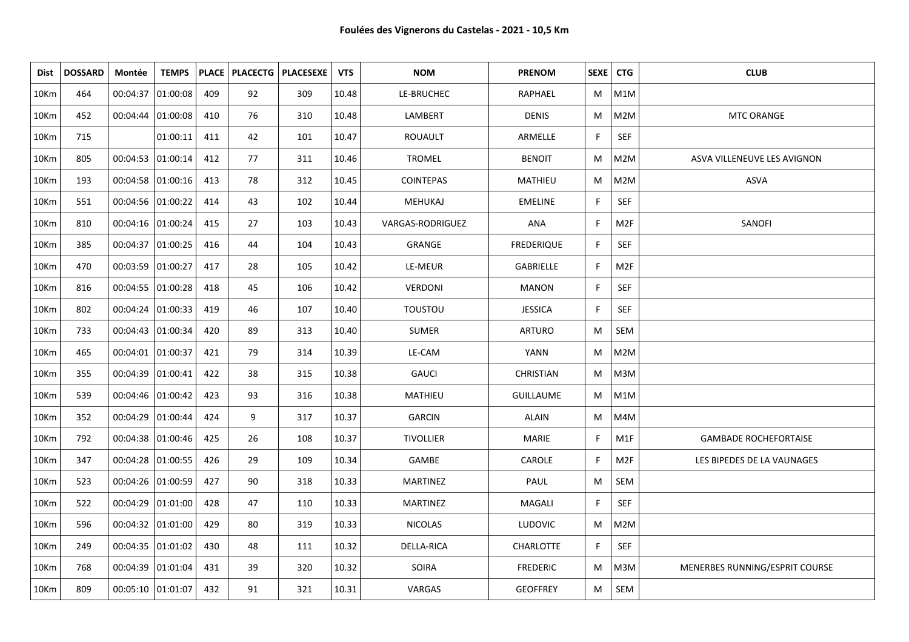| Dist | <b>DOSSARD</b> | Montée              | <b>TEMPS</b> |     |    | PLACE   PLACECTG   PLACESEXE | <b>VTS</b> | <b>NOM</b>       | <b>PRENOM</b>     | SEXE   CTG   |                 | <b>CLUB</b>                    |
|------|----------------|---------------------|--------------|-----|----|------------------------------|------------|------------------|-------------------|--------------|-----------------|--------------------------------|
| 10Km | 464            | 00:04:37            | 01:00:08     | 409 | 92 | 309                          | 10.48      | LE-BRUCHEC       | RAPHAEL           | M            | M1M             |                                |
| 10Km | 452            | 00:04:44   01:00:08 |              | 410 | 76 | 310                          | 10.48      | LAMBERT          | <b>DENIS</b>      | M            | M2M             | MTC ORANGE                     |
| 10Km | 715            |                     | 01:00:11     | 411 | 42 | 101                          | 10.47      | <b>ROUAULT</b>   | ARMELLE           | F            | SEF             |                                |
| 10Km | 805            | 00:04:53 01:00:14   |              | 412 | 77 | 311                          | 10.46      | <b>TROMEL</b>    | <b>BENOIT</b>     | M            | M2M             | ASVA VILLENEUVE LES AVIGNON    |
| 10Km | 193            | 00:04:58 01:00:16   |              | 413 | 78 | 312                          | 10.45      | <b>COINTEPAS</b> | MATHIEU           | M            | M2M             | ASVA                           |
| 10Km | 551            | 00:04:56 01:00:22   |              | 414 | 43 | 102                          | 10.44      | <b>MEHUKAJ</b>   | <b>EMELINE</b>    | F            | SEF             |                                |
| 10Km | 810            | 00:04:16 01:00:24   |              | 415 | 27 | 103                          | 10.43      | VARGAS-RODRIGUEZ | ANA               | F            | M <sub>2F</sub> | SANOFI                         |
| 10Km | 385            | 00:04:37 01:00:25   |              | 416 | 44 | 104                          | 10.43      | GRANGE           | <b>FREDERIQUE</b> | $\mathsf{F}$ | SEF             |                                |
| 10Km | 470            | 00:03:59 01:00:27   |              | 417 | 28 | 105                          | 10.42      | LE-MEUR          | GABRIELLE         | F            | M2F             |                                |
| 10Km | 816            | 00:04:55 01:00:28   |              | 418 | 45 | 106                          | 10.42      | VERDONI          | <b>MANON</b>      | F            | SEF             |                                |
| 10Km | 802            | 00:04:24 01:00:33   |              | 419 | 46 | 107                          | 10.40      | <b>TOUSTOU</b>   | <b>JESSICA</b>    | F            | SEF             |                                |
| 10Km | 733            | 00:04:43 01:00:34   |              | 420 | 89 | 313                          | 10.40      | <b>SUMER</b>     | <b>ARTURO</b>     | M            | SEM             |                                |
| 10Km | 465            | 00:04:01 01:00:37   |              | 421 | 79 | 314                          | 10.39      | LE-CAM           | <b>YANN</b>       | M            | M2M             |                                |
| 10Km | 355            | 00:04:39 01:00:41   |              | 422 | 38 | 315                          | 10.38      | <b>GAUCI</b>     | <b>CHRISTIAN</b>  | M            | M3M             |                                |
| 10Km | 539            | 00:04:46 01:00:42   |              | 423 | 93 | 316                          | 10.38      | MATHIEU          | <b>GUILLAUME</b>  | M            | M1M             |                                |
| 10Km | 352            | 00:04:29 01:00:44   |              | 424 | 9  | 317                          | 10.37      | <b>GARCIN</b>    | <b>ALAIN</b>      | M            | M4M             |                                |
| 10Km | 792            | 00:04:38 01:00:46   |              | 425 | 26 | 108                          | 10.37      | <b>TIVOLLIER</b> | <b>MARIE</b>      | F            | M1F             | <b>GAMBADE ROCHEFORTAISE</b>   |
| 10Km | 347            | 00:04:28 01:00:55   |              | 426 | 29 | 109                          | 10.34      | GAMBE            | CAROLE            | F.           | M2F             | LES BIPEDES DE LA VAUNAGES     |
| 10Km | 523            | 00:04:26 01:00:59   |              | 427 | 90 | 318                          | 10.33      | <b>MARTINEZ</b>  | PAUL              | M            | SEM             |                                |
| 10Km | 522            | 00:04:29 01:01:00   |              | 428 | 47 | 110                          | 10.33      | <b>MARTINEZ</b>  | MAGALI            | $\mathsf{F}$ | <b>SEF</b>      |                                |
| 10Km | 596            | 00:04:32 01:01:00   |              | 429 | 80 | 319                          | 10.33      | <b>NICOLAS</b>   | <b>LUDOVIC</b>    | M            | M2M             |                                |
| 10Km | 249            | 00:04:35 01:01:02   |              | 430 | 48 | 111                          | 10.32      | DELLA-RICA       | CHARLOTTE         | F            | SEF             |                                |
| 10Km | 768            | 00:04:39  01:01:04  |              | 431 | 39 | 320                          | 10.32      | <b>SOIRA</b>     | <b>FREDERIC</b>   | M            | M3M             | MENERBES RUNNING/ESPRIT COURSE |
| 10Km | 809            | 00:05:10 01:01:07   |              | 432 | 91 | 321                          | 10.31      | VARGAS           | <b>GEOFFREY</b>   | M            | SEM             |                                |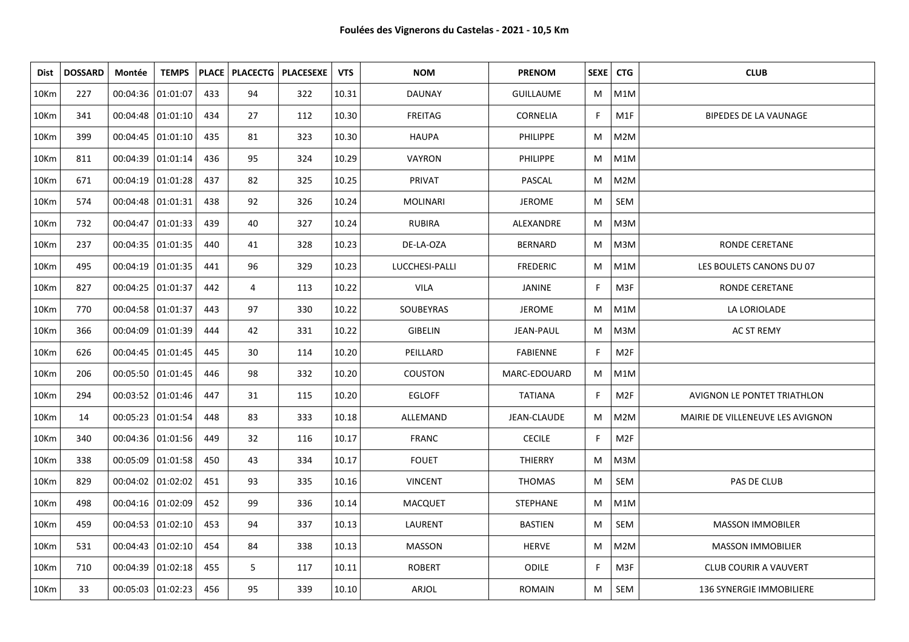| Dist    | <b>DOSSARD</b> | Montée              | <b>TEMPS</b> |     |    | PLACE   PLACECTG   PLACESEXE | <b>VTS</b> | <b>NOM</b>      | <b>PRENOM</b>    | SEXE   CTG   |     | <b>CLUB</b>                      |
|---------|----------------|---------------------|--------------|-----|----|------------------------------|------------|-----------------|------------------|--------------|-----|----------------------------------|
| 10Km    | 227            | 00:04:36 01:01:07   |              | 433 | 94 | 322                          | 10.31      | DAUNAY          | <b>GUILLAUME</b> | M            | M1M |                                  |
| 10Km    | 341            | 00:04:48 01:01:10   |              | 434 | 27 | 112                          | 10.30      | <b>FREITAG</b>  | <b>CORNELIA</b>  | F            | M1F | <b>BIPEDES DE LA VAUNAGE</b>     |
| 10Km    | 399            | 00:04:45 01:01:10   |              | 435 | 81 | 323                          | 10.30      | <b>HAUPA</b>    | <b>PHILIPPE</b>  | М            | M2M |                                  |
| 10Km    | 811            | 00:04:39  01:01:14  |              | 436 | 95 | 324                          | 10.29      | VAYRON          | <b>PHILIPPE</b>  | М            | M1M |                                  |
| 10Km    | 671            | 00:04:19 01:01:28   |              | 437 | 82 | 325                          | 10.25      | PRIVAT          | PASCAL           | М            | M2M |                                  |
| 10Km    | 574            | 00:04:48 01:01:31   |              | 438 | 92 | 326                          | 10.24      | <b>MOLINARI</b> | <b>JEROME</b>    | M            | SEM |                                  |
| 10Km    | 732            | 00:04:47   01:01:33 |              | 439 | 40 | 327                          | 10.24      | <b>RUBIRA</b>   | ALEXANDRE        | M            | M3M |                                  |
| 10Km    | 237            | 00:04:35 01:01:35   |              | 440 | 41 | 328                          | 10.23      | DE-LA-OZA       | <b>BERNARD</b>   | M            | M3M | RONDE CERETANE                   |
| 10Km    | 495            | 00:04:19 01:01:35   |              | 441 | 96 | 329                          | 10.23      | LUCCHESI-PALLI  | <b>FREDERIC</b>  | M            | M1M | LES BOULETS CANONS DU 07         |
| 10Km    | 827            | 00:04:25 01:01:37   |              | 442 | 4  | 113                          | 10.22      | <b>VILA</b>     | JANINE           | F            | M3F | RONDE CERETANE                   |
| 10Km    | 770            | 00:04:58 01:01:37   |              | 443 | 97 | 330                          | 10.22      | SOUBEYRAS       | <b>JEROME</b>    | M            | M1M | LA LORIOLADE                     |
| 10Km    | 366            | 00:04:09 01:01:39   |              | 444 | 42 | 331                          | 10.22      | <b>GIBELIN</b>  | <b>JEAN-PAUL</b> | M            | M3M | AC ST REMY                       |
| 10Km    | 626            | 00:04:45   01:01:45 |              | 445 | 30 | 114                          | 10.20      | PEILLARD        | FABIENNE         | F            | M2F |                                  |
| 10Km    | 206            | 00:05:50 01:01:45   |              | 446 | 98 | 332                          | 10.20      | <b>COUSTON</b>  | MARC-EDOUARD     | M            | M1M |                                  |
| 10Km    | 294            | 00:03:52   01:01:46 |              | 447 | 31 | 115                          | 10.20      | <b>EGLOFF</b>   | <b>TATIANA</b>   | F            | M2F | AVIGNON LE PONTET TRIATHLON      |
| 10Km    | 14             | 00:05:23  01:01:54  |              | 448 | 83 | 333                          | 10.18      | ALLEMAND        | JEAN-CLAUDE      | M            | M2M | MAIRIE DE VILLENEUVE LES AVIGNON |
| 10Km    | 340            | 00:04:36 01:01:56   |              | 449 | 32 | 116                          | 10.17      | <b>FRANC</b>    | <b>CECILE</b>    | F            | M2F |                                  |
| 10Km    | 338            | 00:05:09  01:01:58  |              | 450 | 43 | 334                          | 10.17      | <b>FOUET</b>    | <b>THIERRY</b>   | M            | M3M |                                  |
| 10Km    | 829            | 00:04:02 01:02:02   |              | 451 | 93 | 335                          | 10.16      | <b>VINCENT</b>  | <b>THOMAS</b>    | M            | SEM | PAS DE CLUB                      |
| 10Km    | 498            | 00:04:16   01:02:09 |              | 452 | 99 | 336                          | 10.14      | <b>MACQUET</b>  | <b>STEPHANE</b>  | M            | M1M |                                  |
| 10Km    | 459            | 00:04:53  01:02:10  |              | 453 | 94 | 337                          | 10.13      | LAURENT         | <b>BASTIEN</b>   | M            | SEM | <b>MASSON IMMOBILER</b>          |
| 10Km    | 531            | 00:04:43   01:02:10 |              | 454 | 84 | 338                          | 10.13      | <b>MASSON</b>   | <b>HERVE</b>     | M            | M2M | <b>MASSON IMMOBILIER</b>         |
| 10Km    | 710            | 00:04:39 01:02:18   |              | 455 | 5  | 117                          | 10.11      | <b>ROBERT</b>   | ODILE            | $\mathsf{F}$ | M3F | <b>CLUB COURIR A VAUVERT</b>     |
| $10$ Km | 33             | 00:05:03 01:02:23   |              | 456 | 95 | 339                          | 10.10      | ARJOL           | <b>ROMAIN</b>    | М            | SEM | <b>136 SYNERGIE IMMOBILIERE</b>  |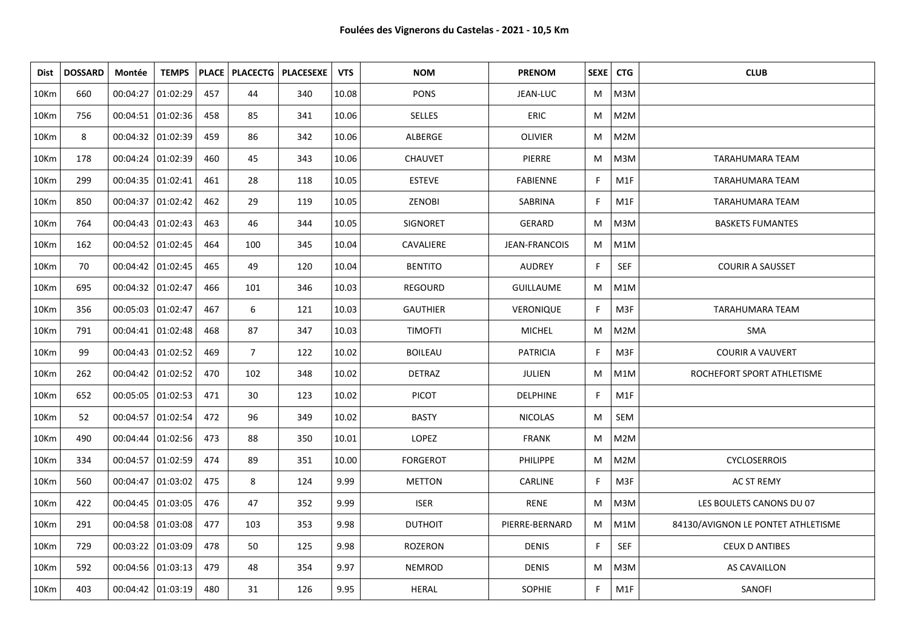| Dist | <b>DOSSARD</b> | Montée              | <b>TEMPS</b> |     |                | PLACE   PLACECTG   PLACESEXE | <b>VTS</b> | <b>NOM</b>      | <b>PRENOM</b>    | SEXE   CTG   |            | <b>CLUB</b>                        |
|------|----------------|---------------------|--------------|-----|----------------|------------------------------|------------|-----------------|------------------|--------------|------------|------------------------------------|
| 10Km | 660            | 00:04:27            | 01:02:29     | 457 | 44             | 340                          | 10.08      | <b>PONS</b>     | JEAN-LUC         | M            | M3M        |                                    |
| 10Km | 756            | 00:04:51 01:02:36   |              | 458 | 85             | 341                          | 10.06      | <b>SELLES</b>   | <b>ERIC</b>      | M            | M2M        |                                    |
| 10Km | 8              | 00:04:32 01:02:39   |              | 459 | 86             | 342                          | 10.06      | ALBERGE         | <b>OLIVIER</b>   | M            | M2M        |                                    |
| 10Km | 178            | 00:04:24 01:02:39   |              | 460 | 45             | 343                          | 10.06      | <b>CHAUVET</b>  | PIERRE           | M            | M3M        | <b>TARAHUMARA TEAM</b>             |
| 10Km | 299            | 00:04:35 01:02:41   |              | 461 | 28             | 118                          | 10.05      | <b>ESTEVE</b>   | <b>FABIENNE</b>  | F.           | M1F        | <b>TARAHUMARA TEAM</b>             |
| 10Km | 850            | 00:04:37   01:02:42 |              | 462 | 29             | 119                          | 10.05      | <b>ZENOBI</b>   | SABRINA          | F            | M1F        | <b>TARAHUMARA TEAM</b>             |
| 10Km | 764            | 00:04:43   01:02:43 |              | 463 | 46             | 344                          | 10.05      | <b>SIGNORET</b> | <b>GERARD</b>    | M            | M3M        | <b>BASKETS FUMANTES</b>            |
| 10Km | 162            | 00:04:52 01:02:45   |              | 464 | 100            | 345                          | 10.04      | CAVALIERE       | JEAN-FRANCOIS    | M            | M1M        |                                    |
| 10Km | 70             | 00:04:42   01:02:45 |              | 465 | 49             | 120                          | 10.04      | <b>BENTITO</b>  | <b>AUDREY</b>    | E            | SEF        | <b>COURIR A SAUSSET</b>            |
| 10Km | 695            | 00:04:32 01:02:47   |              | 466 | 101            | 346                          | 10.03      | <b>REGOURD</b>  | <b>GUILLAUME</b> | M            | M1M        |                                    |
| 10Km | 356            | 00:05:03  01:02:47  |              | 467 | 6              | 121                          | 10.03      | <b>GAUTHIER</b> | VERONIQUE        | F            | M3F        | <b>TARAHUMARA TEAM</b>             |
| 10Km | 791            | 00:04:41   01:02:48 |              | 468 | 87             | 347                          | 10.03      | <b>TIMOFTI</b>  | <b>MICHEL</b>    | M            | M2M        | <b>SMA</b>                         |
| 10Km | 99             | 00:04:43 01:02:52   |              | 469 | $\overline{7}$ | 122                          | 10.02      | <b>BOILEAU</b>  | <b>PATRICIA</b>  | $\mathsf{F}$ | M3F        | <b>COURIR A VAUVERT</b>            |
| 10Km | 262            | 00:04:42   01:02:52 |              | 470 | 102            | 348                          | 10.02      | <b>DETRAZ</b>   | JULIEN           | M            | M1M        | ROCHEFORT SPORT ATHLETISME         |
| 10Km | 652            | 00:05:05 01:02:53   |              | 471 | 30             | 123                          | 10.02      | <b>PICOT</b>    | <b>DELPHINE</b>  | F            | M1F        |                                    |
| 10Km | 52             | 00:04:57   01:02:54 |              | 472 | 96             | 349                          | 10.02      | <b>BASTY</b>    | <b>NICOLAS</b>   | M            | SEM        |                                    |
| 10Km | 490            | 00:04:44   01:02:56 |              | 473 | 88             | 350                          | 10.01      | LOPEZ           | <b>FRANK</b>     | M            | M2M        |                                    |
| 10Km | 334            | 00:04:57 01:02:59   |              | 474 | 89             | 351                          | 10.00      | <b>FORGEROT</b> | <b>PHILIPPE</b>  | M            | M2M        | <b>CYCLOSERROIS</b>                |
| 10Km | 560            | 00:04:47   01:03:02 |              | 475 | 8              | 124                          | 9.99       | <b>METTON</b>   | CARLINE          | F            | M3F        | <b>AC ST REMY</b>                  |
| 10Km | 422            | 00:04:45   01:03:05 |              | 476 | 47             | 352                          | 9.99       | <b>ISER</b>     | <b>RENE</b>      | M            | M3M        | LES BOULETS CANONS DU 07           |
| 10Km | 291            | 00:04:58 01:03:08   |              | 477 | 103            | 353                          | 9.98       | <b>DUTHOIT</b>  | PIERRE-BERNARD   | M            | M1M        | 84130/AVIGNON LE PONTET ATHLETISME |
| 10Km | 729            | 00:03:22 01:03:09   |              | 478 | 50             | 125                          | 9.98       | <b>ROZERON</b>  | <b>DENIS</b>     | F            | <b>SEF</b> | <b>CEUX D ANTIBES</b>              |
| 10Km | 592            | 00:04:56 01:03:13   |              | 479 | 48             | 354                          | 9.97       | <b>NEMROD</b>   | <b>DENIS</b>     | M            | M3M        | AS CAVAILLON                       |
| 10Km | 403            | 00:04:42 01:03:19   |              | 480 | 31             | 126                          | 9.95       | <b>HERAL</b>    | <b>SOPHIE</b>    | F            | M1F        | SANOFI                             |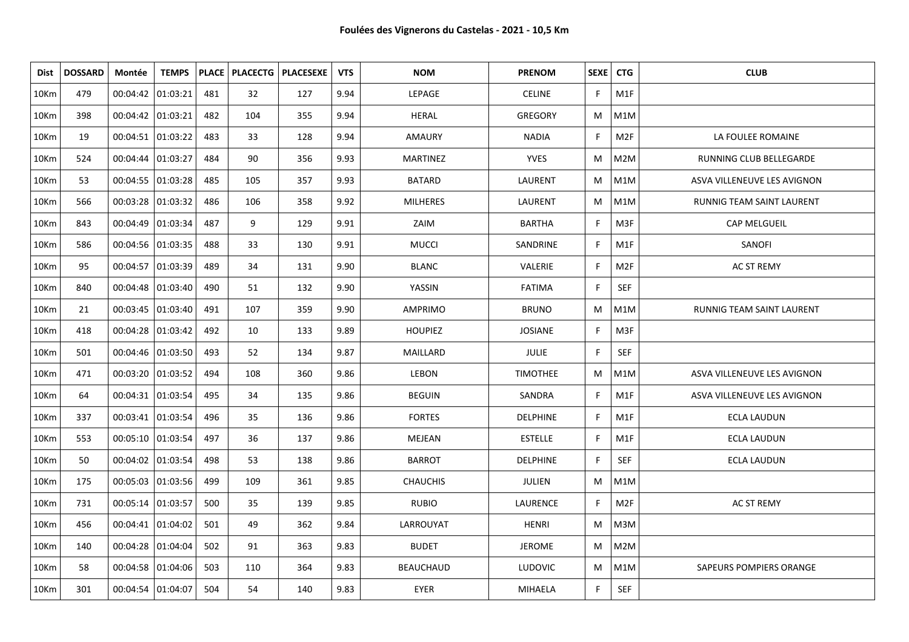| Dist    | <b>DOSSARD</b> | Montée              | <b>TEMPS</b>        |     |     | PLACE   PLACECTG   PLACESEXE | <b>VTS</b> | <b>NOM</b>       | <b>PRENOM</b>   | SEXE   CTG |                 | <b>CLUB</b>                 |
|---------|----------------|---------------------|---------------------|-----|-----|------------------------------|------------|------------------|-----------------|------------|-----------------|-----------------------------|
| 10Km    | 479            | 00:04:42   01:03:21 |                     | 481 | 32  | 127                          | 9.94       | LEPAGE           | <b>CELINE</b>   | F.         | M1F             |                             |
| 10Km    | 398            | 00:04:42 01:03:21   |                     | 482 | 104 | 355                          | 9.94       | HERAL            | <b>GREGORY</b>  | M          | M1M             |                             |
| 10Km    | 19             | 00:04:51 01:03:22   |                     | 483 | 33  | 128                          | 9.94       | AMAURY           | <b>NADIA</b>    | F.         | M <sub>2F</sub> | LA FOULEE ROMAINE           |
| 10Km    | 524            | 00:04:44   01:03:27 |                     | 484 | 90  | 356                          | 9.93       | <b>MARTINEZ</b>  | <b>YVES</b>     | M          | M2M             | RUNNING CLUB BELLEGARDE     |
| 10Km    | 53             |                     | 00:04:55 01:03:28   | 485 | 105 | 357                          | 9.93       | <b>BATARD</b>    | LAURENT         | M          | M1M             | ASVA VILLENEUVE LES AVIGNON |
| 10Km    | 566            | 00:03:28 01:03:32   |                     | 486 | 106 | 358                          | 9.92       | <b>MILHERES</b>  | LAURENT         | M          | M1M             | RUNNIG TEAM SAINT LAURENT   |
| 10Km    | 843            | 00:04:49  01:03:34  |                     | 487 | 9   | 129                          | 9.91       | ZAIM             | <b>BARTHA</b>   | F.         | M3F             | CAP MELGUEIL                |
| 10Km    | 586            |                     | 00:04:56   01:03:35 | 488 | 33  | 130                          | 9.91       | <b>MUCCI</b>     | SANDRINE        | F          | M1F             | SANOFI                      |
| 10Km    | 95             |                     | 00:04:57 01:03:39   | 489 | 34  | 131                          | 9.90       | <b>BLANC</b>     | VALERIE         | F.         | M <sub>2F</sub> | <b>AC ST REMY</b>           |
| 10Km    | 840            |                     | $00:04:48$ 01:03:40 | 490 | 51  | 132                          | 9.90       | YASSIN           | <b>FATIMA</b>   | F.         | SEF             |                             |
| 10Km    | 21             |                     | 00:03:45   01:03:40 | 491 | 107 | 359                          | 9.90       | AMPRIMO          | <b>BRUNO</b>    | M          | M1M             | RUNNIG TEAM SAINT LAURENT   |
| 10Km    | 418            |                     | 00:04:28 01:03:42   | 492 | 10  | 133                          | 9.89       | <b>HOUPIEZ</b>   | <b>JOSIANE</b>  | F.         | M3F             |                             |
| 10Km    | 501            |                     | 00:04:46   01:03:50 | 493 | 52  | 134                          | 9.87       | MAILLARD         | <b>JULIE</b>    | F.         | <b>SEF</b>      |                             |
| 10Km    | 471            | 00:03:20 01:03:52   |                     | 494 | 108 | 360                          | 9.86       | LEBON            | <b>TIMOTHEE</b> | M          | M1M             | ASVA VILLENEUVE LES AVIGNON |
| 10Km    | 64             | 00:04:31 01:03:54   |                     | 495 | 34  | 135                          | 9.86       | <b>BEGUIN</b>    | SANDRA          | F.         | M1F             | ASVA VILLENEUVE LES AVIGNON |
| 10Km    | 337            | 00:03:41   01:03:54 |                     | 496 | 35  | 136                          | 9.86       | <b>FORTES</b>    | <b>DELPHINE</b> | F.         | M1F             | <b>ECLA LAUDUN</b>          |
| 10Km    | 553            | 00:05:10 01:03:54   |                     | 497 | 36  | 137                          | 9.86       | MEJEAN           | <b>ESTELLE</b>  | F.         | M1F             | ECLA LAUDUN                 |
| 10Km    | 50             | 00:04:02  01:03:54  |                     | 498 | 53  | 138                          | 9.86       | <b>BARROT</b>    | <b>DELPHINE</b> | F.         | <b>SEF</b>      | <b>ECLA LAUDUN</b>          |
| 10Km    | 175            |                     | 00:05:03 01:03:56   | 499 | 109 | 361                          | 9.85       | <b>CHAUCHIS</b>  | JULIEN          | M          | M1M             |                             |
| 10Km    | 731            | 00:05:14   01:03:57 |                     | 500 | 35  | 139                          | 9.85       | <b>RUBIO</b>     | LAURENCE        | F.         | M <sub>2F</sub> | AC ST REMY                  |
| 10Km    | 456            | 00:04:41   01:04:02 |                     | 501 | 49  | 362                          | 9.84       | LARROUYAT        | <b>HENRI</b>    | M          | M3M             |                             |
| 10Km    | 140            | 00:04:28   01:04:04 |                     | 502 | 91  | 363                          | 9.83       | <b>BUDET</b>     | <b>JEROME</b>   | M          | M2M             |                             |
| 10Km    | 58             |                     | 00:04:58 01:04:06   | 503 | 110 | 364                          | 9.83       | <b>BEAUCHAUD</b> | <b>LUDOVIC</b>  | M          | M1M             | SAPEURS POMPIERS ORANGE     |
| $10$ Km | 301            | 00:04:54   01:04:07 |                     | 504 | 54  | 140                          | 9.83       | <b>EYER</b>      | MIHAELA         | F.         | <b>SEF</b>      |                             |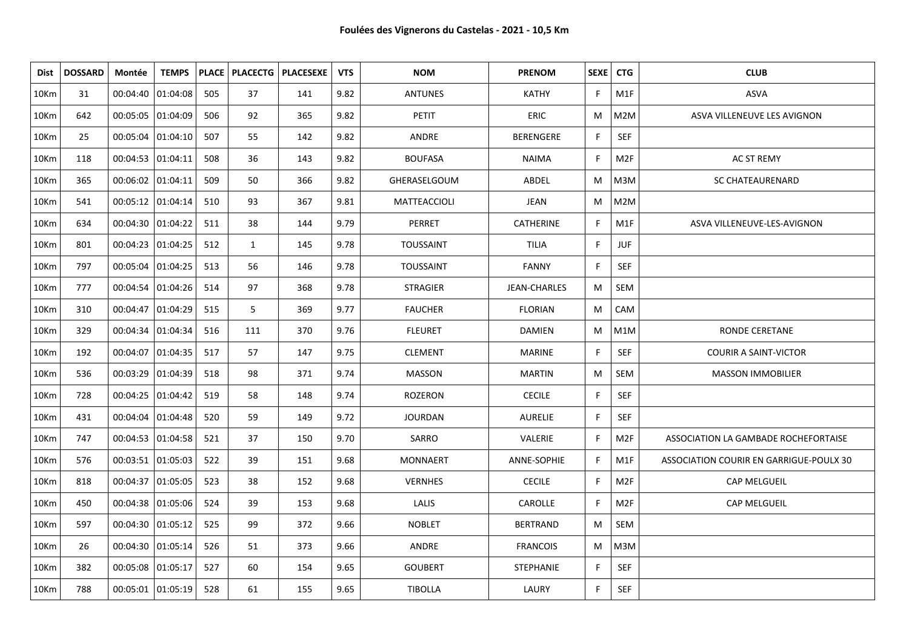| Dist             | <b>DOSSARD</b> | Montée              | <b>TEMPS</b> |     |              | PLACE   PLACECTG   PLACESEXE | <b>VTS</b> | <b>NOM</b>       | <b>PRENOM</b>    | SEXE   CTG   |                 | <b>CLUB</b>                             |
|------------------|----------------|---------------------|--------------|-----|--------------|------------------------------|------------|------------------|------------------|--------------|-----------------|-----------------------------------------|
| 10Km             | 31             | 00:04:40 01:04:08   |              | 505 | 37           | 141                          | 9.82       | <b>ANTUNES</b>   | <b>KATHY</b>     | F.           | M1F             | <b>ASVA</b>                             |
| 10Km             | 642            | 00:05:05  01:04:09  |              | 506 | 92           | 365                          | 9.82       | <b>PETIT</b>     | <b>ERIC</b>      | M            | M2M             | ASVA VILLENEUVE LES AVIGNON             |
| 10Km             | 25             | 00:05:04   01:04:10 |              | 507 | 55           | 142                          | 9.82       | ANDRE            | <b>BERENGERE</b> | F            | SEF             |                                         |
| 10 <sub>Km</sub> | 118            | 00:04:53 01:04:11   |              | 508 | 36           | 143                          | 9.82       | <b>BOUFASA</b>   | <b>NAIMA</b>     | F            | M2F             | AC ST REMY                              |
| 10Km             | 365            | 00:06:02 01:04:11   |              | 509 | 50           | 366                          | 9.82       | GHERASELGOUM     | ABDEL            | M            | M3M             | <b>SC CHATEAURENARD</b>                 |
| 10 <sub>Km</sub> | 541            | 00:05:12 01:04:14   |              | 510 | 93           | 367                          | 9.81       | MATTEACCIOLI     | JEAN             | M            | M2M             |                                         |
| 10Km             | 634            | 00:04:30 01:04:22   |              | 511 | 38           | 144                          | 9.79       | PERRET           | <b>CATHERINE</b> | F            | M1F             | ASVA VILLENEUVE-LES-AVIGNON             |
| 10Km             | 801            | 00:04:23  01:04:25  |              | 512 | $\mathbf{1}$ | 145                          | 9.78       | <b>TOUSSAINT</b> | <b>TILIA</b>     | F            | <b>JUF</b>      |                                         |
| 10Km             | 797            | 00:05:04 01:04:25   |              | 513 | 56           | 146                          | 9.78       | <b>TOUSSAINT</b> | <b>FANNY</b>     | $\mathsf{F}$ | SEF             |                                         |
| 10Km             | 777            | 00:04:54 01:04:26   |              | 514 | 97           | 368                          | 9.78       | <b>STRAGIER</b>  | JEAN-CHARLES     | M            | SEM             |                                         |
| 10Km             | 310            | 00:04:47   01:04:29 |              | 515 | 5            | 369                          | 9.77       | <b>FAUCHER</b>   | <b>FLORIAN</b>   | M            | CAM             |                                         |
| 10Km             | 329            | 00:04:34   01:04:34 |              | 516 | 111          | 370                          | 9.76       | <b>FLEURET</b>   | <b>DAMIEN</b>    | M            | M1M             | <b>RONDE CERETANE</b>                   |
| 10Km             | 192            | 00:04:07 01:04:35   |              | 517 | 57           | 147                          | 9.75       | <b>CLEMENT</b>   | <b>MARINE</b>    | F            | <b>SEF</b>      | <b>COURIR A SAINT-VICTOR</b>            |
| 10Km             | 536            | 00:03:29 01:04:39   |              | 518 | 98           | 371                          | 9.74       | <b>MASSON</b>    | <b>MARTIN</b>    | M            | SEM             | <b>MASSON IMMOBILIER</b>                |
| 10Km             | 728            | 00:04:25 01:04:42   |              | 519 | 58           | 148                          | 9.74       | <b>ROZERON</b>   | <b>CECILE</b>    | $\mathsf{F}$ | SEF             |                                         |
| 10Km             | 431            | 00:04:04   01:04:48 |              | 520 | 59           | 149                          | 9.72       | <b>JOURDAN</b>   | <b>AURELIE</b>   | F            | <b>SEF</b>      |                                         |
| 10 <sub>Km</sub> | 747            | 00:04:53  01:04:58  |              | 521 | 37           | 150                          | 9.70       | SARRO            | VALERIE          | F            | M <sub>2F</sub> | ASSOCIATION LA GAMBADE ROCHEFORTAISE    |
| 10Km             | 576            | 00:03:51   01:05:03 |              | 522 | 39           | 151                          | 9.68       | <b>MONNAERT</b>  | ANNE-SOPHIE      | F            | M1F             | ASSOCIATION COURIR EN GARRIGUE-POULX 30 |
| 10Km             | 818            | 00:04:37            | 01:05:05     | 523 | 38           | 152                          | 9.68       | <b>VERNHES</b>   | <b>CECILE</b>    | F            | M <sub>2F</sub> | <b>CAP MELGUEIL</b>                     |
| 10Km             | 450            | 00:04:38 01:05:06   |              | 524 | 39           | 153                          | 9.68       | LALIS            | CAROLLE          | F            | M <sub>2F</sub> | CAP MELGUEIL                            |
| 10Km             | 597            | 00:04:30   01:05:12 |              | 525 | 99           | 372                          | 9.66       | <b>NOBLET</b>    | <b>BERTRAND</b>  | M            | SEM             |                                         |
| 10Km             | 26             | 00:04:30 01:05:14   |              | 526 | 51           | 373                          | 9.66       | ANDRE            | <b>FRANCOIS</b>  | М            | M3M             |                                         |
| 10Km             | 382            | 00:05:08  01:05:17  |              | 527 | 60           | 154                          | 9.65       | <b>GOUBERT</b>   | <b>STEPHANIE</b> | F            | <b>SEF</b>      |                                         |
| 10Km             | 788            | 00:05:01   01:05:19 |              | 528 | 61           | 155                          | 9.65       | <b>TIBOLLA</b>   | LAURY            | F            | <b>SEF</b>      |                                         |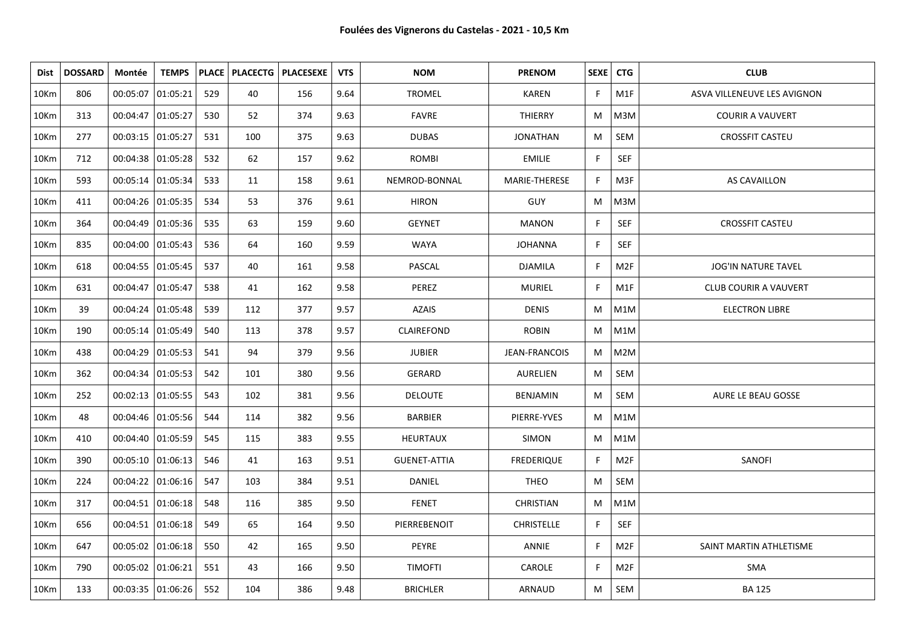| <b>Dist</b>      | <b>DOSSARD</b> | Montée              | <b>TEMPS</b> |     |     | <b>PLACE   PLACECTG   PLACESEXE</b> | <b>VTS</b> | <b>NOM</b>          | <b>PRENOM</b>        | SEXE         | <b>CTG</b>      | <b>CLUB</b>                  |
|------------------|----------------|---------------------|--------------|-----|-----|-------------------------------------|------------|---------------------|----------------------|--------------|-----------------|------------------------------|
| 10Km             | 806            | 00:05:07 01:05:21   |              | 529 | 40  | 156                                 | 9.64       | <b>TROMEL</b>       | <b>KAREN</b>         | F            | M1F             | ASVA VILLENEUVE LES AVIGNON  |
| 10Km             | 313            | 00:04:47   01:05:27 |              | 530 | 52  | 374                                 | 9.63       | <b>FAVRE</b>        | <b>THIERRY</b>       | M            | M3M             | <b>COURIR A VAUVERT</b>      |
| 10Km             | 277            | 00:03:15 01:05:27   |              | 531 | 100 | 375                                 | 9.63       | <b>DUBAS</b>        | <b>JONATHAN</b>      | M            | SEM             | <b>CROSSFIT CASTEU</b>       |
| 10Km             | 712            | 00:04:38  01:05:28  |              | 532 | 62  | 157                                 | 9.62       | <b>ROMBI</b>        | <b>EMILIE</b>        | F            | <b>SEF</b>      |                              |
| 10Km             | 593            | 00:05:14   01:05:34 |              | 533 | 11  | 158                                 | 9.61       | NEMROD-BONNAL       | MARIE-THERESE        | $\mathsf{F}$ | M3F             | <b>AS CAVAILLON</b>          |
| 10Km             | 411            | 00:04:26 01:05:35   |              | 534 | 53  | 376                                 | 9.61       | <b>HIRON</b>        | <b>GUY</b>           | M            | M3M             |                              |
| 10Km             | 364            | 00:04:49  01:05:36  |              | 535 | 63  | 159                                 | 9.60       | <b>GEYNET</b>       | <b>MANON</b>         | $\mathsf{F}$ | SEF             | <b>CROSSFIT CASTEU</b>       |
| 10Km             | 835            | 00:04:00 01:05:43   |              | 536 | 64  | 160                                 | 9.59       | <b>WAYA</b>         | <b>JOHANNA</b>       | F            | <b>SEF</b>      |                              |
| 10Km             | 618            | 00:04:55 01:05:45   |              | 537 | 40  | 161                                 | 9.58       | PASCAL              | <b>DJAMILA</b>       | F            | M <sub>2F</sub> | <b>JOG'IN NATURE TAVEL</b>   |
| 10Km             | 631            | 00:04:47   01:05:47 |              | 538 | 41  | 162                                 | 9.58       | PEREZ               | <b>MURIEL</b>        | F            | M1F             | <b>CLUB COURIR A VAUVERT</b> |
| 10Km             | 39             | 00:04:24 01:05:48   |              | 539 | 112 | 377                                 | 9.57       | AZAIS               | <b>DENIS</b>         | M            | M1M             | <b>ELECTRON LIBRE</b>        |
| 10Km             | 190            | 00:05:14   01:05:49 |              | 540 | 113 | 378                                 | 9.57       | CLAIREFOND          | <b>ROBIN</b>         | M            | M1M             |                              |
| 10Km             | 438            | 00:04:29 01:05:53   |              | 541 | 94  | 379                                 | 9.56       | <b>JUBIER</b>       | <b>JEAN-FRANCOIS</b> | M            | M2M             |                              |
| 10Km             | 362            | 00:04:34 01:05:53   |              | 542 | 101 | 380                                 | 9.56       | GERARD              | AURELIEN             | M            | SEM             |                              |
| 10Km             | 252            | 00:02:13 01:05:55   |              | 543 | 102 | 381                                 | 9.56       | <b>DELOUTE</b>      | BENJAMIN             | M            | SEM             | AURE LE BEAU GOSSE           |
| 10Km             | 48             | 00:04:46   01:05:56 |              | 544 | 114 | 382                                 | 9.56       | <b>BARBIER</b>      | PIERRE-YVES          | M            | M1M             |                              |
| 10Km             | 410            | 00:04:40 01:05:59   |              | 545 | 115 | 383                                 | 9.55       | HEURTAUX            | SIMON                | M            | M1M             |                              |
| 10Km             | 390            | 00:05:10 01:06:13   |              | 546 | 41  | 163                                 | 9.51       | <b>GUENET-ATTIA</b> | <b>FREDERIQUE</b>    | F            | M <sub>2F</sub> | SANOFI                       |
| 10Km             | 224            | 00:04:22 01:06:16   |              | 547 | 103 | 384                                 | 9.51       | DANIEL              | <b>THEO</b>          | M            | SEM             |                              |
| 10Km             | 317            | 00:04:51   01:06:18 |              | 548 | 116 | 385                                 | 9.50       | <b>FENET</b>        | <b>CHRISTIAN</b>     | M            | M1M             |                              |
| 10Km             | 656            | 00:04:51   01:06:18 |              | 549 | 65  | 164                                 | 9.50       | PIERREBENOIT        | <b>CHRISTELLE</b>    | F            | SEF             |                              |
| 10 <sub>Km</sub> | 647            | 00:05:02   01:06:18 |              | 550 | 42  | 165                                 | 9.50       | PEYRE               | ANNIE                | F.           | M2F             | SAINT MARTIN ATHLETISME      |
| 10Km             | 790            | 00:05:02 01:06:21   |              | 551 | 43  | 166                                 | 9.50       | <b>TIMOFTI</b>      | CAROLE               | F            | M <sub>2F</sub> | SMA                          |
| 10 <sub>Km</sub> | 133            | 00:03:35   01:06:26 |              | 552 | 104 | 386                                 | 9.48       | <b>BRICHLER</b>     | ARNAUD               | M            | SEM             | <b>BA 125</b>                |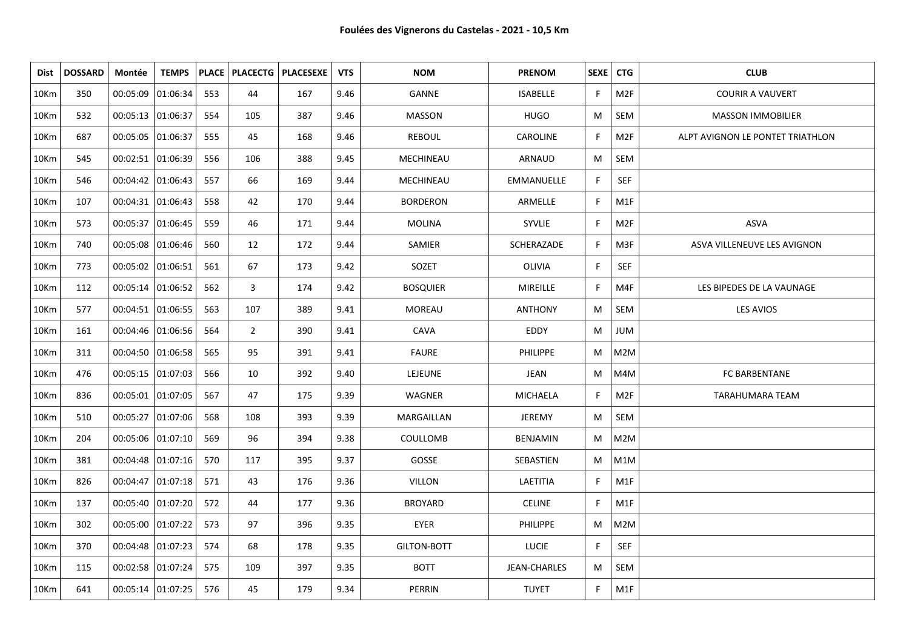| Dist | <b>DOSSARD</b> | Montée              | <b>TEMPS</b> |     |                | PLACE   PLACECTG   PLACESEXE | <b>VTS</b> | <b>NOM</b>      | <b>PRENOM</b>       | SEXE   CTG |                 | <b>CLUB</b>                      |
|------|----------------|---------------------|--------------|-----|----------------|------------------------------|------------|-----------------|---------------------|------------|-----------------|----------------------------------|
| 10Km | 350            | 00:05:09 01:06:34   |              | 553 | 44             | 167                          | 9.46       | GANNE           | <b>ISABELLE</b>     | F.         | M <sub>2F</sub> | <b>COURIR A VAUVERT</b>          |
| 10Km | 532            | 00:05:13  01:06:37  |              | 554 | 105            | 387                          | 9.46       | <b>MASSON</b>   | <b>HUGO</b>         | M          | <b>SEM</b>      | <b>MASSON IMMOBILIER</b>         |
| 10Km | 687            | 00:05:05 01:06:37   |              | 555 | 45             | 168                          | 9.46       | <b>REBOUL</b>   | CAROLINE            | F          | M <sub>2F</sub> | ALPT AVIGNON LE PONTET TRIATHLON |
| 10Km | 545            | 00:02:51   01:06:39 |              | 556 | 106            | 388                          | 9.45       | MECHINEAU       | ARNAUD              | M          | SEM             |                                  |
| 10Km | 546            | 00:04:42   01:06:43 |              | 557 | 66             | 169                          | 9.44       | MECHINEAU       | EMMANUELLE          | F.         | SEF             |                                  |
| 10Km | 107            | 00:04:31 01:06:43   |              | 558 | 42             | 170                          | 9.44       | <b>BORDERON</b> | ARMELLE             | F          | M1F             |                                  |
| 10Km | 573            | 00:05:37   01:06:45 |              | 559 | 46             | 171                          | 9.44       | <b>MOLINA</b>   | SYVLIE              | F.         | M <sub>2F</sub> | ASVA                             |
| 10Km | 740            | 00:05:08  01:06:46  |              | 560 | 12             | 172                          | 9.44       | SAMIER          | SCHERAZADE          | F          | M3F             | ASVA VILLENEUVE LES AVIGNON      |
| 10Km | 773            | 00:05:02 01:06:51   |              | 561 | 67             | 173                          | 9.42       | SOZET           | OLIVIA              | F          | <b>SEF</b>      |                                  |
| 10Km | 112            | 00:05:14   01:06:52 |              | 562 | 3              | 174                          | 9.42       | <b>BOSQUIER</b> | <b>MIREILLE</b>     | F          | M4F             | LES BIPEDES DE LA VAUNAGE        |
| 10Km | 577            | 00:04:51 01:06:55   |              | 563 | 107            | 389                          | 9.41       | <b>MOREAU</b>   | <b>ANTHONY</b>      | M          | SEM             | LES AVIOS                        |
| 10Km | 161            | 00:04:46 01:06:56   |              | 564 | $\overline{2}$ | 390                          | 9.41       | CAVA            | EDDY                | M          | JUM             |                                  |
| 10Km | 311            | 00:04:50 01:06:58   |              | 565 | 95             | 391                          | 9.41       | <b>FAURE</b>    | <b>PHILIPPE</b>     | M          | M2M             |                                  |
| 10Km | 476            | 00:05:15 01:07:03   |              | 566 | 10             | 392                          | 9.40       | LEJEUNE         | JEAN                | M          | M4M             | FC BARBENTANE                    |
| 10Km | 836            | 00:05:01   01:07:05 |              | 567 | 47             | 175                          | 9.39       | <b>WAGNER</b>   | <b>MICHAELA</b>     | F.         | M <sub>2F</sub> | <b>TARAHUMARA TEAM</b>           |
| 10Km | 510            | 00:05:27 01:07:06   |              | 568 | 108            | 393                          | 9.39       | MARGAILLAN      | JEREMY              | M          | SEM             |                                  |
| 10Km | 204            | 00:05:06 01:07:10   |              | 569 | 96             | 394                          | 9.38       | COULLOMB        | <b>BENJAMIN</b>     | M          | M2M             |                                  |
| 10Km | 381            | 00:04:48 01:07:16   |              | 570 | 117            | 395                          | 9.37       | GOSSE           | SEBASTIEN           | M          | M1M             |                                  |
| 10Km | 826            | $00:04:47$ 01:07:18 |              | 571 | 43             | 176                          | 9.36       | VILLON          | LAETITIA            | F          | M1F             |                                  |
| 10Km | 137            | 00:05:40 01:07:20   |              | 572 | 44             | 177                          | 9.36       | <b>BROYARD</b>  | <b>CELINE</b>       | F.         | M1F             |                                  |
| 10Km | 302            | 00:05:00 01:07:22   |              | 573 | 97             | 396                          | 9.35       | EYER            | <b>PHILIPPE</b>     | M          | M2M             |                                  |
| 10Km | 370            | 00:04:48   01:07:23 |              | 574 | 68             | 178                          | 9.35       | GILTON-BOTT     | <b>LUCIE</b>        | F.         | SEF             |                                  |
| 10Km | 115            | 00:02:58 01:07:24   |              | 575 | 109            | 397                          | 9.35       | <b>BOTT</b>     | <b>JEAN-CHARLES</b> | M          | SEM             |                                  |
| 10Km | 641            | 00:05:14   01:07:25 |              | 576 | 45             | 179                          | 9.34       | PERRIN          | <b>TUYET</b>        | F.         | M1F             |                                  |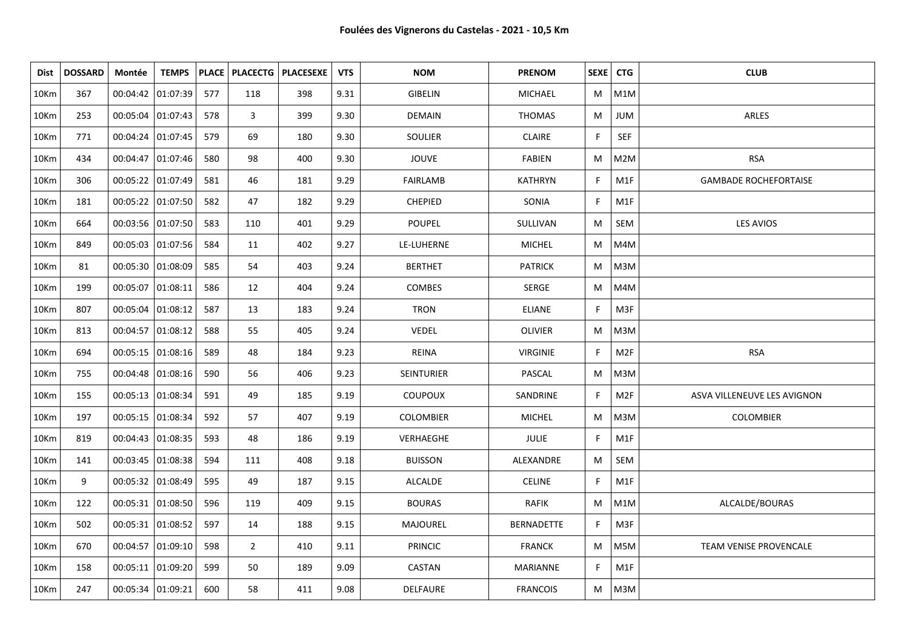| Dist | <b>DOSSARD</b> | Montée              | <b>TEMPS</b> |     |                | PLACE   PLACECTG   PLACESEXE | <b>VTS</b> | <b>NOM</b>       | <b>PRENOM</b>     | SEXE   CTG |                 | <b>CLUB</b>                  |
|------|----------------|---------------------|--------------|-----|----------------|------------------------------|------------|------------------|-------------------|------------|-----------------|------------------------------|
| 10Km | 367            | 00:04:42 01:07:39   |              | 577 | 118            | 398                          | 9.31       | GIBELIN          | MICHAEL           | M          | M1M             |                              |
| 10Km | 253            | 00:05:04 01:07:43   |              | 578 | 3              | 399                          | 9.30       | <b>DEMAIN</b>    | <b>THOMAS</b>     | M          | JUM             | ARLES                        |
| 10Km | 771            | 00:04:24 01:07:45   |              | 579 | 69             | 180                          | 9.30       | SOULIER          | <b>CLAIRE</b>     | F.         | SEF             |                              |
| 10Km | 434            | 00:04:47 01:07:46   |              | 580 | 98             | 400                          | 9.30       | JOUVE            | <b>FABIEN</b>     | M          | M2M             | <b>RSA</b>                   |
| 10Km | 306            | 00:05:22 01:07:49   |              | 581 | 46             | 181                          | 9.29       | <b>FAIRLAMB</b>  | <b>KATHRYN</b>    | F.         | M1F             | <b>GAMBADE ROCHEFORTAISE</b> |
| 10Km | 181            | 00:05:22 01:07:50   |              | 582 | 47             | 182                          | 9.29       | CHEPIED          | SONIA             | F          | M1F             |                              |
| 10Km | 664            | 00:03:56 01:07:50   |              | 583 | 110            | 401                          | 9.29       | POUPEL           | SULLIVAN          | M          | SEM             | LES AVIOS                    |
| 10Km | 849            | 00:05:03 01:07:56   |              | 584 | 11             | 402                          | 9.27       | LE-LUHERNE       | <b>MICHEL</b>     | M          | M4M             |                              |
| 10Km | 81             | 00:05:30 01:08:09   |              | 585 | 54             | 403                          | 9.24       | <b>BERTHET</b>   | <b>PATRICK</b>    | M          | M3M             |                              |
| 10Km | 199            | 00:05:07 01:08:11   |              | 586 | 12             | 404                          | 9.24       | COMBES           | SERGE             | M          | M4M             |                              |
| 10Km | 807            | 00:05:04 01:08:12   |              | 587 | 13             | 183                          | 9.24       | <b>TRON</b>      | <b>ELIANE</b>     | F.         | M3F             |                              |
| 10Km | 813            | 00:04:57 01:08:12   |              | 588 | 55             | 405                          | 9.24       | VEDEL            | <b>OLIVIER</b>    | M          | M3M             |                              |
| 10Km | 694            | 00:05:15 01:08:16   |              | 589 | 48             | 184                          | 9.23       | REINA            | <b>VIRGINIE</b>   | F          | M <sub>2F</sub> | <b>RSA</b>                   |
| 10Km | 755            | 00:04:48 01:08:16   |              | 590 | 56             | 406                          | 9.23       | SEINTURIER       | PASCAL            | M          | M3M             |                              |
| 10Km | 155            | 00:05:13 01:08:34   |              | 591 | 49             | 185                          | 9.19       | COUPOUX          | SANDRINE          | F.         | M2F             | ASVA VILLENEUVE LES AVIGNON  |
| 10Km | 197            | 00:05:15 01:08:34   |              | 592 | 57             | 407                          | 9.19       | <b>COLOMBIER</b> | <b>MICHEL</b>     | M          | M3M             | <b>COLOMBIER</b>             |
| 10Km | 819            | 00:04:43   01:08:35 |              | 593 | 48             | 186                          | 9.19       | VERHAEGHE        | <b>JULIE</b>      | F.         | M1F             |                              |
| 10Km | 141            | 00:03:45 01:08:38   |              | 594 | 111            | 408                          | 9.18       | <b>BUISSON</b>   | ALEXANDRE         | M          | SEM             |                              |
| 10Km | 9              | 00:05:32 01:08:49   |              | 595 | 49             | 187                          | 9.15       | <b>ALCALDE</b>   | <b>CELINE</b>     | F.         | M1F             |                              |
| 10Km | 122            | 00:05:31 01:08:50   |              | 596 | 119            | 409                          | 9.15       | <b>BOURAS</b>    | <b>RAFIK</b>      | M          | M1M             | ALCALDE/BOURAS               |
| 10Km | 502            | 00:05:31 01:08:52   |              | 597 | 14             | 188                          | 9.15       | MAJOUREL         | <b>BERNADETTE</b> | F.         | M3F             |                              |
| 10Km | 670            | 00:04:57 01:09:10   |              | 598 | $\overline{2}$ | 410                          | 9.11       | <b>PRINCIC</b>   | <b>FRANCK</b>     | M          | M5M             | TEAM VENISE PROVENCALE       |
| 10Km | 158            | 00:05:11 01:09:20   |              | 599 | 50             | 189                          | 9.09       | CASTAN           | MARIANNE          | F.         | M1F             |                              |
| 10Km | 247            | 00:05:34 01:09:21   |              | 600 | 58             | 411                          | 9.08       | DELFAURE         | <b>FRANCOIS</b>   | M          | M3M             |                              |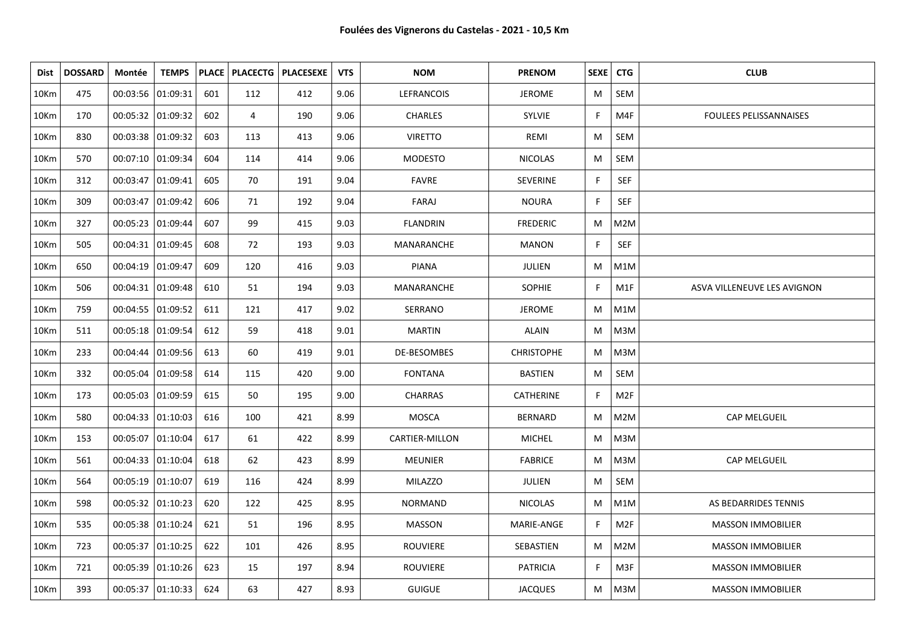| Dist    | <b>DOSSARD</b> | Montée              | <b>TEMPS</b>        |     |     | PLACE   PLACECTG   PLACESEXE | <b>VTS</b> | <b>NOM</b>        | <b>PRENOM</b>     |    | SEXE   CTG      | <b>CLUB</b>                   |
|---------|----------------|---------------------|---------------------|-----|-----|------------------------------|------------|-------------------|-------------------|----|-----------------|-------------------------------|
| 10Km    | 475            | 00:03:56 01:09:31   |                     | 601 | 112 | 412                          | 9.06       | <b>LEFRANCOIS</b> | <b>JEROME</b>     | M  | SEM             |                               |
| 10Km    | 170            | 00:05:32 01:09:32   |                     | 602 | 4   | 190                          | 9.06       | <b>CHARLES</b>    | <b>SYLVIE</b>     | F. | M4F             | <b>FOULEES PELISSANNAISES</b> |
| 10Km    | 830            | 00:03:38 01:09:32   |                     | 603 | 113 | 413                          | 9.06       | <b>VIRETTO</b>    | REMI              | M  | SEM             |                               |
| 10Km    | 570            | 00:07:10 01:09:34   |                     | 604 | 114 | 414                          | 9.06       | <b>MODESTO</b>    | <b>NICOLAS</b>    | M  | SEM             |                               |
| 10Km    | 312            | 00:03:47 01:09:41   |                     | 605 | 70  | 191                          | 9.04       | <b>FAVRE</b>      | <b>SEVERINE</b>   | F. | SEF             |                               |
| 10Km    | 309            | 00:03:47   01:09:42 |                     | 606 | 71  | 192                          | 9.04       | FARAJ             | <b>NOURA</b>      | F. | SEF             |                               |
| 10Km    | 327            | 00:05:23  01:09:44  |                     | 607 | 99  | 415                          | 9.03       | FLANDRIN          | <b>FREDERIC</b>   | M  | M2M             |                               |
| 10Km    | 505            |                     | 00:04:31   01:09:45 | 608 | 72  | 193                          | 9.03       | MANARANCHE        | <b>MANON</b>      | F. | SEF             |                               |
| 10Km    | 650            | 00:04:19 01:09:47   |                     | 609 | 120 | 416                          | 9.03       | <b>PIANA</b>      | JULIEN            | M  | M1M             |                               |
| 10Km    | 506            |                     | 00:04:31   01:09:48 | 610 | 51  | 194                          | 9.03       | <b>MANARANCHE</b> | <b>SOPHIE</b>     | F. | M1F             | ASVA VILLENEUVE LES AVIGNON   |
| 10Km    | 759            |                     | 00:04:55  01:09:52  | 611 | 121 | 417                          | 9.02       | SERRANO           | <b>JEROME</b>     | M  | M1M             |                               |
| 10Km    | 511            | 00:05:18  01:09:54  |                     | 612 | 59  | 418                          | 9.01       | <b>MARTIN</b>     | <b>ALAIN</b>      | M  | M3M             |                               |
| 10Km    | 233            |                     | 00:04:44 01:09:56   | 613 | 60  | 419                          | 9.01       | DE-BESOMBES       | <b>CHRISTOPHE</b> | M  | M3M             |                               |
| 10Km    | 332            |                     | 00:05:04   01:09:58 | 614 | 115 | 420                          | 9.00       | <b>FONTANA</b>    | <b>BASTIEN</b>    | M  | SEM             |                               |
| 10Km    | 173            | 00:05:03   01:09:59 |                     | 615 | 50  | 195                          | 9.00       | <b>CHARRAS</b>    | CATHERINE         | F. | M <sub>2F</sub> |                               |
| 10Km    | 580            |                     | 00:04:33  01:10:03  | 616 | 100 | 421                          | 8.99       | MOSCA             | <b>BERNARD</b>    | M  | M2M             | CAP MELGUEIL                  |
| 10Km    | 153            | 00:05:07  01:10:04  |                     | 617 | 61  | 422                          | 8.99       | CARTIER-MILLON    | <b>MICHEL</b>     | M  | M3M             |                               |
| 10Km    | 561            | 00:04:33  01:10:04  |                     | 618 | 62  | 423                          | 8.99       | <b>MEUNIER</b>    | <b>FABRICE</b>    | М  | M3M             | CAP MELGUEIL                  |
| 10Km    | 564            | 00:05:19  01:10:07  |                     | 619 | 116 | 424                          | 8.99       | <b>MILAZZO</b>    | JULIEN            | M  | SEM             |                               |
| 10Km    | 598            | 00:05:32   01:10:23 |                     | 620 | 122 | 425                          | 8.95       | <b>NORMAND</b>    | <b>NICOLAS</b>    | M  | M1M             | AS BEDARRIDES TENNIS          |
| 10Km    | 535            | 00:05:38 01:10:24   |                     | 621 | 51  | 196                          | 8.95       | MASSON            | MARIE-ANGE        | F. | M <sub>2F</sub> | <b>MASSON IMMOBILIER</b>      |
| 10Km    | 723            |                     | 00:05:37   01:10:25 | 622 | 101 | 426                          | 8.95       | <b>ROUVIERE</b>   | SEBASTIEN         | М  | M2M             | <b>MASSON IMMOBILIER</b>      |
| 10Km    | 721            | 00:05:39 01:10:26   |                     | 623 | 15  | 197                          | 8.94       | <b>ROUVIERE</b>   | <b>PATRICIA</b>   | F. | M3F             | <b>MASSON IMMOBILIER</b>      |
| $10$ Km | 393            |                     | 00:05:37 01:10:33   | 624 | 63  | 427                          | 8.93       | <b>GUIGUE</b>     | <b>JACQUES</b>    | M  | M3M             | <b>MASSON IMMOBILIER</b>      |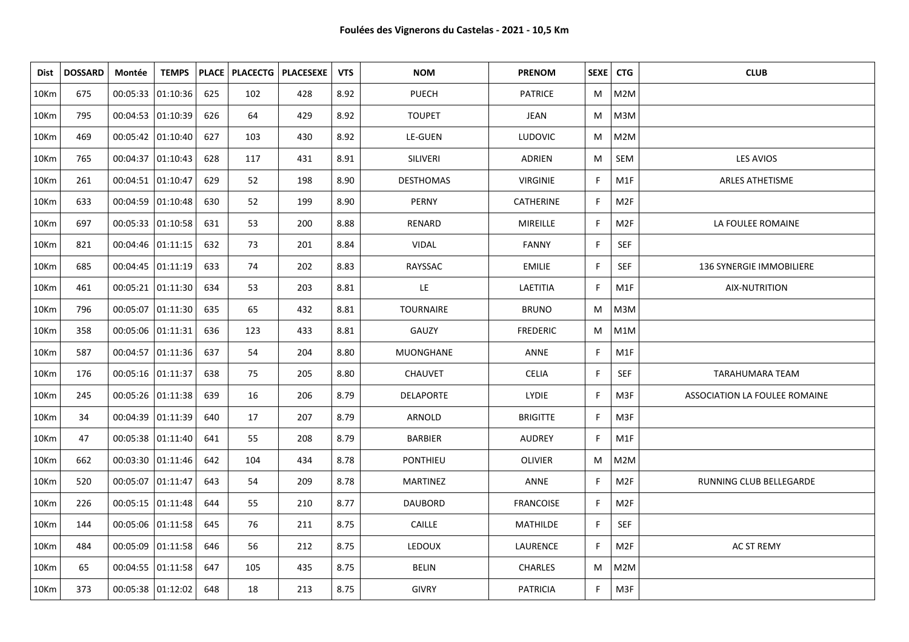| Dist | <b>DOSSARD</b> | Montée              | <b>TEMPS</b>       |     |     | PLACE   PLACECTG   PLACESEXE | <b>VTS</b> | <b>NOM</b>       | <b>PRENOM</b>    |    | SEXE   CTG      | <b>CLUB</b>                   |
|------|----------------|---------------------|--------------------|-----|-----|------------------------------|------------|------------------|------------------|----|-----------------|-------------------------------|
| 10Km | 675            | 00:05:33 01:10:36   |                    | 625 | 102 | 428                          | 8.92       | <b>PUECH</b>     | <b>PATRICE</b>   | M  | M2M             |                               |
| 10Km | 795            | 00:04:53 01:10:39   |                    | 626 | 64  | 429                          | 8.92       | <b>TOUPET</b>    | JEAN             | M  | M3M             |                               |
| 10Km | 469            | 00:05:42 01:10:40   |                    | 627 | 103 | 430                          | 8.92       | LE-GUEN          | <b>LUDOVIC</b>   | M  | M2M             |                               |
| 10Km | 765            | 00:04:37   01:10:43 |                    | 628 | 117 | 431                          | 8.91       | SILIVERI         | ADRIEN           | M  | SEM             | <b>LES AVIOS</b>              |
| 10Km | 261            | 00:04:51   01:10:47 |                    | 629 | 52  | 198                          | 8.90       | <b>DESTHOMAS</b> | <b>VIRGINIE</b>  | F. | M1F             | <b>ARLES ATHETISME</b>        |
| 10Km | 633            | 00:04:59  01:10:48  |                    | 630 | 52  | 199                          | 8.90       | PERNY            | <b>CATHERINE</b> | F. | M2F             |                               |
| 10Km | 697            | 00:05:33 01:10:58   |                    | 631 | 53  | 200                          | 8.88       | RENARD           | MIREILLE         | F. | M <sub>2F</sub> | LA FOULEE ROMAINE             |
| 10Km | 821            | 00:04:46 01:11:15   |                    | 632 | 73  | 201                          | 8.84       | VIDAL            | <b>FANNY</b>     | F. | <b>SEF</b>      |                               |
| 10Km | 685            | 00:04:45 01:11:19   |                    | 633 | 74  | 202                          | 8.83       | RAYSSAC          | <b>EMILIE</b>    | F. | <b>SEF</b>      | 136 SYNERGIE IMMOBILIERE      |
| 10Km | 461            | 00:05:21 01:11:30   |                    | 634 | 53  | 203                          | 8.81       | LE               | LAETITIA         | F  | M1F             | AIX-NUTRITION                 |
| 10Km | 796            | 00:05:07 01:11:30   |                    | 635 | 65  | 432                          | 8.81       | <b>TOURNAIRE</b> | <b>BRUNO</b>     | M  | M3M             |                               |
| 10Km | 358            | 00:05:06 01:11:31   |                    | 636 | 123 | 433                          | 8.81       | GAUZY            | <b>FREDERIC</b>  | M  | M1M             |                               |
| 10Km | 587            |                     | 00:04:57 01:11:36  | 637 | 54  | 204                          | 8.80       | MUONGHANE        | <b>ANNE</b>      | F. | M1F             |                               |
| 10Km | 176            | 00:05:16 01:11:37   |                    | 638 | 75  | 205                          | 8.80       | <b>CHAUVET</b>   | <b>CELIA</b>     | F. | <b>SEF</b>      | <b>TARAHUMARA TEAM</b>        |
| 10Km | 245            | 00:05:26 01:11:38   |                    | 639 | 16  | 206                          | 8.79       | <b>DELAPORTE</b> | LYDIE            | F. | M3F             | ASSOCIATION LA FOULEE ROMAINE |
| 10Km | 34             | 00:04:39 01:11:39   |                    | 640 | 17  | 207                          | 8.79       | ARNOLD           | <b>BRIGITTE</b>  | F. | M3F             |                               |
| 10Km | 47             | 00:05:38 01:11:40   |                    | 641 | 55  | 208                          | 8.79       | <b>BARBIER</b>   | <b>AUDREY</b>    | F. | M1F             |                               |
| 10Km | 662            | 00:03:30 01:11:46   |                    | 642 | 104 | 434                          | 8.78       | PONTHIEU         | OLIVIER          | M  | M2M             |                               |
| 10Km | 520            | 00:05:07  01:11:47  |                    | 643 | 54  | 209                          | 8.78       | <b>MARTINEZ</b>  | ANNE             | F. | M <sub>2F</sub> | RUNNING CLUB BELLEGARDE       |
| 10Km | 226            | 00:05:15   01:11:48 |                    | 644 | 55  | 210                          | 8.77       | <b>DAUBORD</b>   | <b>FRANCOISE</b> | F. | M <sub>2F</sub> |                               |
| 10Km | 144            | 00:05:06 01:11:58   |                    | 645 | 76  | 211                          | 8.75       | CAILLE           | MATHILDE         | F. | SEF             |                               |
| 10Km | 484            |                     | 00:05:09 01:11:58  | 646 | 56  | 212                          | 8.75       | <b>LEDOUX</b>    | LAURENCE         | F. | M <sub>2F</sub> | AC ST REMY                    |
| 10Km | 65             |                     | 00:04:55  01:11:58 | 647 | 105 | 435                          | 8.75       | <b>BELIN</b>     | <b>CHARLES</b>   | M  | M2M             |                               |
| 10Km | 373            | 00:05:38 01:12:02   |                    | 648 | 18  | 213                          | 8.75       | <b>GIVRY</b>     | <b>PATRICIA</b>  | F. | M3F             |                               |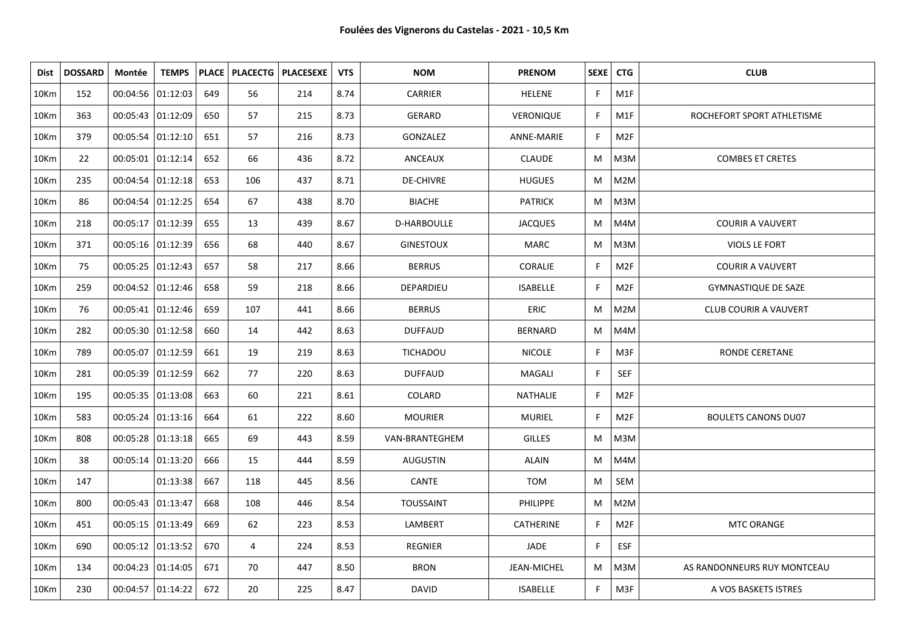| Dist    | <b>DOSSARD</b> | Montée              | <b>TEMPS</b>        |     |                | PLACE   PLACECTG   PLACESEXE | <b>VTS</b> | <b>NOM</b>         | <b>PRENOM</b>    | SEXE   CTG   |                 | <b>CLUB</b>                  |
|---------|----------------|---------------------|---------------------|-----|----------------|------------------------------|------------|--------------------|------------------|--------------|-----------------|------------------------------|
| 10Km    | 152            | 00:04:56 01:12:03   |                     | 649 | 56             | 214                          | 8.74       | CARRIER            | <b>HELENE</b>    | F            | M1F             |                              |
| 10Km    | 363            | 00:05:43  01:12:09  |                     | 650 | 57             | 215                          | 8.73       | <b>GERARD</b>      | VERONIQUE        | $\mathsf{F}$ | M1F             | ROCHEFORT SPORT ATHLETISME   |
| 10Km    | 379            | 00:05:54 01:12:10   |                     | 651 | 57             | 216                          | 8.73       | GONZALEZ           | ANNE-MARIE       | F            | M2F             |                              |
| 10Km    | 22             | 00:05:01  01:12:14  |                     | 652 | 66             | 436                          | 8.72       | ANCEAUX            | <b>CLAUDE</b>    | M            | M3M             | <b>COMBES ET CRETES</b>      |
| 10Km    | 235            | 00:04:54 01:12:18   |                     | 653 | 106            | 437                          | 8.71       | <b>DE-CHIVRE</b>   | <b>HUGUES</b>    | М            | M2M             |                              |
| 10Km    | 86             | 00:04:54 01:12:25   |                     | 654 | 67             | 438                          | 8.70       | <b>BIACHE</b>      | <b>PATRICK</b>   | M            | M3M             |                              |
| 10Km    | 218            |                     | 00:05:17 01:12:39   | 655 | 13             | 439                          | 8.67       | <b>D-HARBOULLE</b> | <b>JACQUES</b>   | M            | M4M             | <b>COURIR A VAUVERT</b>      |
| 10Km    | 371            | 00:05:16 01:12:39   |                     | 656 | 68             | 440                          | 8.67       | <b>GINESTOUX</b>   | MARC             | M            | M3M             | VIOLS LE FORT                |
| 10Km    | 75             |                     | 00:05:25 01:12:43   | 657 | 58             | 217                          | 8.66       | <b>BERRUS</b>      | CORALIE          | F            | M2F             | <b>COURIR A VAUVERT</b>      |
| 10Km    | 259            |                     | 00:04:52   01:12:46 | 658 | 59             | 218                          | 8.66       | DEPARDIEU          | <b>ISABELLE</b>  | F            | M2F             | <b>GYMNASTIQUE DE SAZE</b>   |
| 10Km    | 76             |                     | 00:05:41   01:12:46 | 659 | 107            | 441                          | 8.66       | <b>BERRUS</b>      | <b>ERIC</b>      | M            | M2M             | <b>CLUB COURIR A VAUVERT</b> |
| 10Km    | 282            |                     | 00:05:30 01:12:58   | 660 | 14             | 442                          | 8.63       | <b>DUFFAUD</b>     | <b>BERNARD</b>   | M            | M4M             |                              |
| 10Km    | 789            |                     | 00:05:07   01:12:59 | 661 | 19             | 219                          | 8.63       | TICHADOU           | <b>NICOLE</b>    | F.           | M3F             | RONDE CERETANE               |
| 10Km    | 281            |                     | 00:05:39 01:12:59   | 662 | 77             | 220                          | 8.63       | <b>DUFFAUD</b>     | MAGALI           | $\mathsf{F}$ | <b>SEF</b>      |                              |
| 10Km    | 195            |                     | 00:05:35   01:13:08 | 663 | 60             | 221                          | 8.61       | COLARD             | NATHALIE         | F            | M2F             |                              |
| 10Km    | 583            |                     | 00:05:24   01:13:16 | 664 | 61             | 222                          | 8.60       | <b>MOURIER</b>     | <b>MURIEL</b>    | F            | M <sub>2F</sub> | <b>BOULETS CANONS DU07</b>   |
| 10Km    | 808            |                     | 00:05:28 01:13:18   | 665 | 69             | 443                          | 8.59       | VAN-BRANTEGHEM     | <b>GILLES</b>    | M            | M3M             |                              |
| 10Km    | 38             |                     | 00:05:14   01:13:20 | 666 | 15             | 444                          | 8.59       | <b>AUGUSTIN</b>    | <b>ALAIN</b>     | M            | M4M             |                              |
| 10Km    | 147            |                     | 01:13:38            | 667 | 118            | 445                          | 8.56       | CANTE              | TOM              | M            | SEM             |                              |
| 10Km    | 800            | 00:05:43   01:13:47 |                     | 668 | 108            | 446                          | 8.54       | <b>TOUSSAINT</b>   | <b>PHILIPPE</b>  | M            | M2M             |                              |
| 10Km    | 451            | 00:05:15 01:13:49   |                     | 669 | 62             | 223                          | 8.53       | LAMBERT            | <b>CATHERINE</b> | F            | M2F             | MTC ORANGE                   |
| 10Km    | 690            | 00:05:12   01:13:52 |                     | 670 | $\overline{4}$ | 224                          | 8.53       | <b>REGNIER</b>     | JADE             | F            | <b>ESF</b>      |                              |
| 10Km    | 134            | 00:04:23 01:14:05   |                     | 671 | 70             | 447                          | 8.50       | <b>BRON</b>        | JEAN-MICHEL      | M            | M3M             | AS RANDONNEURS RUY MONTCEAU  |
| $10$ Km | 230            | 00:04:57   01:14:22 |                     | 672 | 20             | 225                          | 8.47       | <b>DAVID</b>       | <b>ISABELLE</b>  | F            | M3F             | A VOS BASKETS ISTRES         |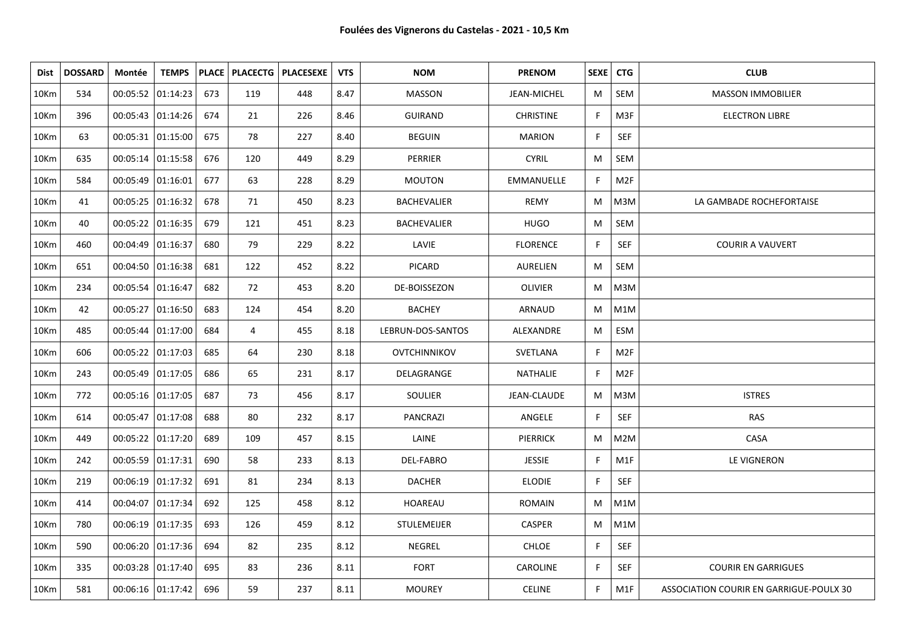| Dist | <b>DOSSARD</b> | Montée              | <b>TEMPS</b>        |     |     | PLACE   PLACECTG   PLACESEXE | <b>VTS</b> | <b>NOM</b>         | <b>PRENOM</b>      | SEXE <sup>1</sup> | <b>CTG</b>       | <b>CLUB</b>                             |
|------|----------------|---------------------|---------------------|-----|-----|------------------------------|------------|--------------------|--------------------|-------------------|------------------|-----------------------------------------|
| 10Km | 534            | 00:05:52 01:14:23   |                     | 673 | 119 | 448                          | 8.47       | <b>MASSON</b>      | <b>JEAN-MICHEL</b> | M                 | SEM              | <b>MASSON IMMOBILIER</b>                |
| 10Km | 396            | 00:05:43 01:14:26   |                     | 674 | 21  | 226                          | 8.46       | <b>GUIRAND</b>     | <b>CHRISTINE</b>   | F.                | M3F              | <b>ELECTRON LIBRE</b>                   |
| 10Km | 63             |                     | 00:05:31 01:15:00   | 675 | 78  | 227                          | 8.40       | <b>BEGUIN</b>      | <b>MARION</b>      | F.                | <b>SEF</b>       |                                         |
| 10Km | 635            | 00:05:14   01:15:58 |                     | 676 | 120 | 449                          | 8.29       | PERRIER            | <b>CYRIL</b>       | M                 | SEM              |                                         |
| 10Km | 584            | 00:05:49 01:16:01   |                     | 677 | 63  | 228                          | 8.29       | <b>MOUTON</b>      | EMMANUELLE         | F.                | M <sub>2F</sub>  |                                         |
| 10Km | 41             | 00:05:25   01:16:32 |                     | 678 | 71  | 450                          | 8.23       | BACHEVALIER        | <b>REMY</b>        | M                 | M3M              | LA GAMBADE ROCHEFORTAISE                |
| 10Km | 40             | 00:05:22   01:16:35 |                     | 679 | 121 | 451                          | 8.23       | <b>BACHEVALIER</b> | <b>HUGO</b>        | М                 | SEM              |                                         |
| 10Km | 460            | 00:04:49 01:16:37   |                     | 680 | 79  | 229                          | 8.22       | LAVIE              | <b>FLORENCE</b>    | F                 | <b>SEF</b>       | <b>COURIR A VAUVERT</b>                 |
| 10Km | 651            | 00:04:50 01:16:38   |                     | 681 | 122 | 452                          | 8.22       | <b>PICARD</b>      | <b>AURELIEN</b>    | M                 | SEM              |                                         |
| 10Km | 234            | 00:05:54 01:16:47   |                     | 682 | 72  | 453                          | 8.20       | DE-BOISSEZON       | <b>OLIVIER</b>     | M                 | M3M              |                                         |
| 10Km | 42             |                     | 00:05:27 01:16:50   | 683 | 124 | 454                          | 8.20       | <b>BACHEY</b>      | ARNAUD             | M                 | M1M              |                                         |
| 10Km | 485            | 00:05:44 01:17:00   |                     | 684 | 4   | 455                          | 8.18       | LEBRUN-DOS-SANTOS  | ALEXANDRE          | M                 | ESM              |                                         |
| 10Km | 606            | 00:05:22 01:17:03   |                     | 685 | 64  | 230                          | 8.18       | OVTCHINNIKOV       | SVETLANA           | F.                | M <sub>2F</sub>  |                                         |
| 10Km | 243            | 00:05:49 01:17:05   |                     | 686 | 65  | 231                          | 8.17       | DELAGRANGE         | NATHALIE           | F.                | M <sub>2F</sub>  |                                         |
| 10Km | 772            | 00:05:16 01:17:05   |                     | 687 | 73  | 456                          | 8.17       | SOULIER            | JEAN-CLAUDE        | M                 | M3M              | <b>ISTRES</b>                           |
| 10Km | 614            |                     | 00:05:47 01:17:08   | 688 | 80  | 232                          | 8.17       | <b>PANCRAZI</b>    | ANGELE             | F.                | SEF              | <b>RAS</b>                              |
| 10Km | 449            |                     | 00:05:22 01:17:20   | 689 | 109 | 457                          | 8.15       | LAINE              | <b>PIERRICK</b>    | M                 | M2M              | CASA                                    |
| 10Km | 242            | 00:05:59 01:17:31   |                     | 690 | 58  | 233                          | 8.13       | DEL-FABRO          | <b>JESSIE</b>      | F.                | M1F              | LE VIGNERON                             |
| 10Km | 219            | 00:06:19 01:17:32   |                     | 691 | 81  | 234                          | 8.13       | <b>DACHER</b>      | <b>ELODIE</b>      | F.                | SEF              |                                         |
| 10Km | 414            | 00:04:07 01:17:34   |                     | 692 | 125 | 458                          | 8.12       | HOAREAU            | <b>ROMAIN</b>      | M                 | M1M              |                                         |
| 10Km | 780            | 00:06:19 01:17:35   |                     | 693 | 126 | 459                          | 8.12       | <b>STULEMEIJER</b> | <b>CASPER</b>      | M                 | M1M              |                                         |
| 10Km | 590            |                     | 00:06:20   01:17:36 | 694 | 82  | 235                          | 8.12       | NEGREL             | <b>CHLOE</b>       | F.                | <b>SEF</b>       |                                         |
| 10Km | 335            |                     | 00:03:28 01:17:40   | 695 | 83  | 236                          | 8.11       | <b>FORT</b>        | <b>CAROLINE</b>    | F.                | <b>SEF</b>       | <b>COURIR EN GARRIGUES</b>              |
| 10Km | 581            | 00:06:16   01:17:42 |                     | 696 | 59  | 237                          | 8.11       | <b>MOUREY</b>      | <b>CELINE</b>      | F.                | M <sub>1</sub> F | ASSOCIATION COURIR EN GARRIGUE-POULX 30 |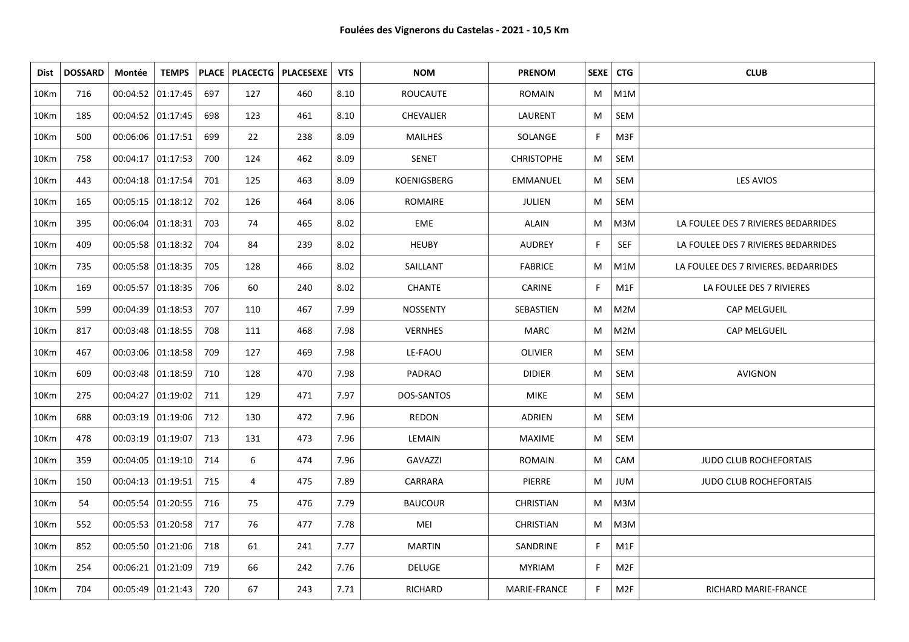| <b>Dist</b> | <b>DOSSARD</b> | Montée              | <b>TEMPS</b>            |     | <b>PLACE   PLACECTG  </b> | <b>PLACESEXE</b> | <b>VTS</b> | <b>NOM</b>       | <b>PRENOM</b>     | SEXE   CTG |                 | <b>CLUB</b>                          |
|-------------|----------------|---------------------|-------------------------|-----|---------------------------|------------------|------------|------------------|-------------------|------------|-----------------|--------------------------------------|
| 10Km        | 716            |                     | 00:04:52 01:17:45       | 697 | 127                       | 460              | 8.10       | <b>ROUCAUTE</b>  | <b>ROMAIN</b>     | M          | M1M             |                                      |
| 10Km        | 185            |                     | 00:04:52 01:17:45       | 698 | 123                       | 461              | 8.10       | <b>CHEVALIER</b> | LAURENT           | M          | SEM             |                                      |
| 10Km        | 500            | 00:06:06 01:17:51   |                         | 699 | 22                        | 238              | 8.09       | <b>MAILHES</b>   | SOLANGE           | F.         | M3F             |                                      |
| 10Km        | 758            |                     | $00:04:17$ 01:17:53     | 700 | 124                       | 462              | 8.09       | <b>SENET</b>     | <b>CHRISTOPHE</b> | М          | SEM             |                                      |
| 10Km        | 443            | 00:04:18 01:17:54   |                         | 701 | 125                       | 463              | 8.09       | KOENIGSBERG      | <b>EMMANUEL</b>   | M          | SEM             | LES AVIOS                            |
| 10Km        | 165            |                     | $00:05:15$   01:18:12   | 702 | 126                       | 464              | 8.06       | ROMAIRE          | <b>JULIEN</b>     | M          | SEM             |                                      |
| 10Km        | 395            | 00:06:04   01:18:31 |                         | 703 | 74                        | 465              | 8.02       | EME              | <b>ALAIN</b>      | M          | M3M             | LA FOULEE DES 7 RIVIERES BEDARRIDES  |
| 10Km        | 409            |                     | 00:05:58 01:18:32       | 704 | 84                        | 239              | 8.02       | <b>HEUBY</b>     | <b>AUDREY</b>     | F.         | <b>SEF</b>      | LA FOULEE DES 7 RIVIERES BEDARRIDES  |
| 10Km        | 735            | 00:05:58 01:18:35   |                         | 705 | 128                       | 466              | 8.02       | SAILLANT         | <b>FABRICE</b>    | M          | M1M             | LA FOULEE DES 7 RIVIERES. BEDARRIDES |
| 10Km        | 169            |                     | 00:05:57 01:18:35       | 706 | 60                        | 240              | 8.02       | <b>CHANTE</b>    | CARINE            | F.         | M1F             | LA FOULEE DES 7 RIVIERES             |
| 10Km        | 599            | $00:04:39$ 01:18:53 |                         | 707 | 110                       | 467              | 7.99       | <b>NOSSENTY</b>  | SEBASTIEN         | M          | M2M             | CAP MELGUEIL                         |
| 10Km        | 817            |                     | 00:03:48 01:18:55       | 708 | 111                       | 468              | 7.98       | <b>VERNHES</b>   | <b>MARC</b>       | M          | M2M             | CAP MELGUEIL                         |
| 10Km        | 467            |                     | 00:03:06 01:18:58       | 709 | 127                       | 469              | 7.98       | LE-FAOU          | <b>OLIVIER</b>    | M          | SEM             |                                      |
| 10Km        | 609            |                     | 00:03:48 01:18:59       | 710 | 128                       | 470              | 7.98       | PADRAO           | <b>DIDIER</b>     | M          | SEM             | AVIGNON                              |
| 10Km        | 275            |                     | 00:04:27 01:19:02       | 711 | 129                       | 471              | 7.97       | DOS-SANTOS       | <b>MIKE</b>       | M          | SEM             |                                      |
| 10Km        | 688            | 00:03:19 01:19:06   |                         | 712 | 130                       | 472              | 7.96       | <b>REDON</b>     | <b>ADRIEN</b>     | M          | SEM             |                                      |
| 10Km        | 478            |                     | 00:03:19 01:19:07       | 713 | 131                       | 473              | 7.96       | LEMAIN           | <b>MAXIME</b>     | M          | SEM             |                                      |
| 10Km        | 359            |                     | $00:04:05$   $01:19:10$ | 714 | 6                         | 474              | 7.96       | <b>GAVAZZI</b>   | <b>ROMAIN</b>     | M          | CAM             | <b>JUDO CLUB ROCHEFORTAIS</b>        |
| 10Km        | 150            | 00:04:13 01:19:51   |                         | 715 | 4                         | 475              | 7.89       | CARRARA          | PIERRE            | М          | <b>JUM</b>      | <b>JUDO CLUB ROCHEFORTAIS</b>        |
| 10Km        | 54             |                     | 00:05:54   01:20:55     | 716 | 75                        | 476              | 7.79       | <b>BAUCOUR</b>   | <b>CHRISTIAN</b>  | M          | M3M             |                                      |
| 10Km        | 552            |                     | 00:05:53   01:20:58     | 717 | 76                        | 477              | 7.78       | MEI              | <b>CHRISTIAN</b>  | M          | M3M             |                                      |
| 10Km        | 852            |                     | 00:05:50   01:21:06     | 718 | 61                        | 241              | 7.77       | <b>MARTIN</b>    | SANDRINE          | F.         | M1F             |                                      |
| 10Km        | 254            |                     | 00:06:21 01:21:09       | 719 | 66                        | 242              | 7.76       | <b>DELUGE</b>    | <b>MYRIAM</b>     | F          | M <sub>2F</sub> |                                      |
| 10Km        | 704            |                     | 00:05:49   01:21:43     | 720 | 67                        | 243              | 7.71       | RICHARD          | MARIE-FRANCE      | F.         | M <sub>2F</sub> | RICHARD MARIE-FRANCE                 |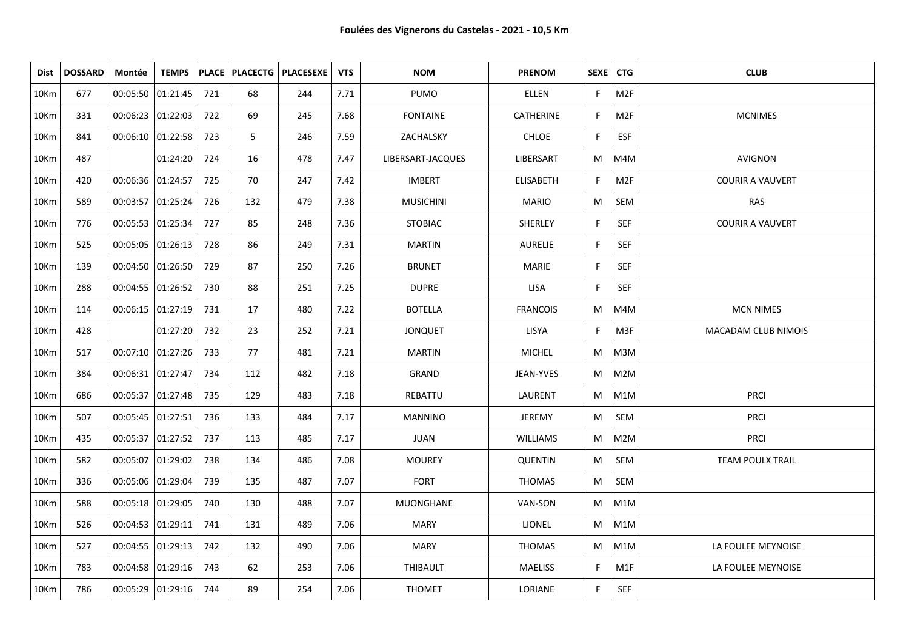| Dist | <b>DOSSARD</b> | Montée              | <b>TEMPS</b> |     |     | PLACE   PLACECTG   PLACESEXE | <b>VTS</b> | <b>NOM</b>        | <b>PRENOM</b>    | SEXE   CTG |                  | <b>CLUB</b>             |
|------|----------------|---------------------|--------------|-----|-----|------------------------------|------------|-------------------|------------------|------------|------------------|-------------------------|
| 10Km | 677            | 00:05:50 01:21:45   |              | 721 | 68  | 244                          | 7.71       | PUMO              | ELLEN            | F          | M <sub>2F</sub>  |                         |
| 10Km | 331            | 00:06:23 01:22:03   |              | 722 | 69  | 245                          | 7.68       | <b>FONTAINE</b>   | CATHERINE        | F.         | M <sub>2F</sub>  | <b>MCNIMES</b>          |
| 10Km | 841            | $00:06:10$ 01:22:58 |              | 723 | 5   | 246                          | 7.59       | ZACHALSKY         | <b>CHLOE</b>     | F.         | <b>ESF</b>       |                         |
| 10Km | 487            |                     | 01:24:20     | 724 | 16  | 478                          | 7.47       | LIBERSART-JACQUES | LIBERSART        | M          | M4M              | AVIGNON                 |
| 10Km | 420            | 00:06:36 01:24:57   |              | 725 | 70  | 247                          | 7.42       | <b>IMBERT</b>     | <b>ELISABETH</b> | F.         | M <sub>2F</sub>  | <b>COURIR A VAUVERT</b> |
| 10Km | 589            | 00:03:57 01:25:24   |              | 726 | 132 | 479                          | 7.38       | <b>MUSICHINI</b>  | <b>MARIO</b>     | М          | SEM              | <b>RAS</b>              |
| 10Km | 776            | 00:05:53 01:25:34   |              | 727 | 85  | 248                          | 7.36       | <b>STOBIAC</b>    | SHERLEY          | F.         | SEF              | <b>COURIR A VAUVERT</b> |
| 10Km | 525            | 00:05:05 01:26:13   |              | 728 | 86  | 249                          | 7.31       | <b>MARTIN</b>     | AURELIE          | F.         | SEF              |                         |
| 10Km | 139            | 00:04:50 01:26:50   |              | 729 | 87  | 250                          | 7.26       | <b>BRUNET</b>     | <b>MARIE</b>     | F.         | SEF              |                         |
| 10Km | 288            | 00:04:55 01:26:52   |              | 730 | 88  | 251                          | 7.25       | <b>DUPRE</b>      | <b>LISA</b>      | F          | SEF              |                         |
| 10Km | 114            | 00:06:15 01:27:19   |              | 731 | 17  | 480                          | 7.22       | <b>BOTELLA</b>    | <b>FRANCOIS</b>  | M          | M4M              | <b>MCN NIMES</b>        |
| 10Km | 428            |                     | 01:27:20     | 732 | 23  | 252                          | 7.21       | <b>JONQUET</b>    | LISYA            | F.         | M3F              | MACADAM CLUB NIMOIS     |
| 10Km | 517            | $00:07:10$ 01:27:26 |              | 733 | 77  | 481                          | 7.21       | <b>MARTIN</b>     | <b>MICHEL</b>    | M          | M3M              |                         |
| 10Km | 384            | 00:06:31   01:27:47 |              | 734 | 112 | 482                          | 7.18       | GRAND             | JEAN-YVES        | M          | M2M              |                         |
| 10Km | 686            | 00:05:37 01:27:48   |              | 735 | 129 | 483                          | 7.18       | REBATTU           | LAURENT          | M          | M1M              | <b>PRCI</b>             |
| 10Km | 507            | 00:05:45 01:27:51   |              | 736 | 133 | 484                          | 7.17       | <b>MANNINO</b>    | JEREMY           | M          | SEM              | <b>PRCI</b>             |
| 10Km | 435            | 00:05:37 01:27:52   |              | 737 | 113 | 485                          | 7.17       | <b>JUAN</b>       | <b>WILLIAMS</b>  | M          | M2M              | <b>PRCI</b>             |
| 10Km | 582            | 00:05:07 01:29:02   |              | 738 | 134 | 486                          | 7.08       | <b>MOUREY</b>     | <b>QUENTIN</b>   | M          | SEM              | TEAM POULX TRAIL        |
| 10Km | 336            | 00:05:06 01:29:04   |              | 739 | 135 | 487                          | 7.07       | <b>FORT</b>       | <b>THOMAS</b>    | M          | SEM              |                         |
| 10Km | 588            | 00:05:18 01:29:05   |              | 740 | 130 | 488                          | 7.07       | MUONGHANE         | VAN-SON          | M          | M1M              |                         |
| 10Km | 526            | 00:04:53 01:29:11   |              | 741 | 131 | 489                          | 7.06       | <b>MARY</b>       | <b>LIONEL</b>    | M          | M1M              |                         |
| 10Km | 527            | 00:04:55 01:29:13   |              | 742 | 132 | 490                          | 7.06       | MARY              | <b>THOMAS</b>    | M          | M <sub>1</sub> M | LA FOULEE MEYNOISE      |
| 10Km | 783            | 00:04:58 01:29:16   |              | 743 | 62  | 253                          | 7.06       | THIBAULT          | <b>MAELISS</b>   | F.         | M1F              | LA FOULEE MEYNOISE      |
| 10Km | 786            | 00:05:29   01:29:16 |              | 744 | 89  | 254                          | 7.06       | <b>THOMET</b>     | LORIANE          | F.         | SEF              |                         |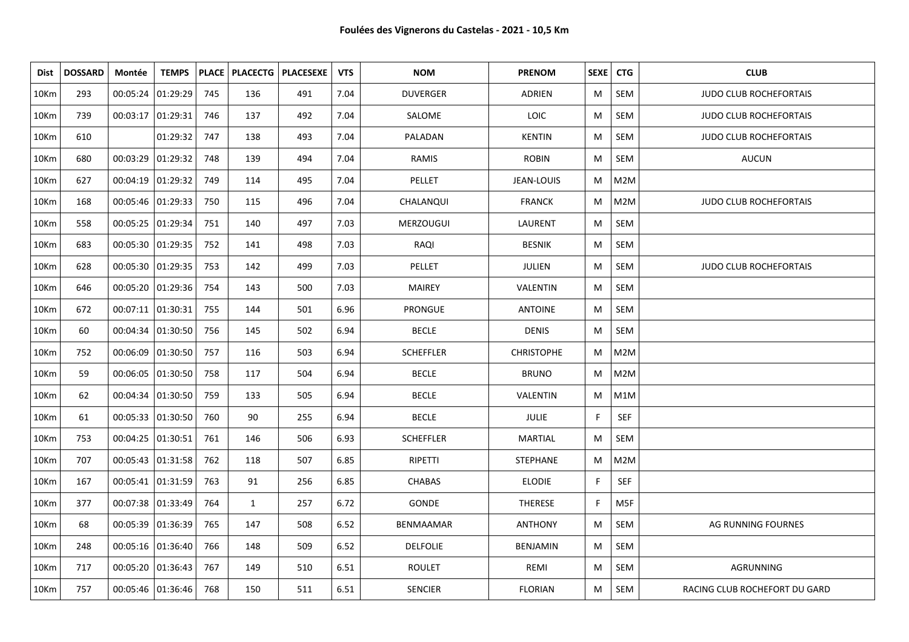| Dist | <b>DOSSARD</b> | Montée              | <b>TEMPS</b>        |     |              | PLACE   PLACECTG   PLACESEXE | <b>VTS</b> | <b>NOM</b>       | <b>PRENOM</b>     | SEXE | <b>CTG</b> | <b>CLUB</b>                   |
|------|----------------|---------------------|---------------------|-----|--------------|------------------------------|------------|------------------|-------------------|------|------------|-------------------------------|
| 10Km | 293            | 00:05:24   01:29:29 |                     | 745 | 136          | 491                          | 7.04       | <b>DUVERGER</b>  | ADRIEN            | M    | SEM        | <b>JUDO CLUB ROCHEFORTAIS</b> |
| 10Km | 739            | 00:03:17 01:29:31   |                     | 746 | 137          | 492                          | 7.04       | SALOME           | LOIC              | М    | SEM        | <b>JUDO CLUB ROCHEFORTAIS</b> |
| 10Km | 610            |                     | 01:29:32            | 747 | 138          | 493                          | 7.04       | PALADAN          | <b>KENTIN</b>     | M    | SEM        | <b>JUDO CLUB ROCHEFORTAIS</b> |
| 10Km | 680            | 00:03:29 01:29:32   |                     | 748 | 139          | 494                          | 7.04       | RAMIS            | <b>ROBIN</b>      | M    | SEM        | <b>AUCUN</b>                  |
| 10Km | 627            | 00:04:19 01:29:32   |                     | 749 | 114          | 495                          | 7.04       | PELLET           | JEAN-LOUIS        | M    | M2M        |                               |
| 10Km | 168            | 00:05:46   01:29:33 |                     | 750 | 115          | 496                          | 7.04       | CHALANQUI        | <b>FRANCK</b>     | M    | M2M        | <b>JUDO CLUB ROCHEFORTAIS</b> |
| 10Km | 558            | 00:05:25   01:29:34 |                     | 751 | 140          | 497                          | 7.03       | <b>MERZOUGUI</b> | LAURENT           | M    | SEM        |                               |
| 10Km | 683            | 00:05:30 01:29:35   |                     | 752 | 141          | 498                          | 7.03       | RAQI             | <b>BESNIK</b>     | M    | SEM        |                               |
| 10Km | 628            | 00:05:30 01:29:35   |                     | 753 | 142          | 499                          | 7.03       | PELLET           | JULIEN            | M    | SEM        | <b>JUDO CLUB ROCHEFORTAIS</b> |
| 10Km | 646            | 00:05:20 01:29:36   |                     | 754 | 143          | 500                          | 7.03       | <b>MAIREY</b>    | VALENTIN          | M    | SEM        |                               |
| 10Km | 672            | 00:07:11 01:30:31   |                     | 755 | 144          | 501                          | 6.96       | PRONGUE          | <b>ANTOINE</b>    | M    | SEM        |                               |
| 10Km | 60             | 00:04:34 01:30:50   |                     | 756 | 145          | 502                          | 6.94       | <b>BECLE</b>     | <b>DENIS</b>      | М    | SEM        |                               |
| 10Km | 752            | 00:06:09 01:30:50   |                     | 757 | 116          | 503                          | 6.94       | <b>SCHEFFLER</b> | <b>CHRISTOPHE</b> | M    | M2M        |                               |
| 10Km | 59             | 00:06:05 01:30:50   |                     | 758 | 117          | 504                          | 6.94       | <b>BECLE</b>     | <b>BRUNO</b>      | M    | M2M        |                               |
| 10Km | 62             | 00:04:34 01:30:50   |                     | 759 | 133          | 505                          | 6.94       | <b>BECLE</b>     | VALENTIN          | M    | M1M        |                               |
| 10Km | 61             |                     | 00:05:33  01:30:50  | 760 | 90           | 255                          | 6.94       | <b>BECLE</b>     | JULIE             | F.   | <b>SEF</b> |                               |
| 10Km | 753            | 00:04:25 01:30:51   |                     | 761 | 146          | 506                          | 6.93       | <b>SCHEFFLER</b> | MARTIAL           | M    | SEM        |                               |
| 10Km | 707            |                     | 00:05:43 01:31:58   | 762 | 118          | 507                          | 6.85       | RIPETTI          | STEPHANE          | M    | M2M        |                               |
| 10Km | 167            | 00:05:41 01:31:59   |                     | 763 | 91           | 256                          | 6.85       | <b>CHABAS</b>    | <b>ELODIE</b>     | F.   | SEF        |                               |
| 10Km | 377            | 00:07:38 01:33:49   |                     | 764 | $\mathbf{1}$ | 257                          | 6.72       | GONDE            | THERESE           | F.   | M5F        |                               |
| 10Km | 68             | 00:05:39 01:36:39   |                     | 765 | 147          | 508                          | 6.52       | <b>BENMAAMAR</b> | <b>ANTHONY</b>    | M    | SEM        | AG RUNNING FOURNES            |
| 10Km | 248            |                     | 00:05:16   01:36:40 | 766 | 148          | 509                          | 6.52       | <b>DELFOLIE</b>  | <b>BENJAMIN</b>   | M    | SEM        |                               |
| 10Km | 717            | 00:05:20 01:36:43   |                     | 767 | 149          | 510                          | 6.51       | <b>ROULET</b>    | REMI              | M    | SEM        | AGRUNNING                     |
| 10Km | 757            |                     | 00:05:46   01:36:46 | 768 | 150          | 511                          | 6.51       | <b>SENCIER</b>   | <b>FLORIAN</b>    | M    | SEM        | RACING CLUB ROCHEFORT DU GARD |